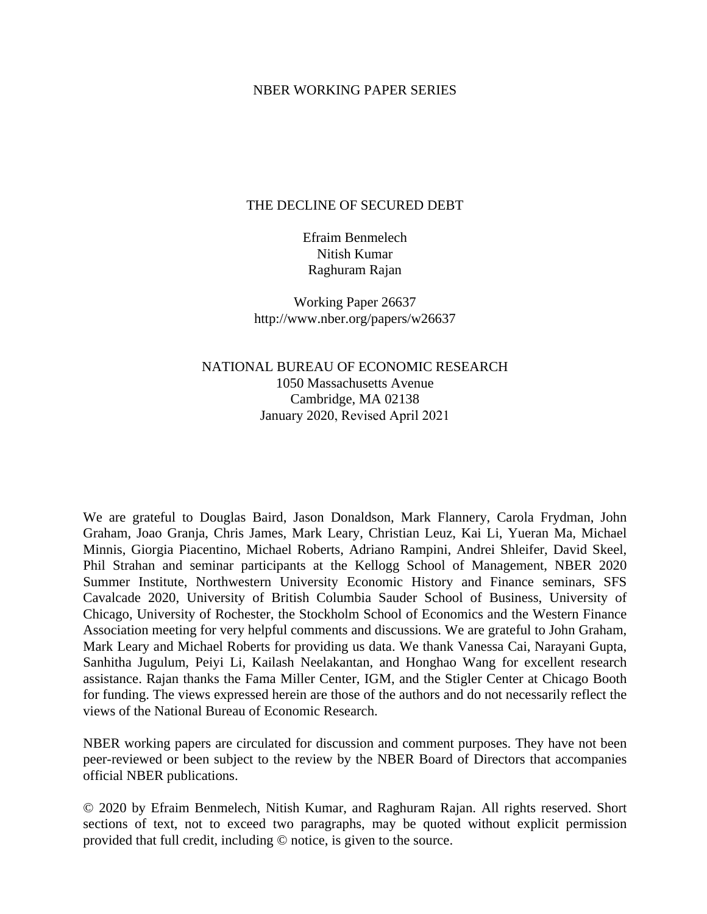### NBER WORKING PAPER SERIES

### THE DECLINE OF SECURED DEBT

Efraim Benmelech Nitish Kumar Raghuram Rajan

Working Paper 26637 http://www.nber.org/papers/w26637

## NATIONAL BUREAU OF ECONOMIC RESEARCH 1050 Massachusetts Avenue Cambridge, MA 02138 January 2020, Revised April 2021

We are grateful to Douglas Baird, Jason Donaldson, Mark Flannery, Carola Frydman, John Graham, Joao Granja, Chris James, Mark Leary, Christian Leuz, Kai Li, Yueran Ma, Michael Minnis, Giorgia Piacentino, Michael Roberts, Adriano Rampini, Andrei Shleifer, David Skeel, Phil Strahan and seminar participants at the Kellogg School of Management, NBER 2020 Summer Institute, Northwestern University Economic History and Finance seminars, SFS Cavalcade 2020, University of British Columbia Sauder School of Business, University of Chicago, University of Rochester, the Stockholm School of Economics and the Western Finance Association meeting for very helpful comments and discussions. We are grateful to John Graham, Mark Leary and Michael Roberts for providing us data. We thank Vanessa Cai, Narayani Gupta, Sanhitha Jugulum, Peiyi Li, Kailash Neelakantan, and Honghao Wang for excellent research assistance. Rajan thanks the Fama Miller Center, IGM, and the Stigler Center at Chicago Booth for funding. The views expressed herein are those of the authors and do not necessarily reflect the views of the National Bureau of Economic Research.

NBER working papers are circulated for discussion and comment purposes. They have not been peer-reviewed or been subject to the review by the NBER Board of Directors that accompanies official NBER publications.

© 2020 by Efraim Benmelech, Nitish Kumar, and Raghuram Rajan. All rights reserved. Short sections of text, not to exceed two paragraphs, may be quoted without explicit permission provided that full credit, including © notice, is given to the source.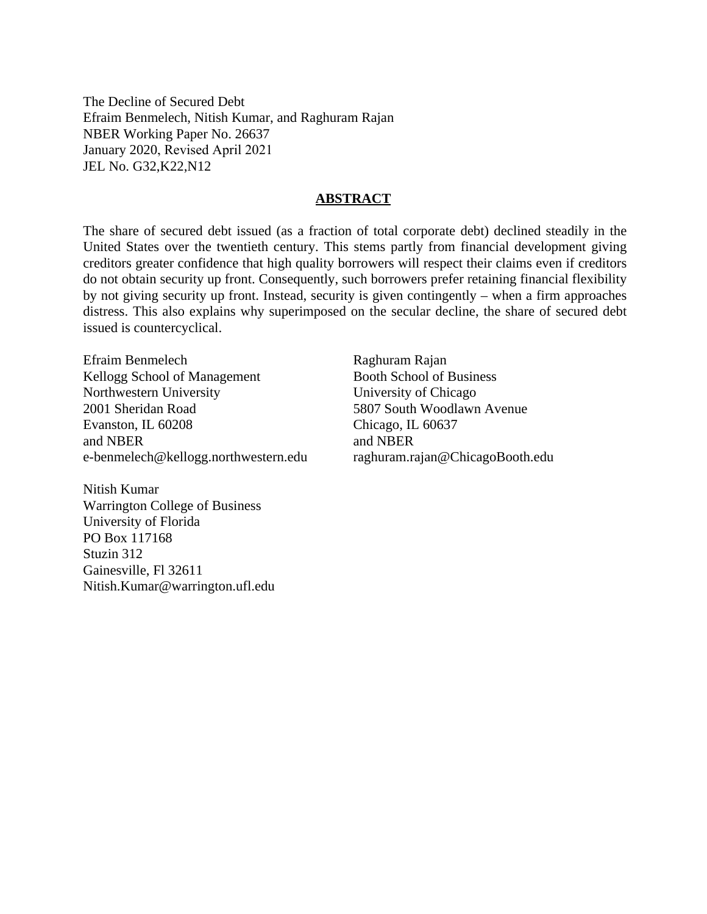The Decline of Secured Debt Efraim Benmelech, Nitish Kumar, and Raghuram Rajan NBER Working Paper No. 26637 January 2020, Revised April 2021 JEL No. G32,K22,N12

### **ABSTRACT**

The share of secured debt issued (as a fraction of total corporate debt) declined steadily in the United States over the twentieth century. This stems partly from financial development giving creditors greater confidence that high quality borrowers will respect their claims even if creditors do not obtain security up front. Consequently, such borrowers prefer retaining financial flexibility by not giving security up front. Instead, security is given contingently – when a firm approaches distress. This also explains why superimposed on the secular decline, the share of secured debt issued is countercyclical.

Efraim Benmelech Kellogg School of Management Northwestern University 2001 Sheridan Road Evanston, IL 60208 and NBER e-benmelech@kellogg.northwestern.edu

Nitish Kumar Warrington College of Business University of Florida PO Box 117168 Stuzin 312 Gainesville, Fl 32611 Nitish.Kumar@warrington.ufl.edu

Raghuram Rajan Booth School of Business University of Chicago 5807 South Woodlawn Avenue Chicago, IL 60637 and NBER raghuram.rajan@ChicagoBooth.edu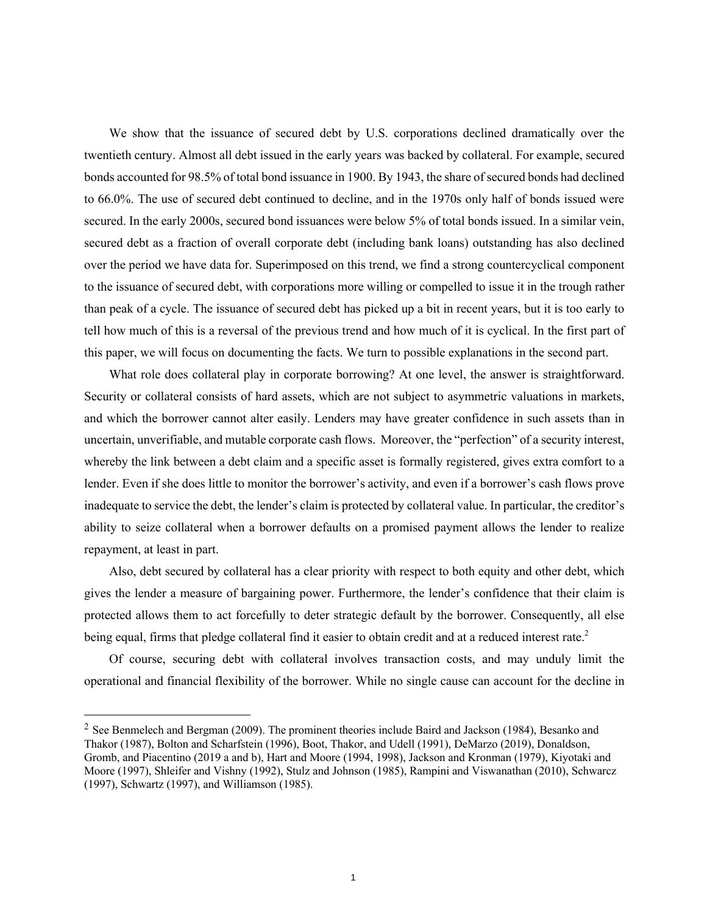We show that the issuance of secured debt by U.S. corporations declined dramatically over the twentieth century. Almost all debt issued in the early years was backed by collateral. For example, secured bonds accounted for 98.5% of total bond issuance in 1900. By 1943, the share of secured bonds had declined to 66.0%. The use of secured debt continued to decline, and in the 1970s only half of bonds issued were secured. In the early 2000s, secured bond issuances were below 5% of total bonds issued. In a similar vein, secured debt as a fraction of overall corporate debt (including bank loans) outstanding has also declined over the period we have data for. Superimposed on this trend, we find a strong countercyclical component to the issuance of secured debt, with corporations more willing or compelled to issue it in the trough rather than peak of a cycle. The issuance of secured debt has picked up a bit in recent years, but it is too early to tell how much of this is a reversal of the previous trend and how much of it is cyclical. In the first part of this paper, we will focus on documenting the facts. We turn to possible explanations in the second part.

What role does collateral play in corporate borrowing? At one level, the answer is straightforward. Security or collateral consists of hard assets, which are not subject to asymmetric valuations in markets, and which the borrower cannot alter easily. Lenders may have greater confidence in such assets than in uncertain, unverifiable, and mutable corporate cash flows. Moreover, the "perfection" of a security interest, whereby the link between a debt claim and a specific asset is formally registered, gives extra comfort to a lender. Even if she does little to monitor the borrower's activity, and even if a borrower's cash flows prove inadequate to service the debt, the lender's claim is protected by collateral value. In particular, the creditor's ability to seize collateral when a borrower defaults on a promised payment allows the lender to realize repayment, at least in part.

Also, debt secured by collateral has a clear priority with respect to both equity and other debt, which gives the lender a measure of bargaining power. Furthermore, the lender's confidence that their claim is protected allows them to act forcefully to deter strategic default by the borrower. Consequently, all else being equal, firms that pledge collateral find it easier to obtain credit and at a reduced interest rate.<sup>2</sup>

Of course, securing debt with collateral involves transaction costs, and may unduly limit the operational and financial flexibility of the borrower. While no single cause can account for the decline in

 $2$  See Benmelech and Bergman (2009). The prominent theories include Baird and Jackson (1984), Besanko and Thakor (1987), Bolton and Scharfstein (1996), Boot, Thakor, and Udell (1991), DeMarzo (2019), Donaldson, Gromb, and Piacentino (2019 a and b), Hart and Moore (1994, 1998), Jackson and Kronman (1979), Kiyotaki and Moore (1997), Shleifer and Vishny (1992), Stulz and Johnson (1985), Rampini and Viswanathan (2010), Schwarcz (1997), Schwartz (1997), and Williamson (1985).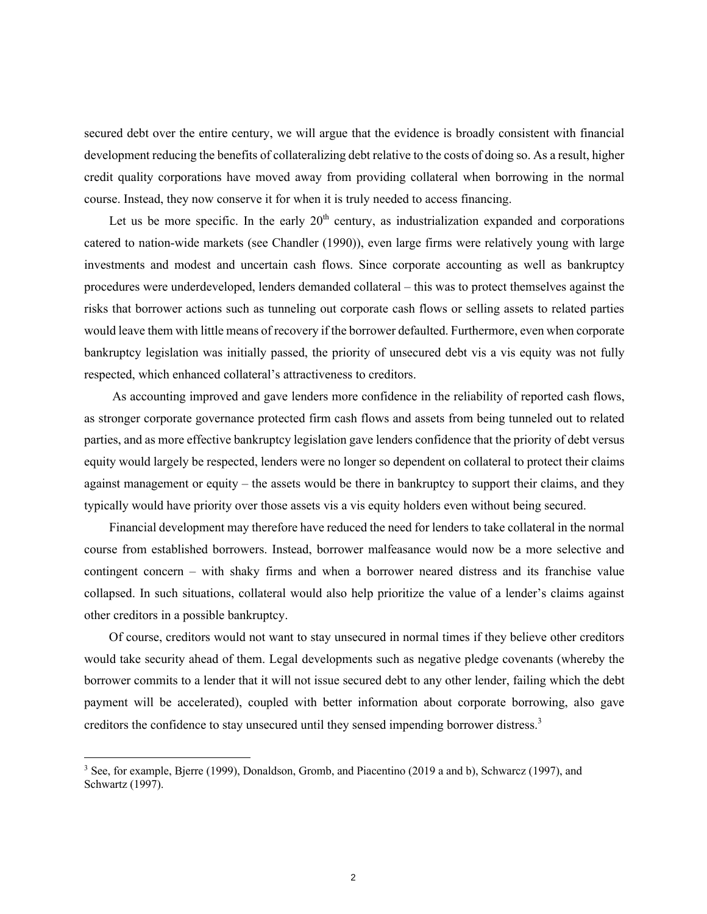secured debt over the entire century, we will argue that the evidence is broadly consistent with financial development reducing the benefits of collateralizing debt relative to the costs of doing so. As a result, higher credit quality corporations have moved away from providing collateral when borrowing in the normal course. Instead, they now conserve it for when it is truly needed to access financing.

Let us be more specific. In the early  $20<sup>th</sup>$  century, as industrialization expanded and corporations catered to nation-wide markets (see Chandler (1990)), even large firms were relatively young with large investments and modest and uncertain cash flows. Since corporate accounting as well as bankruptcy procedures were underdeveloped, lenders demanded collateral – this was to protect themselves against the risks that borrower actions such as tunneling out corporate cash flows or selling assets to related parties would leave them with little means of recovery if the borrower defaulted. Furthermore, even when corporate bankruptcy legislation was initially passed, the priority of unsecured debt vis a vis equity was not fully respected, which enhanced collateral's attractiveness to creditors.

As accounting improved and gave lenders more confidence in the reliability of reported cash flows, as stronger corporate governance protected firm cash flows and assets from being tunneled out to related parties, and as more effective bankruptcy legislation gave lenders confidence that the priority of debt versus equity would largely be respected, lenders were no longer so dependent on collateral to protect their claims against management or equity – the assets would be there in bankruptcy to support their claims, and they typically would have priority over those assets vis a vis equity holders even without being secured.

Financial development may therefore have reduced the need for lenders to take collateral in the normal course from established borrowers. Instead, borrower malfeasance would now be a more selective and contingent concern – with shaky firms and when a borrower neared distress and its franchise value collapsed. In such situations, collateral would also help prioritize the value of a lender's claims against other creditors in a possible bankruptcy.

Of course, creditors would not want to stay unsecured in normal times if they believe other creditors would take security ahead of them. Legal developments such as negative pledge covenants (whereby the borrower commits to a lender that it will not issue secured debt to any other lender, failing which the debt payment will be accelerated), coupled with better information about corporate borrowing, also gave creditors the confidence to stay unsecured until they sensed impending borrower distress.3

<sup>&</sup>lt;sup>3</sup> See, for example, Bjerre (1999), Donaldson, Gromb, and Piacentino (2019 a and b), Schwarcz (1997), and Schwartz (1997).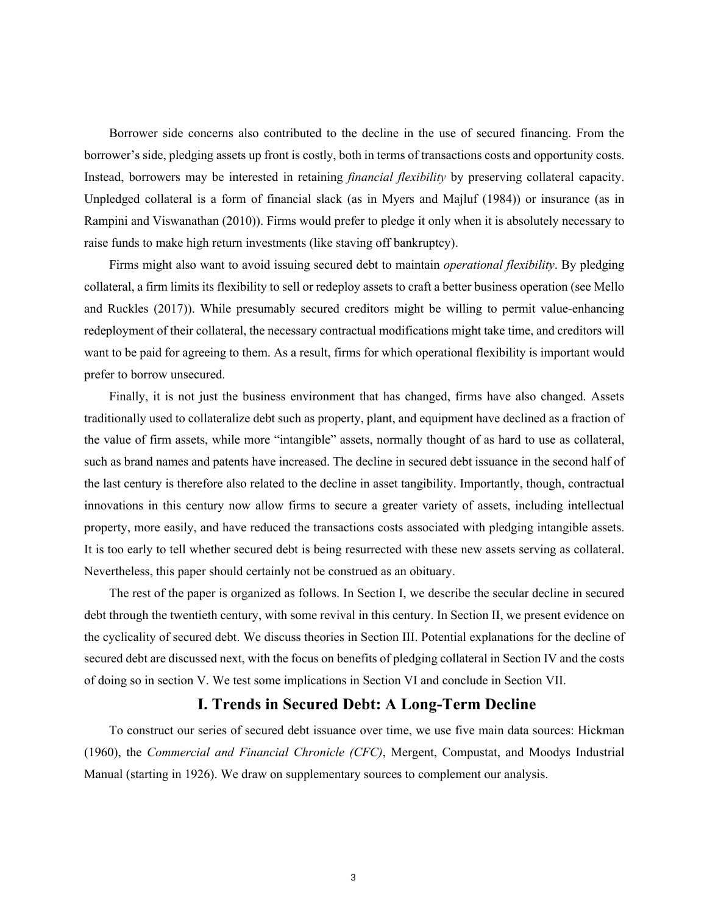Borrower side concerns also contributed to the decline in the use of secured financing. From the borrower's side, pledging assets up front is costly, both in terms of transactions costs and opportunity costs. Instead, borrowers may be interested in retaining *financial flexibility* by preserving collateral capacity. Unpledged collateral is a form of financial slack (as in Myers and Majluf (1984)) or insurance (as in Rampini and Viswanathan (2010)). Firms would prefer to pledge it only when it is absolutely necessary to raise funds to make high return investments (like staving off bankruptcy).

Firms might also want to avoid issuing secured debt to maintain *operational flexibility*. By pledging collateral, a firm limits its flexibility to sell or redeploy assets to craft a better business operation (see Mello and Ruckles (2017)). While presumably secured creditors might be willing to permit value-enhancing redeployment of their collateral, the necessary contractual modifications might take time, and creditors will want to be paid for agreeing to them. As a result, firms for which operational flexibility is important would prefer to borrow unsecured.

Finally, it is not just the business environment that has changed, firms have also changed. Assets traditionally used to collateralize debt such as property, plant, and equipment have declined as a fraction of the value of firm assets, while more "intangible" assets, normally thought of as hard to use as collateral, such as brand names and patents have increased. The decline in secured debt issuance in the second half of the last century is therefore also related to the decline in asset tangibility. Importantly, though, contractual innovations in this century now allow firms to secure a greater variety of assets, including intellectual property, more easily, and have reduced the transactions costs associated with pledging intangible assets. It is too early to tell whether secured debt is being resurrected with these new assets serving as collateral. Nevertheless, this paper should certainly not be construed as an obituary.

The rest of the paper is organized as follows. In Section I, we describe the secular decline in secured debt through the twentieth century, with some revival in this century. In Section II, we present evidence on the cyclicality of secured debt. We discuss theories in Section III. Potential explanations for the decline of secured debt are discussed next, with the focus on benefits of pledging collateral in Section IV and the costs of doing so in section V. We test some implications in Section VI and conclude in Section VII.

## **I. Trends in Secured Debt: A Long-Term Decline**

To construct our series of secured debt issuance over time, we use five main data sources: Hickman (1960), the *Commercial and Financial Chronicle (CFC)*, Mergent, Compustat, and Moodys Industrial Manual (starting in 1926). We draw on supplementary sources to complement our analysis.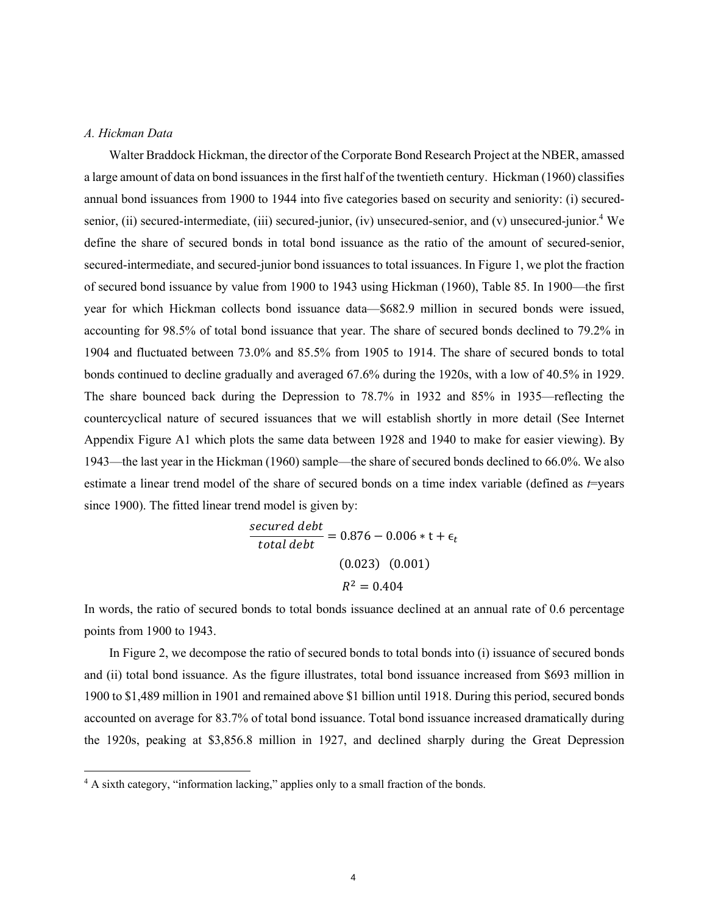### *A. Hickman Data*

Walter Braddock Hickman, the director of the Corporate Bond Research Project at the NBER, amassed a large amount of data on bond issuances in the first half of the twentieth century. Hickman (1960) classifies annual bond issuances from 1900 to 1944 into five categories based on security and seniority: (i) securedsenior, (ii) secured-intermediate, (iii) secured-junior, (iv) unsecured-senior, and (v) unsecured-junior.<sup>4</sup> We define the share of secured bonds in total bond issuance as the ratio of the amount of secured-senior, secured-intermediate, and secured-junior bond issuances to total issuances. In Figure 1, we plot the fraction of secured bond issuance by value from 1900 to 1943 using Hickman (1960), Table 85. In 1900—the first year for which Hickman collects bond issuance data—\$682.9 million in secured bonds were issued, accounting for 98.5% of total bond issuance that year. The share of secured bonds declined to 79.2% in 1904 and fluctuated between 73.0% and 85.5% from 1905 to 1914. The share of secured bonds to total bonds continued to decline gradually and averaged 67.6% during the 1920s, with a low of 40.5% in 1929. The share bounced back during the Depression to 78.7% in 1932 and 85% in 1935—reflecting the countercyclical nature of secured issuances that we will establish shortly in more detail (See Internet Appendix Figure A1 which plots the same data between 1928 and 1940 to make for easier viewing). By 1943—the last year in the Hickman (1960) sample—the share of secured bonds declined to 66.0%. We also estimate a linear trend model of the share of secured bonds on a time index variable (defined as *t*=years since 1900). The fitted linear trend model is given by:

$$
\frac{secured\ debt}{total\ debt} = 0.876 - 0.006 * t + \epsilon_t
$$
  
(0.023) (0.001)  

$$
R^2 = 0.404
$$

In words, the ratio of secured bonds to total bonds issuance declined at an annual rate of 0.6 percentage points from 1900 to 1943.

In Figure 2, we decompose the ratio of secured bonds to total bonds into (i) issuance of secured bonds and (ii) total bond issuance. As the figure illustrates, total bond issuance increased from \$693 million in 1900 to \$1,489 million in 1901 and remained above \$1 billion until 1918. During this period, secured bonds accounted on average for 83.7% of total bond issuance. Total bond issuance increased dramatically during the 1920s, peaking at \$3,856.8 million in 1927, and declined sharply during the Great Depression

<sup>&</sup>lt;sup>4</sup> A sixth category, "information lacking," applies only to a small fraction of the bonds.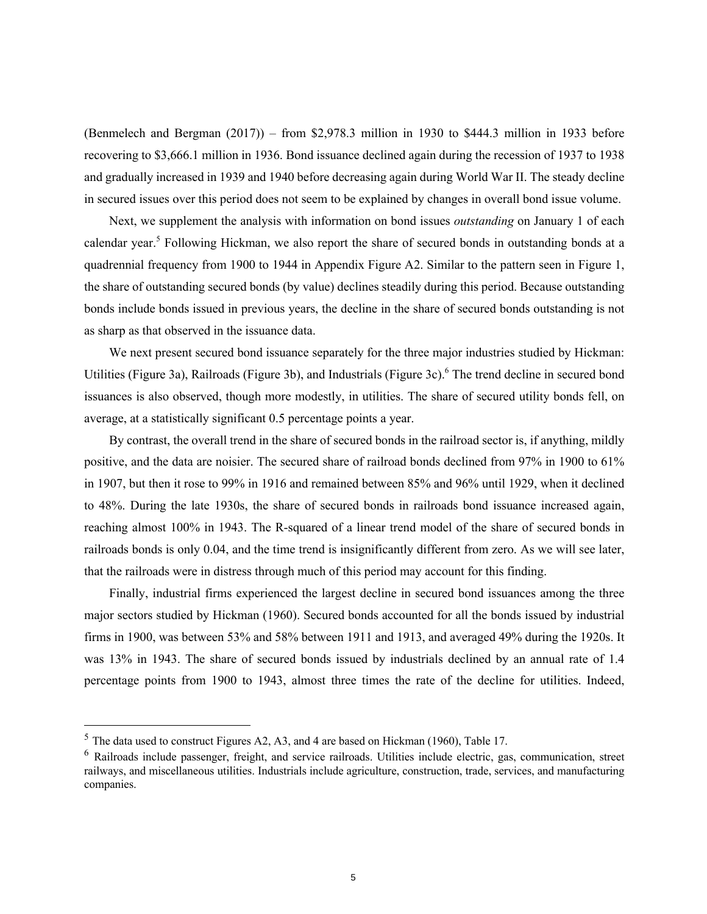(Benmelech and Bergman (2017)) – from \$2,978.3 million in 1930 to \$444.3 million in 1933 before recovering to \$3,666.1 million in 1936. Bond issuance declined again during the recession of 1937 to 1938 and gradually increased in 1939 and 1940 before decreasing again during World War II. The steady decline in secured issues over this period does not seem to be explained by changes in overall bond issue volume.

Next, we supplement the analysis with information on bond issues *outstanding* on January 1 of each calendar year.<sup>5</sup> Following Hickman, we also report the share of secured bonds in outstanding bonds at a quadrennial frequency from 1900 to 1944 in Appendix Figure A2. Similar to the pattern seen in Figure 1, the share of outstanding secured bonds (by value) declines steadily during this period. Because outstanding bonds include bonds issued in previous years, the decline in the share of secured bonds outstanding is not as sharp as that observed in the issuance data.

We next present secured bond issuance separately for the three major industries studied by Hickman: Utilities (Figure 3a), Railroads (Figure 3b), and Industrials (Figure 3c).<sup>6</sup> The trend decline in secured bond issuances is also observed, though more modestly, in utilities. The share of secured utility bonds fell, on average, at a statistically significant 0.5 percentage points a year.

By contrast, the overall trend in the share of secured bonds in the railroad sector is, if anything, mildly positive, and the data are noisier. The secured share of railroad bonds declined from 97% in 1900 to 61% in 1907, but then it rose to 99% in 1916 and remained between 85% and 96% until 1929, when it declined to 48%. During the late 1930s, the share of secured bonds in railroads bond issuance increased again, reaching almost 100% in 1943. The R-squared of a linear trend model of the share of secured bonds in railroads bonds is only 0.04, and the time trend is insignificantly different from zero. As we will see later, that the railroads were in distress through much of this period may account for this finding.

Finally, industrial firms experienced the largest decline in secured bond issuances among the three major sectors studied by Hickman (1960). Secured bonds accounted for all the bonds issued by industrial firms in 1900, was between 53% and 58% between 1911 and 1913, and averaged 49% during the 1920s. It was 13% in 1943. The share of secured bonds issued by industrials declined by an annual rate of 1.4 percentage points from 1900 to 1943, almost three times the rate of the decline for utilities. Indeed,

<sup>5</sup> The data used to construct Figures A2, A3, and 4 are based on Hickman (1960), Table 17.

<sup>6</sup> Railroads include passenger, freight, and service railroads. Utilities include electric, gas, communication, street railways, and miscellaneous utilities. Industrials include agriculture, construction, trade, services, and manufacturing companies.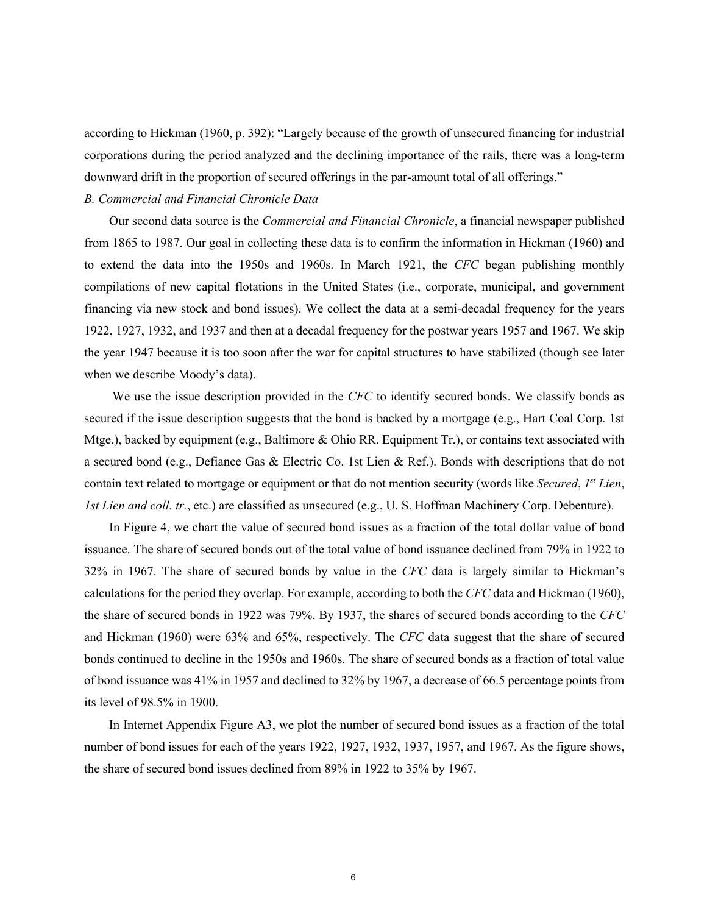according to Hickman (1960, p. 392): "Largely because of the growth of unsecured financing for industrial corporations during the period analyzed and the declining importance of the rails, there was a long-term downward drift in the proportion of secured offerings in the par-amount total of all offerings."

### *B. Commercial and Financial Chronicle Data*

Our second data source is the *Commercial and Financial Chronicle*, a financial newspaper published from 1865 to 1987. Our goal in collecting these data is to confirm the information in Hickman (1960) and to extend the data into the 1950s and 1960s. In March 1921, the *CFC* began publishing monthly compilations of new capital flotations in the United States (i.e., corporate, municipal, and government financing via new stock and bond issues). We collect the data at a semi-decadal frequency for the years 1922, 1927, 1932, and 1937 and then at a decadal frequency for the postwar years 1957 and 1967. We skip the year 1947 because it is too soon after the war for capital structures to have stabilized (though see later when we describe Moody's data).

We use the issue description provided in the *CFC* to identify secured bonds. We classify bonds as secured if the issue description suggests that the bond is backed by a mortgage (e.g., Hart Coal Corp. 1st Mtge.), backed by equipment (e.g., Baltimore & Ohio RR. Equipment Tr.), or contains text associated with a secured bond (e.g., Defiance Gas & Electric Co. 1st Lien & Ref.). Bonds with descriptions that do not contain text related to mortgage or equipment or that do not mention security (words like *Secured*, *1st Lien*, *1st Lien and coll. tr.*, etc.) are classified as unsecured (e.g., U. S. Hoffman Machinery Corp. Debenture).

In Figure 4, we chart the value of secured bond issues as a fraction of the total dollar value of bond issuance. The share of secured bonds out of the total value of bond issuance declined from 79% in 1922 to 32% in 1967. The share of secured bonds by value in the *CFC* data is largely similar to Hickman's calculations for the period they overlap. For example, according to both the *CFC* data and Hickman (1960), the share of secured bonds in 1922 was 79%. By 1937, the shares of secured bonds according to the *CFC* and Hickman (1960) were 63% and 65%, respectively. The *CFC* data suggest that the share of secured bonds continued to decline in the 1950s and 1960s. The share of secured bonds as a fraction of total value of bond issuance was 41% in 1957 and declined to 32% by 1967, a decrease of 66.5 percentage points from its level of 98.5% in 1900.

In Internet Appendix Figure A3, we plot the number of secured bond issues as a fraction of the total number of bond issues for each of the years 1922, 1927, 1932, 1937, 1957, and 1967. As the figure shows, the share of secured bond issues declined from 89% in 1922 to 35% by 1967.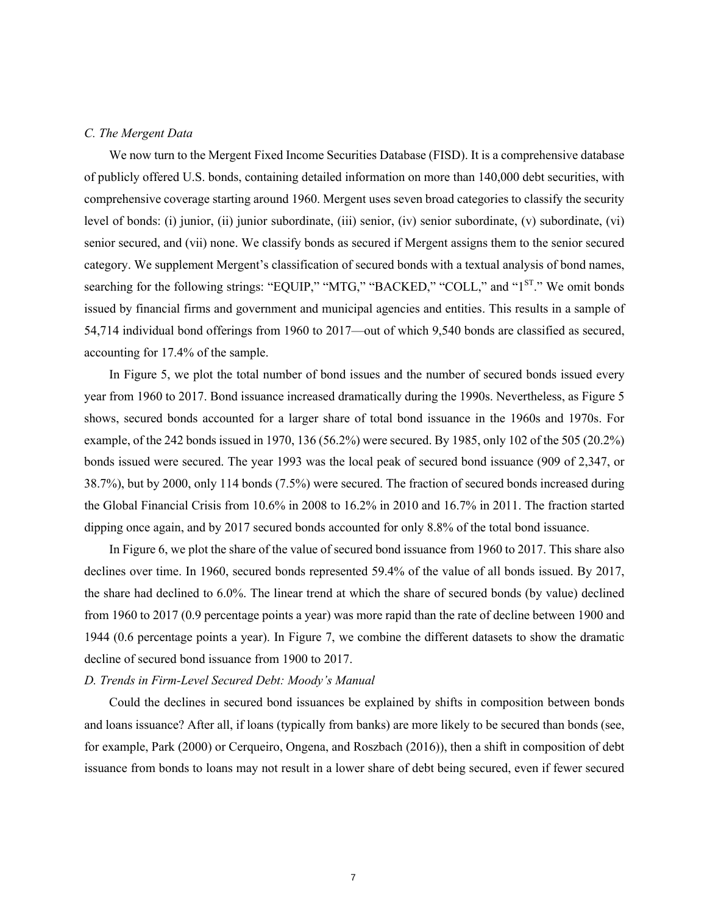#### *C. The Mergent Data*

We now turn to the Mergent Fixed Income Securities Database (FISD). It is a comprehensive database of publicly offered U.S. bonds, containing detailed information on more than 140,000 debt securities, with comprehensive coverage starting around 1960. Mergent uses seven broad categories to classify the security level of bonds: (i) junior, (ii) junior subordinate, (iii) senior, (iv) senior subordinate, (v) subordinate, (vi) senior secured, and (vii) none. We classify bonds as secured if Mergent assigns them to the senior secured category. We supplement Mergent's classification of secured bonds with a textual analysis of bond names, searching for the following strings: "EQUIP," "MTG," "BACKED," "COLL," and "1<sup>ST</sup>." We omit bonds issued by financial firms and government and municipal agencies and entities. This results in a sample of 54,714 individual bond offerings from 1960 to 2017—out of which 9,540 bonds are classified as secured, accounting for 17.4% of the sample.

In Figure 5, we plot the total number of bond issues and the number of secured bonds issued every year from 1960 to 2017. Bond issuance increased dramatically during the 1990s. Nevertheless, as Figure 5 shows, secured bonds accounted for a larger share of total bond issuance in the 1960s and 1970s. For example, of the 242 bonds issued in 1970, 136 (56.2%) were secured. By 1985, only 102 of the 505 (20.2%) bonds issued were secured. The year 1993 was the local peak of secured bond issuance (909 of 2,347, or 38.7%), but by 2000, only 114 bonds (7.5%) were secured. The fraction of secured bonds increased during the Global Financial Crisis from 10.6% in 2008 to 16.2% in 2010 and 16.7% in 2011. The fraction started dipping once again, and by 2017 secured bonds accounted for only 8.8% of the total bond issuance.

In Figure 6, we plot the share of the value of secured bond issuance from 1960 to 2017. This share also declines over time. In 1960, secured bonds represented 59.4% of the value of all bonds issued. By 2017, the share had declined to 6.0%. The linear trend at which the share of secured bonds (by value) declined from 1960 to 2017 (0.9 percentage points a year) was more rapid than the rate of decline between 1900 and 1944 (0.6 percentage points a year). In Figure 7, we combine the different datasets to show the dramatic decline of secured bond issuance from 1900 to 2017.

#### *D. Trends in Firm-Level Secured Debt: Moody's Manual*

Could the declines in secured bond issuances be explained by shifts in composition between bonds and loans issuance? After all, if loans (typically from banks) are more likely to be secured than bonds (see, for example, Park (2000) or Cerqueiro, Ongena, and Roszbach (2016)), then a shift in composition of debt issuance from bonds to loans may not result in a lower share of debt being secured, even if fewer secured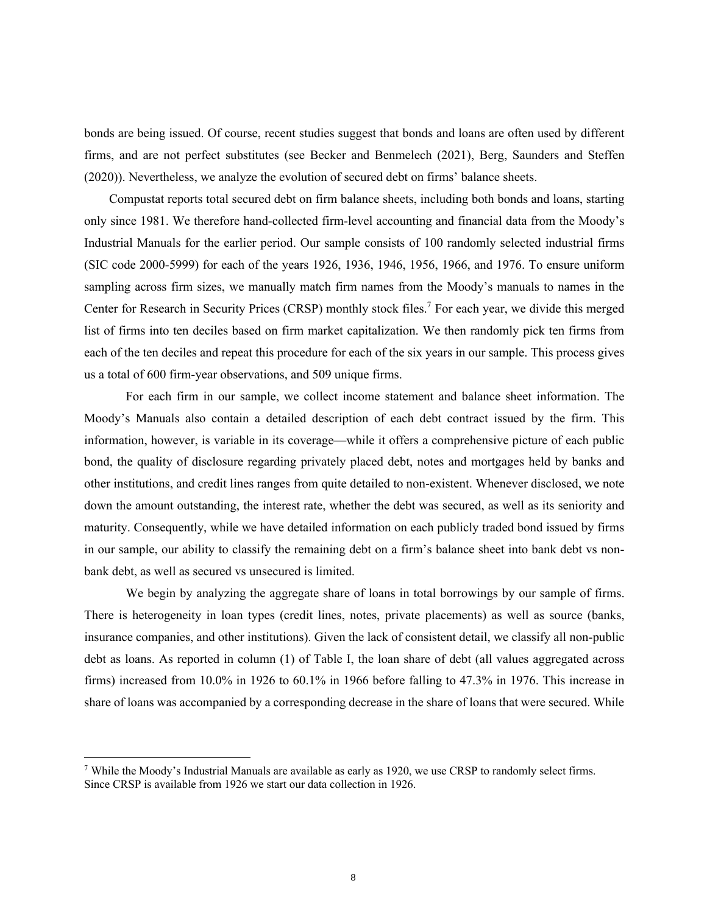bonds are being issued. Of course, recent studies suggest that bonds and loans are often used by different firms, and are not perfect substitutes (see Becker and Benmelech (2021), Berg, Saunders and Steffen (2020)). Nevertheless, we analyze the evolution of secured debt on firms' balance sheets.

Compustat reports total secured debt on firm balance sheets, including both bonds and loans, starting only since 1981. We therefore hand-collected firm-level accounting and financial data from the Moody's Industrial Manuals for the earlier period. Our sample consists of 100 randomly selected industrial firms (SIC code 2000-5999) for each of the years 1926, 1936, 1946, 1956, 1966, and 1976. To ensure uniform sampling across firm sizes, we manually match firm names from the Moody's manuals to names in the Center for Research in Security Prices (CRSP) monthly stock files.<sup>7</sup> For each year, we divide this merged list of firms into ten deciles based on firm market capitalization. We then randomly pick ten firms from each of the ten deciles and repeat this procedure for each of the six years in our sample. This process gives us a total of 600 firm-year observations, and 509 unique firms.

For each firm in our sample, we collect income statement and balance sheet information. The Moody's Manuals also contain a detailed description of each debt contract issued by the firm. This information, however, is variable in its coverage—while it offers a comprehensive picture of each public bond, the quality of disclosure regarding privately placed debt, notes and mortgages held by banks and other institutions, and credit lines ranges from quite detailed to non-existent. Whenever disclosed, we note down the amount outstanding, the interest rate, whether the debt was secured, as well as its seniority and maturity. Consequently, while we have detailed information on each publicly traded bond issued by firms in our sample, our ability to classify the remaining debt on a firm's balance sheet into bank debt vs nonbank debt, as well as secured vs unsecured is limited.

We begin by analyzing the aggregate share of loans in total borrowings by our sample of firms. There is heterogeneity in loan types (credit lines, notes, private placements) as well as source (banks, insurance companies, and other institutions). Given the lack of consistent detail, we classify all non-public debt as loans. As reported in column (1) of Table I, the loan share of debt (all values aggregated across firms) increased from 10.0% in 1926 to 60.1% in 1966 before falling to 47.3% in 1976. This increase in share of loans was accompanied by a corresponding decrease in the share of loans that were secured. While

<sup>&</sup>lt;sup>7</sup> While the Moody's Industrial Manuals are available as early as 1920, we use CRSP to randomly select firms. Since CRSP is available from 1926 we start our data collection in 1926.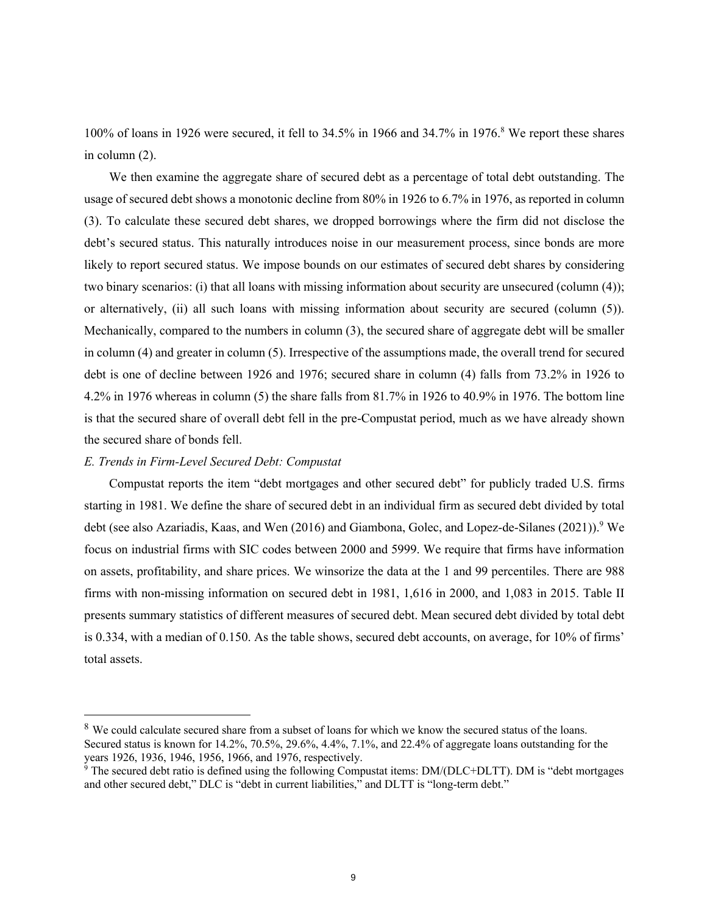100% of loans in 1926 were secured, it fell to 34.5% in 1966 and 34.7% in 1976.<sup>8</sup> We report these shares in column (2).

We then examine the aggregate share of secured debt as a percentage of total debt outstanding. The usage of secured debt shows a monotonic decline from 80% in 1926 to 6.7% in 1976, as reported in column (3). To calculate these secured debt shares, we dropped borrowings where the firm did not disclose the debt's secured status. This naturally introduces noise in our measurement process, since bonds are more likely to report secured status. We impose bounds on our estimates of secured debt shares by considering two binary scenarios: (i) that all loans with missing information about security are unsecured (column (4)); or alternatively, (ii) all such loans with missing information about security are secured (column (5)). Mechanically, compared to the numbers in column (3), the secured share of aggregate debt will be smaller in column (4) and greater in column (5). Irrespective of the assumptions made, the overall trend for secured debt is one of decline between 1926 and 1976; secured share in column (4) falls from 73.2% in 1926 to 4.2% in 1976 whereas in column (5) the share falls from 81.7% in 1926 to 40.9% in 1976. The bottom line is that the secured share of overall debt fell in the pre-Compustat period, much as we have already shown the secured share of bonds fell.

#### *E. Trends in Firm-Level Secured Debt: Compustat*

Compustat reports the item "debt mortgages and other secured debt" for publicly traded U.S. firms starting in 1981. We define the share of secured debt in an individual firm as secured debt divided by total debt (see also Azariadis, Kaas, and Wen (2016) and Giambona, Golec, and Lopez-de-Silanes (2021)).<sup>9</sup> We focus on industrial firms with SIC codes between 2000 and 5999. We require that firms have information on assets, profitability, and share prices. We winsorize the data at the 1 and 99 percentiles. There are 988 firms with non-missing information on secured debt in 1981, 1,616 in 2000, and 1,083 in 2015. Table II presents summary statistics of different measures of secured debt. Mean secured debt divided by total debt is 0.334, with a median of 0.150. As the table shows, secured debt accounts, on average, for 10% of firms' total assets.

<sup>&</sup>lt;sup>8</sup> We could calculate secured share from a subset of loans for which we know the secured status of the loans. Secured status is known for 14.2%, 70.5%, 29.6%, 4.4%, 7.1%, and 22.4% of aggregate loans outstanding for the years 1926, 1936, 1946, 1956, 1966, and 1976, respectively.

 $\frac{3}{9}$  The secured debt ratio is defined using the following Compustat items: DM/(DLC+DLTT). DM is "debt mortgages and other secured debt," DLC is "debt in current liabilities," and DLTT is "long-term debt."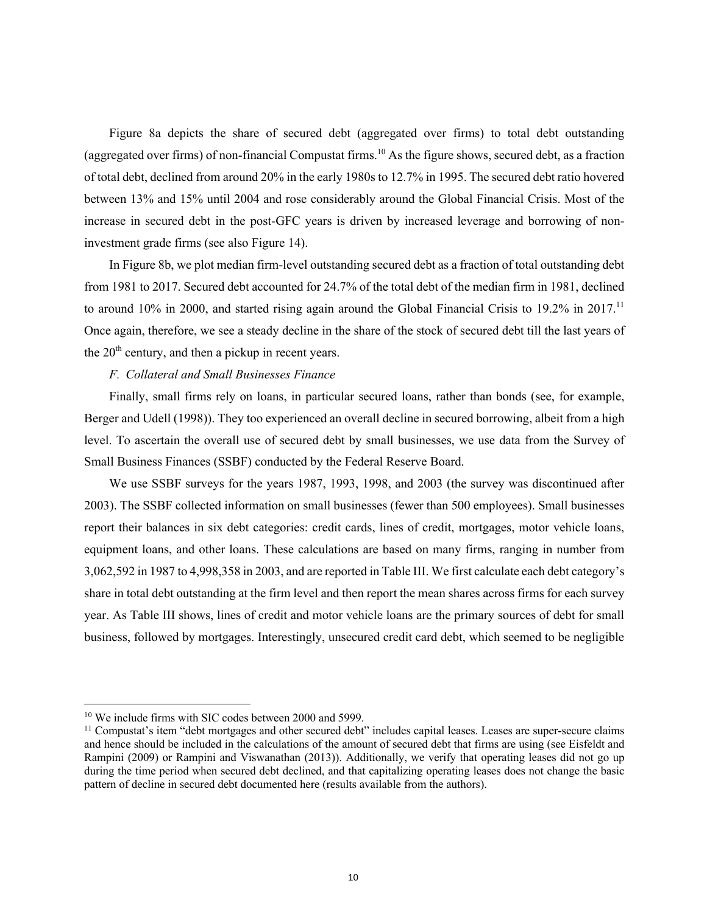Figure 8a depicts the share of secured debt (aggregated over firms) to total debt outstanding (aggregated over firms) of non-financial Compustat firms.<sup>10</sup> As the figure shows, secured debt, as a fraction of total debt, declined from around 20% in the early 1980s to 12.7% in 1995. The secured debt ratio hovered between 13% and 15% until 2004 and rose considerably around the Global Financial Crisis. Most of the increase in secured debt in the post-GFC years is driven by increased leverage and borrowing of noninvestment grade firms (see also Figure 14).

In Figure 8b, we plot median firm-level outstanding secured debt as a fraction of total outstanding debt from 1981 to 2017. Secured debt accounted for 24.7% of the total debt of the median firm in 1981, declined to around 10% in 2000, and started rising again around the Global Financial Crisis to 19.2% in 2017.<sup>11</sup> Once again, therefore, we see a steady decline in the share of the stock of secured debt till the last years of the  $20<sup>th</sup>$  century, and then a pickup in recent years.

#### *F. Collateral and Small Businesses Finance*

Finally, small firms rely on loans, in particular secured loans, rather than bonds (see, for example, Berger and Udell (1998)). They too experienced an overall decline in secured borrowing, albeit from a high level. To ascertain the overall use of secured debt by small businesses, we use data from the Survey of Small Business Finances (SSBF) conducted by the Federal Reserve Board.

We use SSBF surveys for the years 1987, 1993, 1998, and 2003 (the survey was discontinued after 2003). The SSBF collected information on small businesses (fewer than 500 employees). Small businesses report their balances in six debt categories: credit cards, lines of credit, mortgages, motor vehicle loans, equipment loans, and other loans. These calculations are based on many firms, ranging in number from 3,062,592 in 1987 to 4,998,358 in 2003, and are reported in Table III. We first calculate each debt category's share in total debt outstanding at the firm level and then report the mean shares across firms for each survey year. As Table III shows, lines of credit and motor vehicle loans are the primary sources of debt for small business, followed by mortgages. Interestingly, unsecured credit card debt, which seemed to be negligible

<sup>&</sup>lt;sup>10</sup> We include firms with SIC codes between 2000 and 5999.

<sup>&</sup>lt;sup>11</sup> Compustat's item "debt mortgages and other secured debt" includes capital leases. Leases are super-secure claims and hence should be included in the calculations of the amount of secured debt that firms are using (see Eisfeldt and Rampini (2009) or Rampini and Viswanathan (2013)). Additionally, we verify that operating leases did not go up during the time period when secured debt declined, and that capitalizing operating leases does not change the basic pattern of decline in secured debt documented here (results available from the authors).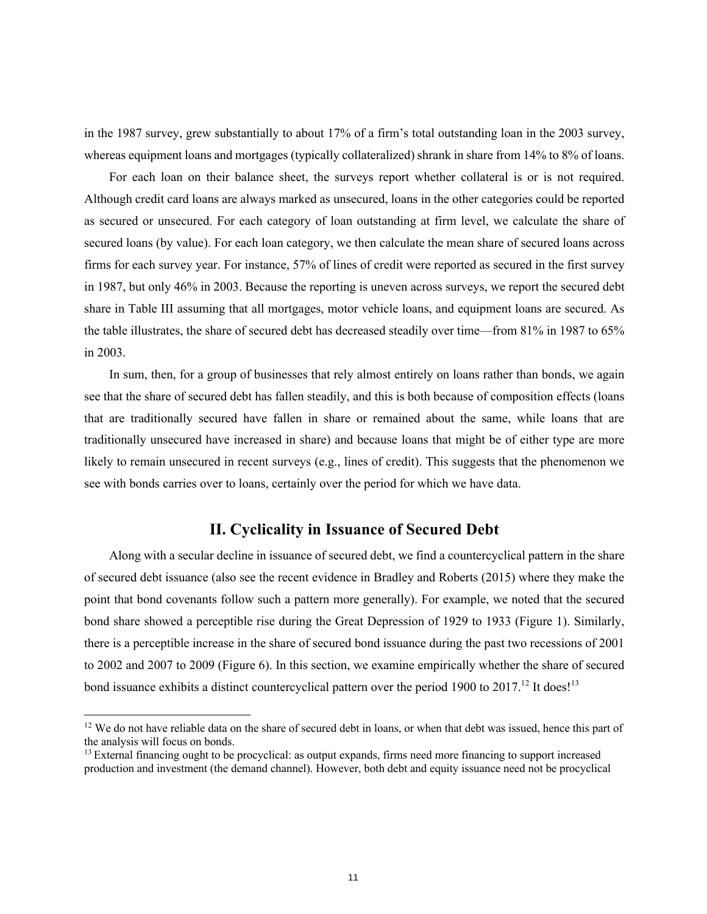in the 1987 survey, grew substantially to about 17% of a firm's total outstanding loan in the 2003 survey, whereas equipment loans and mortgages (typically collateralized) shrank in share from 14% to 8% of loans.

For each loan on their balance sheet, the surveys report whether collateral is or is not required. Although credit card loans are always marked as unsecured, loans in the other categories could be reported as secured or unsecured. For each category of loan outstanding at firm level, we calculate the share of secured loans (by value). For each loan category, we then calculate the mean share of secured loans across firms for each survey year. For instance, 57% of lines of credit were reported as secured in the first survey in 1987, but only 46% in 2003. Because the reporting is uneven across surveys, we report the secured debt share in Table III assuming that all mortgages, motor vehicle loans, and equipment loans are secured. As the table illustrates, the share of secured debt has decreased steadily over time—from 81% in 1987 to 65% in 2003.

In sum, then, for a group of businesses that rely almost entirely on loans rather than bonds, we again see that the share of secured debt has fallen steadily, and this is both because of composition effects (loans that are traditionally secured have fallen in share or remained about the same, while loans that are traditionally unsecured have increased in share) and because loans that might be of either type are more likely to remain unsecured in recent surveys (e.g., lines of credit). This suggests that the phenomenon we see with bonds carries over to loans, certainly over the period for which we have data.

## **II. Cyclicality in Issuance of Secured Debt**

Along with a secular decline in issuance of secured debt, we find a countercyclical pattern in the share of secured debt issuance (also see the recent evidence in Bradley and Roberts (2015) where they make the point that bond covenants follow such a pattern more generally). For example, we noted that the secured bond share showed a perceptible rise during the Great Depression of 1929 to 1933 (Figure 1). Similarly, there is a perceptible increase in the share of secured bond issuance during the past two recessions of 2001 to 2002 and 2007 to 2009 (Figure 6). In this section, we examine empirically whether the share of secured bond issuance exhibits a distinct countercyclical pattern over the period 1900 to 2017.<sup>12</sup> It does!<sup>13</sup>

 $12$  We do not have reliable data on the share of secured debt in loans, or when that debt was issued, hence this part of the analysis will focus on bonds.

 $<sup>13</sup>$  External financing ought to be procyclical: as output expands, firms need more financing to support increased</sup> production and investment (the demand channel). However, both debt and equity issuance need not be procyclical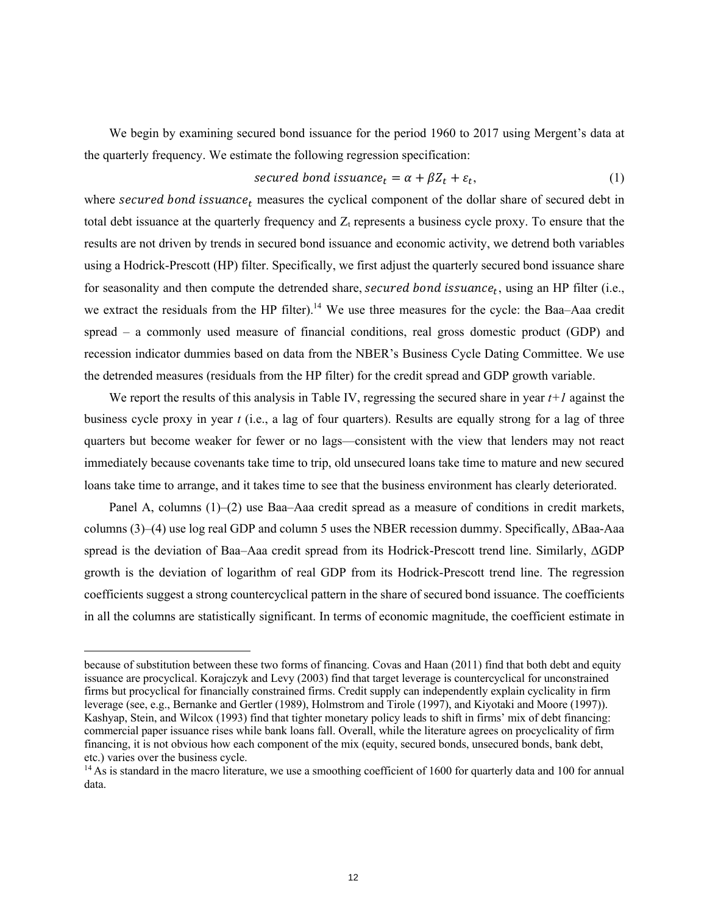We begin by examining secured bond issuance for the period 1960 to 2017 using Mergent's data at the quarterly frequency. We estimate the following regression specification:

$$
secured bond is suance_t = \alpha + \beta Z_t + \varepsilon_t,
$$
\n<sup>(1)</sup>

where secured bond issuance<sub>t</sub> measures the cyclical component of the dollar share of secured debt in total debt issuance at the quarterly frequency and  $Z_t$  represents a business cycle proxy. To ensure that the results are not driven by trends in secured bond issuance and economic activity, we detrend both variables using a Hodrick-Prescott (HP) filter. Specifically, we first adjust the quarterly secured bond issuance share for seasonality and then compute the detrended share, secured bond issuance<sub>t</sub>, using an HP filter (i.e., we extract the residuals from the HP filter).<sup>14</sup> We use three measures for the cycle: the Baa–Aaa credit spread – a commonly used measure of financial conditions, real gross domestic product (GDP) and recession indicator dummies based on data from the NBER's Business Cycle Dating Committee. We use the detrended measures (residuals from the HP filter) for the credit spread and GDP growth variable.

We report the results of this analysis in Table IV, regressing the secured share in year *t+1* against the business cycle proxy in year *t* (i.e., a lag of four quarters). Results are equally strong for a lag of three quarters but become weaker for fewer or no lags—consistent with the view that lenders may not react immediately because covenants take time to trip, old unsecured loans take time to mature and new secured loans take time to arrange, and it takes time to see that the business environment has clearly deteriorated.

Panel A, columns (1)–(2) use Baa–Aaa credit spread as a measure of conditions in credit markets, columns (3)–(4) use log real GDP and column 5 uses the NBER recession dummy. Specifically, ΔBaa-Aaa spread is the deviation of Baa–Aaa credit spread from its Hodrick-Prescott trend line. Similarly, ΔGDP growth is the deviation of logarithm of real GDP from its Hodrick-Prescott trend line. The regression coefficients suggest a strong countercyclical pattern in the share of secured bond issuance. The coefficients in all the columns are statistically significant. In terms of economic magnitude, the coefficient estimate in

because of substitution between these two forms of financing. Covas and Haan (2011) find that both debt and equity issuance are procyclical. Korajczyk and Levy (2003) find that target leverage is countercyclical for unconstrained firms but procyclical for financially constrained firms. Credit supply can independently explain cyclicality in firm leverage (see, e.g., Bernanke and Gertler (1989), Holmstrom and Tirole (1997), and Kiyotaki and Moore (1997)). Kashyap, Stein, and Wilcox (1993) find that tighter monetary policy leads to shift in firms' mix of debt financing: commercial paper issuance rises while bank loans fall. Overall, while the literature agrees on procyclicality of firm financing, it is not obvious how each component of the mix (equity, secured bonds, unsecured bonds, bank debt, etc.) varies over the business cycle.

 $14$  As is standard in the macro literature, we use a smoothing coefficient of 1600 for quarterly data and 100 for annual data.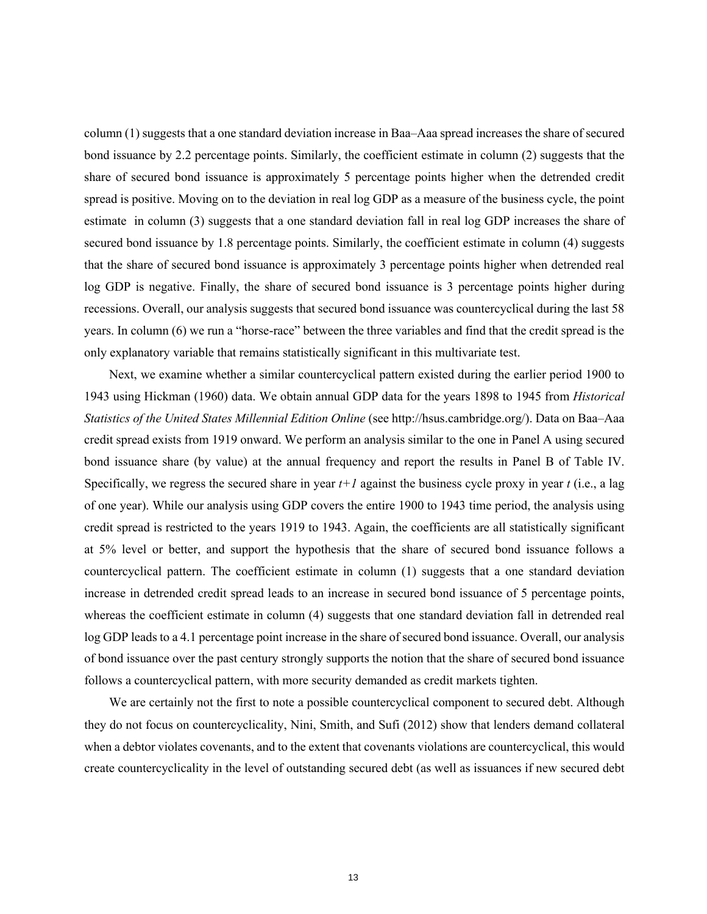column (1) suggests that a one standard deviation increase in Baa–Aaa spread increases the share of secured bond issuance by 2.2 percentage points. Similarly, the coefficient estimate in column (2) suggests that the share of secured bond issuance is approximately 5 percentage points higher when the detrended credit spread is positive. Moving on to the deviation in real log GDP as a measure of the business cycle, the point estimate in column (3) suggests that a one standard deviation fall in real log GDP increases the share of secured bond issuance by 1.8 percentage points. Similarly, the coefficient estimate in column (4) suggests that the share of secured bond issuance is approximately 3 percentage points higher when detrended real log GDP is negative. Finally, the share of secured bond issuance is 3 percentage points higher during recessions. Overall, our analysis suggests that secured bond issuance was countercyclical during the last 58 years. In column (6) we run a "horse-race" between the three variables and find that the credit spread is the only explanatory variable that remains statistically significant in this multivariate test.

Next, we examine whether a similar countercyclical pattern existed during the earlier period 1900 to 1943 using Hickman (1960) data. We obtain annual GDP data for the years 1898 to 1945 from *Historical Statistics of the United States Millennial Edition Online* (see http://hsus.cambridge.org/). Data on Baa–Aaa credit spread exists from 1919 onward. We perform an analysis similar to the one in Panel A using secured bond issuance share (by value) at the annual frequency and report the results in Panel B of Table IV. Specifically, we regress the secured share in year *t+1* against the business cycle proxy in year *t* (i.e., a lag of one year). While our analysis using GDP covers the entire 1900 to 1943 time period, the analysis using credit spread is restricted to the years 1919 to 1943. Again, the coefficients are all statistically significant at 5% level or better, and support the hypothesis that the share of secured bond issuance follows a countercyclical pattern. The coefficient estimate in column (1) suggests that a one standard deviation increase in detrended credit spread leads to an increase in secured bond issuance of 5 percentage points, whereas the coefficient estimate in column (4) suggests that one standard deviation fall in detrended real log GDP leads to a 4.1 percentage point increase in the share of secured bond issuance. Overall, our analysis of bond issuance over the past century strongly supports the notion that the share of secured bond issuance follows a countercyclical pattern, with more security demanded as credit markets tighten.

We are certainly not the first to note a possible countercyclical component to secured debt. Although they do not focus on countercyclicality, Nini, Smith, and Sufi (2012) show that lenders demand collateral when a debtor violates covenants, and to the extent that covenants violations are countercyclical, this would create countercyclicality in the level of outstanding secured debt (as well as issuances if new secured debt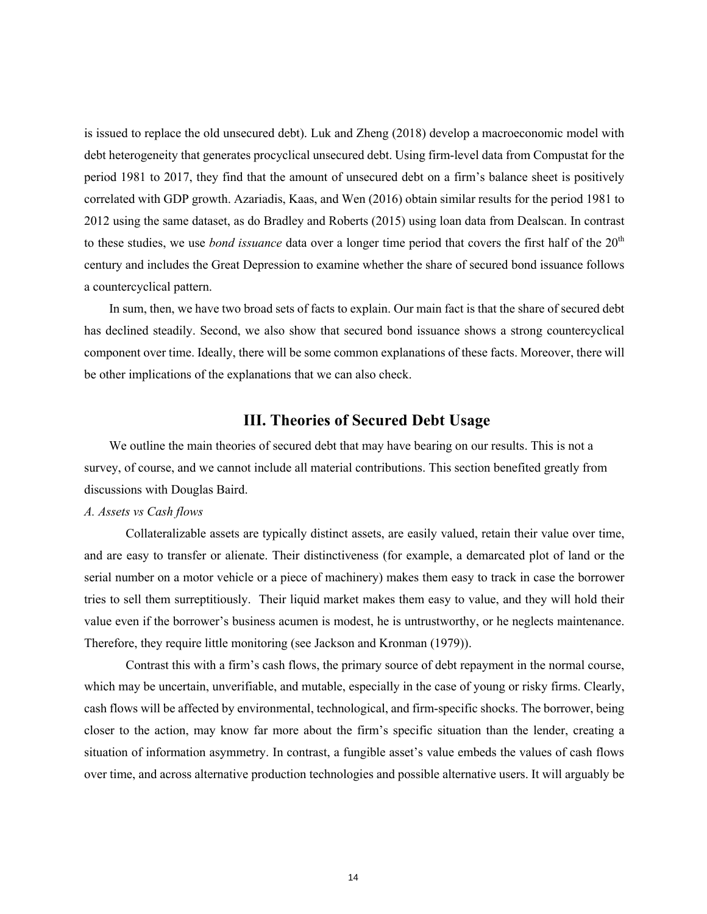is issued to replace the old unsecured debt). Luk and Zheng (2018) develop a macroeconomic model with debt heterogeneity that generates procyclical unsecured debt. Using firm-level data from Compustat for the period 1981 to 2017, they find that the amount of unsecured debt on a firm's balance sheet is positively correlated with GDP growth. Azariadis, Kaas, and Wen (2016) obtain similar results for the period 1981 to 2012 using the same dataset, as do Bradley and Roberts (2015) using loan data from Dealscan. In contrast to these studies, we use *bond issuance* data over a longer time period that covers the first half of the 20<sup>th</sup> century and includes the Great Depression to examine whether the share of secured bond issuance follows a countercyclical pattern.

In sum, then, we have two broad sets of facts to explain. Our main fact is that the share of secured debt has declined steadily. Second, we also show that secured bond issuance shows a strong countercyclical component over time. Ideally, there will be some common explanations of these facts. Moreover, there will be other implications of the explanations that we can also check.

## **III. Theories of Secured Debt Usage**

We outline the main theories of secured debt that may have bearing on our results. This is not a survey, of course, and we cannot include all material contributions. This section benefited greatly from discussions with Douglas Baird.

#### *A. Assets vs Cash flows*

Collateralizable assets are typically distinct assets, are easily valued, retain their value over time, and are easy to transfer or alienate. Their distinctiveness (for example, a demarcated plot of land or the serial number on a motor vehicle or a piece of machinery) makes them easy to track in case the borrower tries to sell them surreptitiously. Their liquid market makes them easy to value, and they will hold their value even if the borrower's business acumen is modest, he is untrustworthy, or he neglects maintenance. Therefore, they require little monitoring (see Jackson and Kronman (1979)).

Contrast this with a firm's cash flows, the primary source of debt repayment in the normal course, which may be uncertain, unverifiable, and mutable, especially in the case of young or risky firms. Clearly, cash flows will be affected by environmental, technological, and firm-specific shocks. The borrower, being closer to the action, may know far more about the firm's specific situation than the lender, creating a situation of information asymmetry. In contrast, a fungible asset's value embeds the values of cash flows over time, and across alternative production technologies and possible alternative users. It will arguably be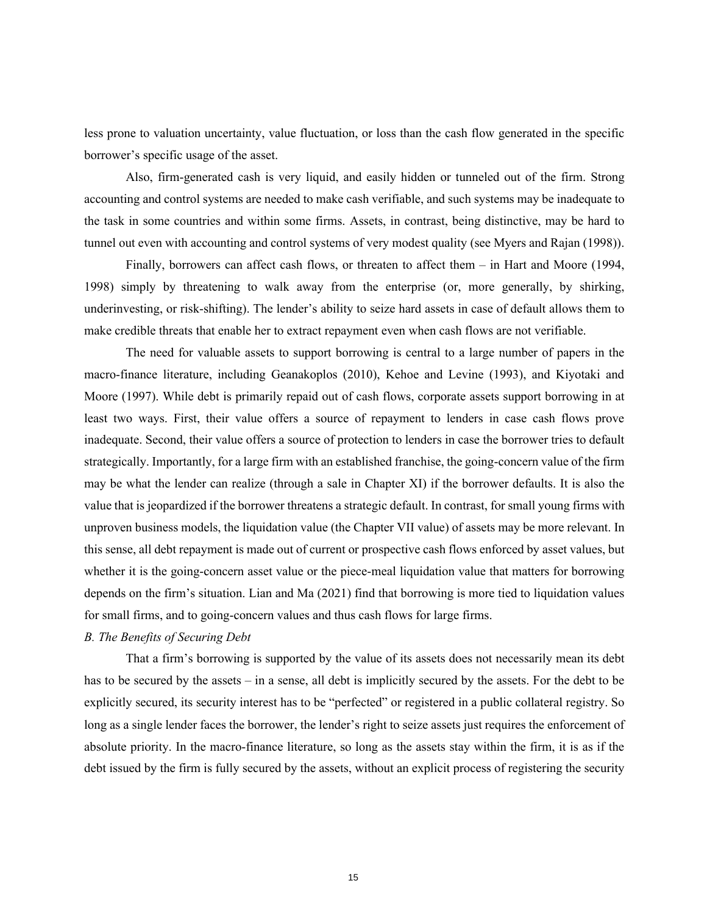less prone to valuation uncertainty, value fluctuation, or loss than the cash flow generated in the specific borrower's specific usage of the asset.

Also, firm-generated cash is very liquid, and easily hidden or tunneled out of the firm. Strong accounting and control systems are needed to make cash verifiable, and such systems may be inadequate to the task in some countries and within some firms. Assets, in contrast, being distinctive, may be hard to tunnel out even with accounting and control systems of very modest quality (see Myers and Rajan (1998)).

Finally, borrowers can affect cash flows, or threaten to affect them – in Hart and Moore (1994, 1998) simply by threatening to walk away from the enterprise (or, more generally, by shirking, underinvesting, or risk-shifting). The lender's ability to seize hard assets in case of default allows them to make credible threats that enable her to extract repayment even when cash flows are not verifiable.

The need for valuable assets to support borrowing is central to a large number of papers in the macro-finance literature, including Geanakoplos (2010), Kehoe and Levine (1993), and Kiyotaki and Moore (1997). While debt is primarily repaid out of cash flows, corporate assets support borrowing in at least two ways. First, their value offers a source of repayment to lenders in case cash flows prove inadequate. Second, their value offers a source of protection to lenders in case the borrower tries to default strategically. Importantly, for a large firm with an established franchise, the going-concern value of the firm may be what the lender can realize (through a sale in Chapter XI) if the borrower defaults. It is also the value that is jeopardized if the borrower threatens a strategic default. In contrast, for small young firms with unproven business models, the liquidation value (the Chapter VII value) of assets may be more relevant. In this sense, all debt repayment is made out of current or prospective cash flows enforced by asset values, but whether it is the going-concern asset value or the piece-meal liquidation value that matters for borrowing depends on the firm's situation. Lian and Ma (2021) find that borrowing is more tied to liquidation values for small firms, and to going-concern values and thus cash flows for large firms.

#### *B. The Benefits of Securing Debt*

That a firm's borrowing is supported by the value of its assets does not necessarily mean its debt has to be secured by the assets – in a sense, all debt is implicitly secured by the assets. For the debt to be explicitly secured, its security interest has to be "perfected" or registered in a public collateral registry. So long as a single lender faces the borrower, the lender's right to seize assets just requires the enforcement of absolute priority. In the macro-finance literature, so long as the assets stay within the firm, it is as if the debt issued by the firm is fully secured by the assets, without an explicit process of registering the security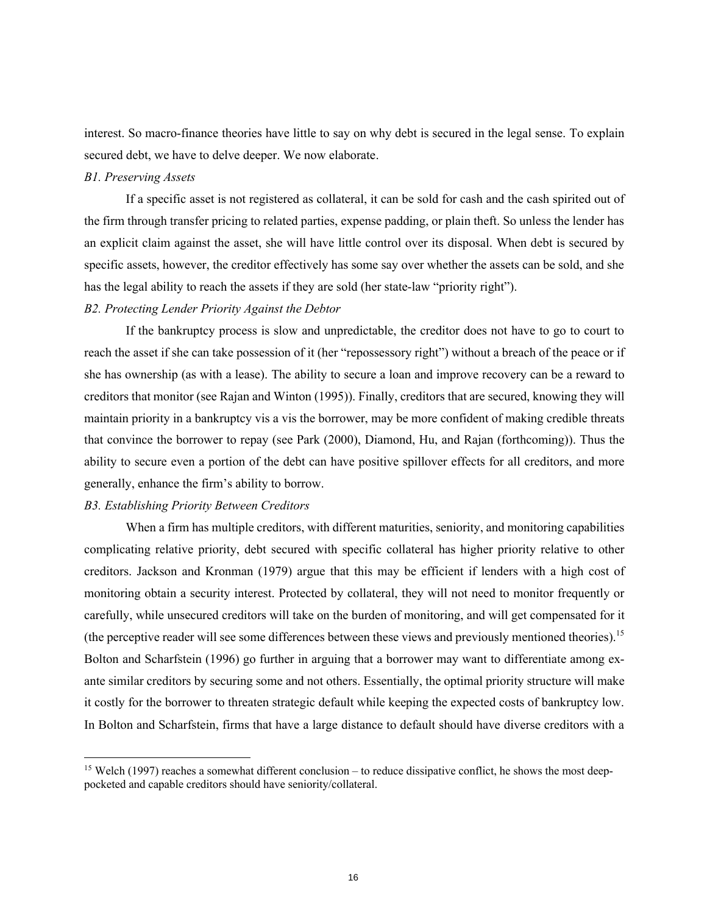interest. So macro-finance theories have little to say on why debt is secured in the legal sense. To explain secured debt, we have to delve deeper. We now elaborate.

#### *B1. Preserving Assets*

If a specific asset is not registered as collateral, it can be sold for cash and the cash spirited out of the firm through transfer pricing to related parties, expense padding, or plain theft. So unless the lender has an explicit claim against the asset, she will have little control over its disposal. When debt is secured by specific assets, however, the creditor effectively has some say over whether the assets can be sold, and she has the legal ability to reach the assets if they are sold (her state-law "priority right").

#### *B2. Protecting Lender Priority Against the Debtor*

If the bankruptcy process is slow and unpredictable, the creditor does not have to go to court to reach the asset if she can take possession of it (her "repossessory right") without a breach of the peace or if she has ownership (as with a lease). The ability to secure a loan and improve recovery can be a reward to creditors that monitor (see Rajan and Winton (1995)). Finally, creditors that are secured, knowing they will maintain priority in a bankruptcy vis a vis the borrower, may be more confident of making credible threats that convince the borrower to repay (see Park (2000), Diamond, Hu, and Rajan (forthcoming)). Thus the ability to secure even a portion of the debt can have positive spillover effects for all creditors, and more generally, enhance the firm's ability to borrow.

### *B3. Establishing Priority Between Creditors*

When a firm has multiple creditors, with different maturities, seniority, and monitoring capabilities complicating relative priority, debt secured with specific collateral has higher priority relative to other creditors. Jackson and Kronman (1979) argue that this may be efficient if lenders with a high cost of monitoring obtain a security interest. Protected by collateral, they will not need to monitor frequently or carefully, while unsecured creditors will take on the burden of monitoring, and will get compensated for it (the perceptive reader will see some differences between these views and previously mentioned theories). 15 Bolton and Scharfstein (1996) go further in arguing that a borrower may want to differentiate among exante similar creditors by securing some and not others. Essentially, the optimal priority structure will make it costly for the borrower to threaten strategic default while keeping the expected costs of bankruptcy low. In Bolton and Scharfstein, firms that have a large distance to default should have diverse creditors with a

 $15$  Welch (1997) reaches a somewhat different conclusion – to reduce dissipative conflict, he shows the most deeppocketed and capable creditors should have seniority/collateral.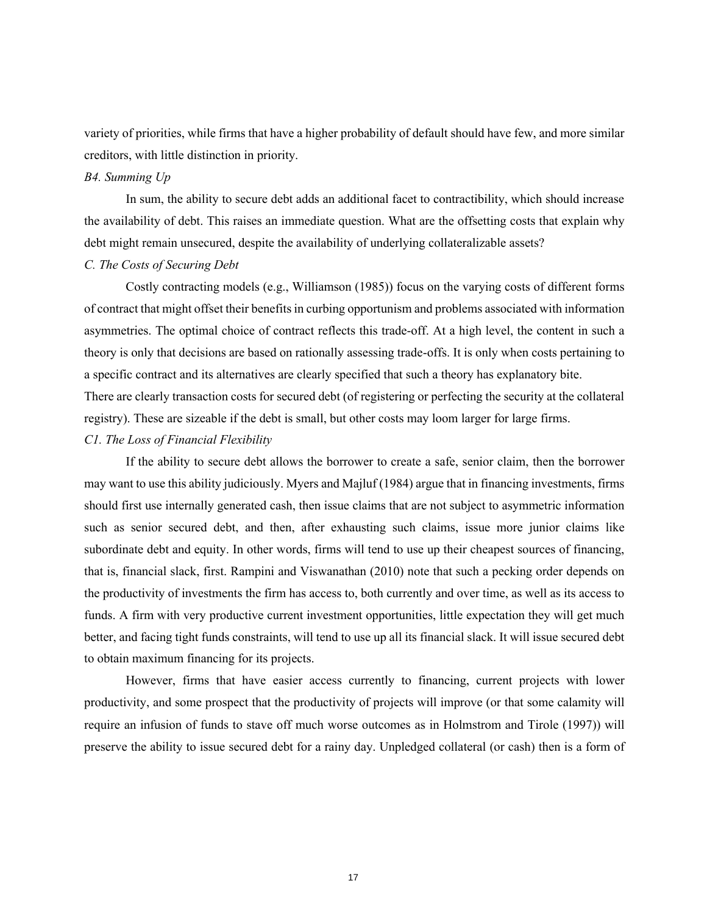variety of priorities, while firms that have a higher probability of default should have few, and more similar creditors, with little distinction in priority.

### *B4. Summing Up*

In sum, the ability to secure debt adds an additional facet to contractibility, which should increase the availability of debt. This raises an immediate question. What are the offsetting costs that explain why debt might remain unsecured, despite the availability of underlying collateralizable assets?

#### *C. The Costs of Securing Debt*

Costly contracting models (e.g., Williamson (1985)) focus on the varying costs of different forms of contract that might offset their benefits in curbing opportunism and problems associated with information asymmetries. The optimal choice of contract reflects this trade-off. At a high level, the content in such a theory is only that decisions are based on rationally assessing trade-offs. It is only when costs pertaining to a specific contract and its alternatives are clearly specified that such a theory has explanatory bite.

There are clearly transaction costs for secured debt (of registering or perfecting the security at the collateral registry). These are sizeable if the debt is small, but other costs may loom larger for large firms.

### *C1. The Loss of Financial Flexibility*

If the ability to secure debt allows the borrower to create a safe, senior claim, then the borrower may want to use this ability judiciously. Myers and Majluf (1984) argue that in financing investments, firms should first use internally generated cash, then issue claims that are not subject to asymmetric information such as senior secured debt, and then, after exhausting such claims, issue more junior claims like subordinate debt and equity. In other words, firms will tend to use up their cheapest sources of financing, that is, financial slack, first. Rampini and Viswanathan (2010) note that such a pecking order depends on the productivity of investments the firm has access to, both currently and over time, as well as its access to funds. A firm with very productive current investment opportunities, little expectation they will get much better, and facing tight funds constraints, will tend to use up all its financial slack. It will issue secured debt to obtain maximum financing for its projects.

However, firms that have easier access currently to financing, current projects with lower productivity, and some prospect that the productivity of projects will improve (or that some calamity will require an infusion of funds to stave off much worse outcomes as in Holmstrom and Tirole (1997)) will preserve the ability to issue secured debt for a rainy day. Unpledged collateral (or cash) then is a form of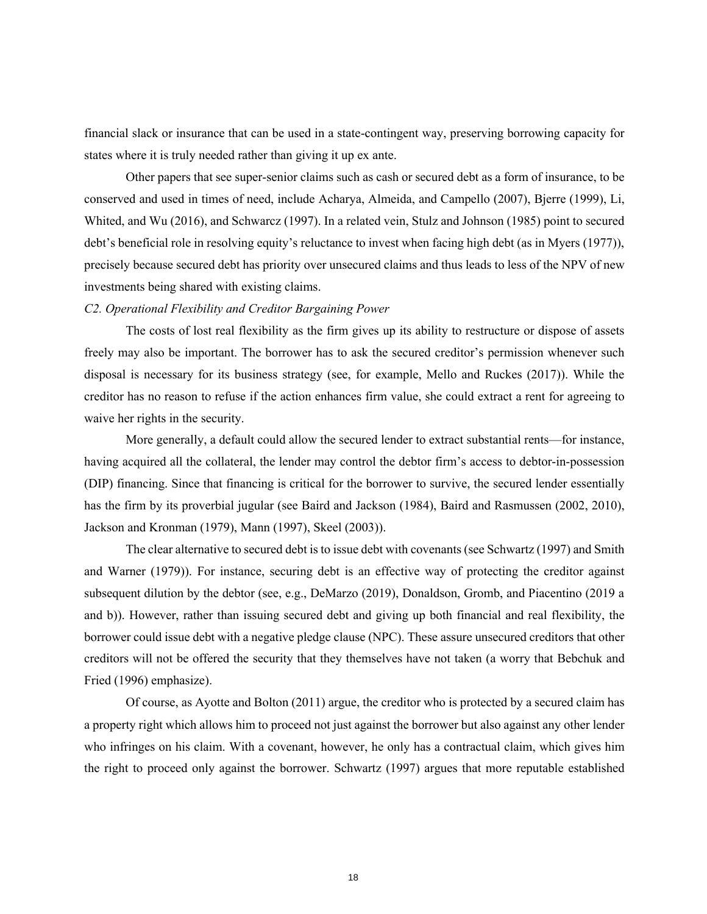financial slack or insurance that can be used in a state-contingent way, preserving borrowing capacity for states where it is truly needed rather than giving it up ex ante.

Other papers that see super-senior claims such as cash or secured debt as a form of insurance, to be conserved and used in times of need, include Acharya, Almeida, and Campello (2007), Bjerre (1999), Li, Whited, and Wu (2016), and Schwarcz (1997). In a related vein, Stulz and Johnson (1985) point to secured debt's beneficial role in resolving equity's reluctance to invest when facing high debt (as in Myers (1977)), precisely because secured debt has priority over unsecured claims and thus leads to less of the NPV of new investments being shared with existing claims.

#### *C2. Operational Flexibility and Creditor Bargaining Power*

The costs of lost real flexibility as the firm gives up its ability to restructure or dispose of assets freely may also be important. The borrower has to ask the secured creditor's permission whenever such disposal is necessary for its business strategy (see, for example, Mello and Ruckes (2017)). While the creditor has no reason to refuse if the action enhances firm value, she could extract a rent for agreeing to waive her rights in the security.

More generally, a default could allow the secured lender to extract substantial rents—for instance, having acquired all the collateral, the lender may control the debtor firm's access to debtor-in-possession (DIP) financing. Since that financing is critical for the borrower to survive, the secured lender essentially has the firm by its proverbial jugular (see Baird and Jackson (1984), Baird and Rasmussen (2002, 2010), Jackson and Kronman (1979), Mann (1997), Skeel (2003)).

The clear alternative to secured debt is to issue debt with covenants (see Schwartz (1997) and Smith and Warner (1979)). For instance, securing debt is an effective way of protecting the creditor against subsequent dilution by the debtor (see, e.g., DeMarzo (2019), Donaldson, Gromb, and Piacentino (2019 a and b)). However, rather than issuing secured debt and giving up both financial and real flexibility, the borrower could issue debt with a negative pledge clause (NPC). These assure unsecured creditors that other creditors will not be offered the security that they themselves have not taken (a worry that Bebchuk and Fried (1996) emphasize).

Of course, as Ayotte and Bolton (2011) argue, the creditor who is protected by a secured claim has a property right which allows him to proceed not just against the borrower but also against any other lender who infringes on his claim. With a covenant, however, he only has a contractual claim, which gives him the right to proceed only against the borrower. Schwartz (1997) argues that more reputable established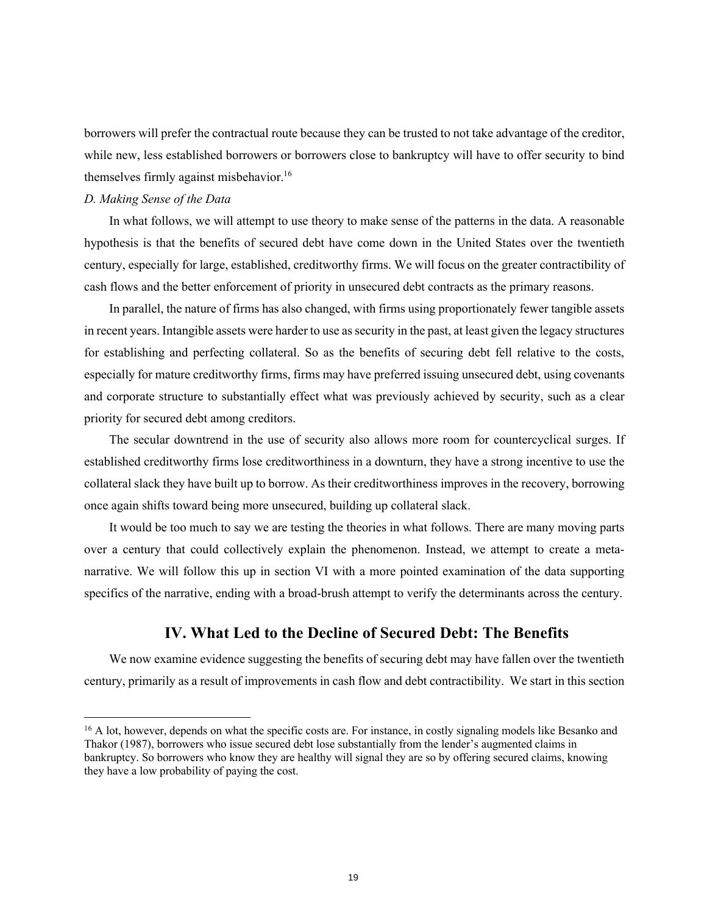borrowers will prefer the contractual route because they can be trusted to not take advantage of the creditor, while new, less established borrowers or borrowers close to bankruptcy will have to offer security to bind themselves firmly against misbehavior.<sup>16</sup>

### *D. Making Sense of the Data*

In what follows, we will attempt to use theory to make sense of the patterns in the data. A reasonable hypothesis is that the benefits of secured debt have come down in the United States over the twentieth century, especially for large, established, creditworthy firms. We will focus on the greater contractibility of cash flows and the better enforcement of priority in unsecured debt contracts as the primary reasons.

In parallel, the nature of firms has also changed, with firms using proportionately fewer tangible assets in recent years. Intangible assets were harder to use as security in the past, at least given the legacy structures for establishing and perfecting collateral. So as the benefits of securing debt fell relative to the costs, especially for mature creditworthy firms, firms may have preferred issuing unsecured debt, using covenants and corporate structure to substantially effect what was previously achieved by security, such as a clear priority for secured debt among creditors.

The secular downtrend in the use of security also allows more room for countercyclical surges. If established creditworthy firms lose creditworthiness in a downturn, they have a strong incentive to use the collateral slack they have built up to borrow. As their creditworthiness improves in the recovery, borrowing once again shifts toward being more unsecured, building up collateral slack.

It would be too much to say we are testing the theories in what follows. There are many moving parts over a century that could collectively explain the phenomenon. Instead, we attempt to create a metanarrative. We will follow this up in section VI with a more pointed examination of the data supporting specifics of the narrative, ending with a broad-brush attempt to verify the determinants across the century.

## **IV. What Led to the Decline of Secured Debt: The Benefits**

We now examine evidence suggesting the benefits of securing debt may have fallen over the twentieth century, primarily as a result of improvements in cash flow and debt contractibility. We start in this section

<sup>&</sup>lt;sup>16</sup> A lot, however, depends on what the specific costs are. For instance, in costly signaling models like Besanko and Thakor (1987), borrowers who issue secured debt lose substantially from the lender's augmented claims in bankruptcy. So borrowers who know they are healthy will signal they are so by offering secured claims, knowing they have a low probability of paying the cost.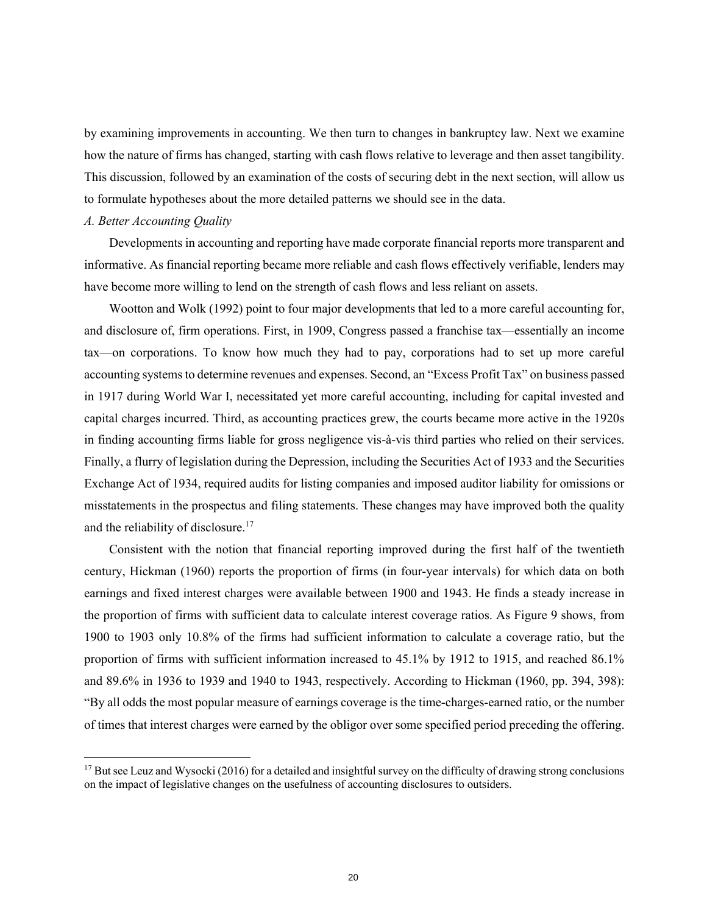by examining improvements in accounting. We then turn to changes in bankruptcy law. Next we examine how the nature of firms has changed, starting with cash flows relative to leverage and then asset tangibility. This discussion, followed by an examination of the costs of securing debt in the next section, will allow us to formulate hypotheses about the more detailed patterns we should see in the data.

#### *A. Better Accounting Quality*

Developments in accounting and reporting have made corporate financial reports more transparent and informative. As financial reporting became more reliable and cash flows effectively verifiable, lenders may have become more willing to lend on the strength of cash flows and less reliant on assets.

Wootton and Wolk (1992) point to four major developments that led to a more careful accounting for, and disclosure of, firm operations. First, in 1909, Congress passed a franchise tax—essentially an income tax—on corporations. To know how much they had to pay, corporations had to set up more careful accounting systems to determine revenues and expenses. Second, an "Excess Profit Tax" on business passed in 1917 during World War I, necessitated yet more careful accounting, including for capital invested and capital charges incurred. Third, as accounting practices grew, the courts became more active in the 1920s in finding accounting firms liable for gross negligence vis-à-vis third parties who relied on their services. Finally, a flurry of legislation during the Depression, including the Securities Act of 1933 and the Securities Exchange Act of 1934, required audits for listing companies and imposed auditor liability for omissions or misstatements in the prospectus and filing statements. These changes may have improved both the quality and the reliability of disclosure.<sup>17</sup>

Consistent with the notion that financial reporting improved during the first half of the twentieth century, Hickman (1960) reports the proportion of firms (in four-year intervals) for which data on both earnings and fixed interest charges were available between 1900 and 1943. He finds a steady increase in the proportion of firms with sufficient data to calculate interest coverage ratios. As Figure 9 shows, from 1900 to 1903 only 10.8% of the firms had sufficient information to calculate a coverage ratio, but the proportion of firms with sufficient information increased to 45.1% by 1912 to 1915, and reached 86.1% and 89.6% in 1936 to 1939 and 1940 to 1943, respectively. According to Hickman (1960, pp. 394, 398): "By all odds the most popular measure of earnings coverage is the time-charges-earned ratio, or the number of times that interest charges were earned by the obligor over some specified period preceding the offering.

<sup>&</sup>lt;sup>17</sup> But see Leuz and Wysocki (2016) for a detailed and insightful survey on the difficulty of drawing strong conclusions on the impact of legislative changes on the usefulness of accounting disclosures to outsiders.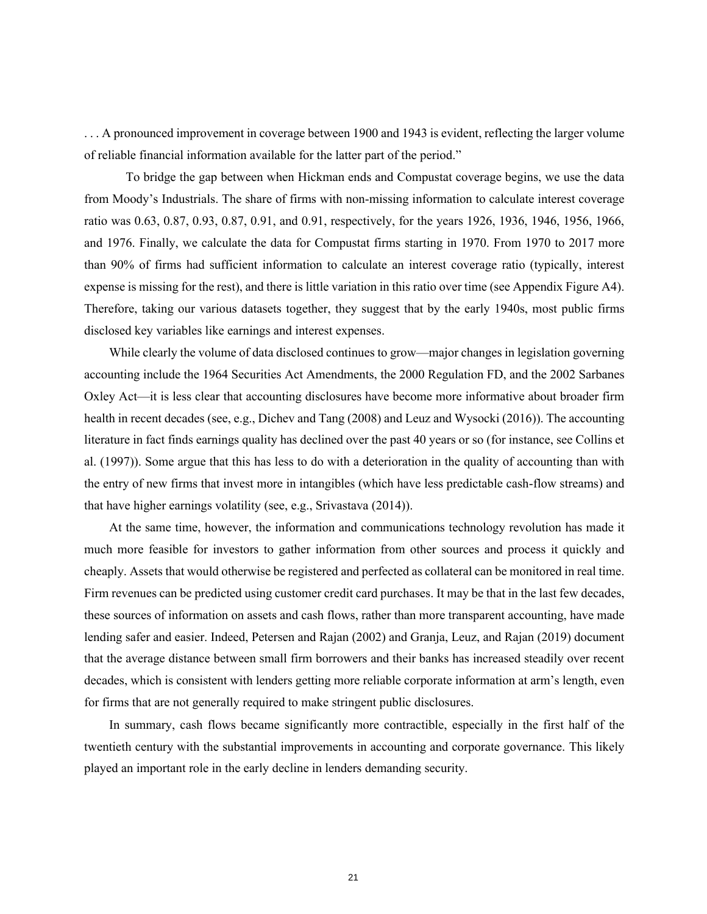. . . A pronounced improvement in coverage between 1900 and 1943 is evident, reflecting the larger volume of reliable financial information available for the latter part of the period."

To bridge the gap between when Hickman ends and Compustat coverage begins, we use the data from Moody's Industrials. The share of firms with non-missing information to calculate interest coverage ratio was 0.63, 0.87, 0.93, 0.87, 0.91, and 0.91, respectively, for the years 1926, 1936, 1946, 1956, 1966, and 1976. Finally, we calculate the data for Compustat firms starting in 1970. From 1970 to 2017 more than 90% of firms had sufficient information to calculate an interest coverage ratio (typically, interest expense is missing for the rest), and there is little variation in this ratio over time (see Appendix Figure A4). Therefore, taking our various datasets together, they suggest that by the early 1940s, most public firms disclosed key variables like earnings and interest expenses.

While clearly the volume of data disclosed continues to grow—major changes in legislation governing accounting include the 1964 Securities Act Amendments, the 2000 Regulation FD, and the 2002 Sarbanes Oxley Act—it is less clear that accounting disclosures have become more informative about broader firm health in recent decades (see, e.g., Dichev and Tang (2008) and Leuz and Wysocki (2016)). The accounting literature in fact finds earnings quality has declined over the past 40 years or so (for instance, see Collins et al. (1997)). Some argue that this has less to do with a deterioration in the quality of accounting than with the entry of new firms that invest more in intangibles (which have less predictable cash-flow streams) and that have higher earnings volatility (see, e.g., Srivastava (2014)).

At the same time, however, the information and communications technology revolution has made it much more feasible for investors to gather information from other sources and process it quickly and cheaply. Assets that would otherwise be registered and perfected as collateral can be monitored in real time. Firm revenues can be predicted using customer credit card purchases. It may be that in the last few decades, these sources of information on assets and cash flows, rather than more transparent accounting, have made lending safer and easier. Indeed, Petersen and Rajan (2002) and Granja, Leuz, and Rajan (2019) document that the average distance between small firm borrowers and their banks has increased steadily over recent decades, which is consistent with lenders getting more reliable corporate information at arm's length, even for firms that are not generally required to make stringent public disclosures.

In summary, cash flows became significantly more contractible, especially in the first half of the twentieth century with the substantial improvements in accounting and corporate governance. This likely played an important role in the early decline in lenders demanding security.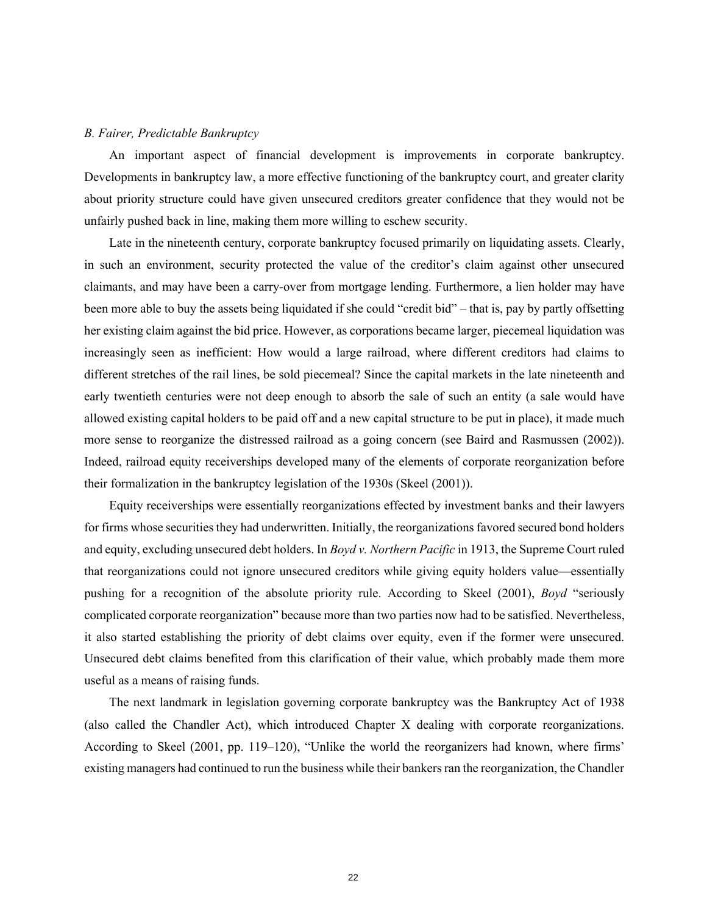#### *B. Fairer, Predictable Bankruptcy*

An important aspect of financial development is improvements in corporate bankruptcy. Developments in bankruptcy law, a more effective functioning of the bankruptcy court, and greater clarity about priority structure could have given unsecured creditors greater confidence that they would not be unfairly pushed back in line, making them more willing to eschew security.

Late in the nineteenth century, corporate bankruptcy focused primarily on liquidating assets. Clearly, in such an environment, security protected the value of the creditor's claim against other unsecured claimants, and may have been a carry-over from mortgage lending. Furthermore, a lien holder may have been more able to buy the assets being liquidated if she could "credit bid" – that is, pay by partly offsetting her existing claim against the bid price. However, as corporations became larger, piecemeal liquidation was increasingly seen as inefficient: How would a large railroad, where different creditors had claims to different stretches of the rail lines, be sold piecemeal? Since the capital markets in the late nineteenth and early twentieth centuries were not deep enough to absorb the sale of such an entity (a sale would have allowed existing capital holders to be paid off and a new capital structure to be put in place), it made much more sense to reorganize the distressed railroad as a going concern (see Baird and Rasmussen (2002)). Indeed, railroad equity receiverships developed many of the elements of corporate reorganization before their formalization in the bankruptcy legislation of the 1930s (Skeel (2001)).

Equity receiverships were essentially reorganizations effected by investment banks and their lawyers for firms whose securities they had underwritten. Initially, the reorganizations favored secured bond holders and equity, excluding unsecured debt holders. In *Boyd v. Northern Pacific* in 1913, the Supreme Court ruled that reorganizations could not ignore unsecured creditors while giving equity holders value—essentially pushing for a recognition of the absolute priority rule. According to Skeel (2001), *Boyd* "seriously complicated corporate reorganization" because more than two parties now had to be satisfied. Nevertheless, it also started establishing the priority of debt claims over equity, even if the former were unsecured. Unsecured debt claims benefited from this clarification of their value, which probably made them more useful as a means of raising funds.

The next landmark in legislation governing corporate bankruptcy was the Bankruptcy Act of 1938 (also called the Chandler Act), which introduced Chapter X dealing with corporate reorganizations. According to Skeel (2001, pp. 119–120), "Unlike the world the reorganizers had known, where firms' existing managers had continued to run the business while their bankers ran the reorganization, the Chandler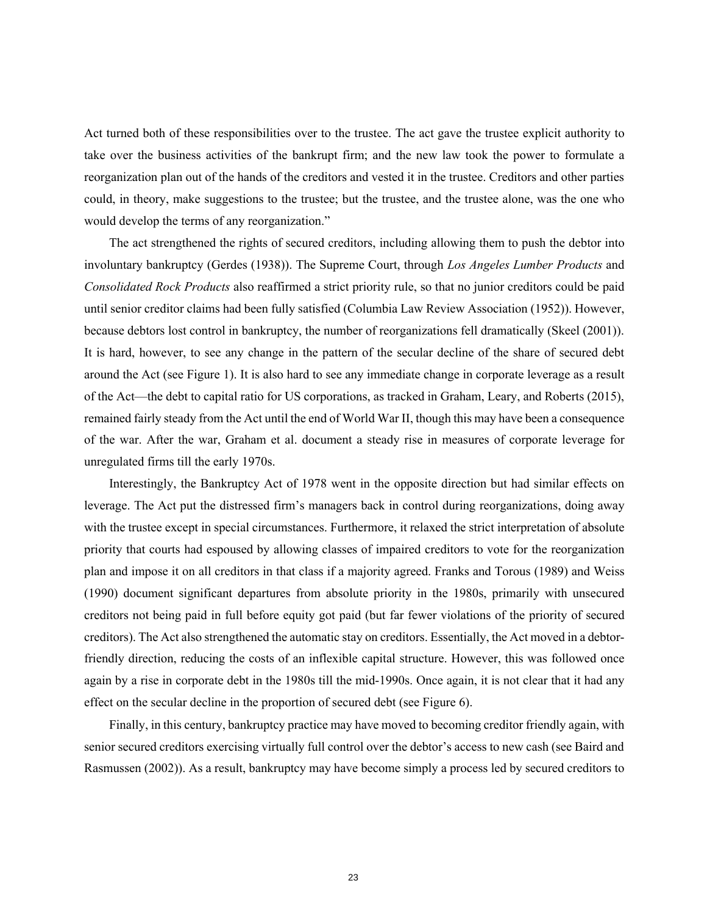Act turned both of these responsibilities over to the trustee. The act gave the trustee explicit authority to take over the business activities of the bankrupt firm; and the new law took the power to formulate a reorganization plan out of the hands of the creditors and vested it in the trustee. Creditors and other parties could, in theory, make suggestions to the trustee; but the trustee, and the trustee alone, was the one who would develop the terms of any reorganization."

The act strengthened the rights of secured creditors, including allowing them to push the debtor into involuntary bankruptcy (Gerdes (1938)). The Supreme Court, through *Los Angeles Lumber Products* and *Consolidated Rock Products* also reaffirmed a strict priority rule, so that no junior creditors could be paid until senior creditor claims had been fully satisfied (Columbia Law Review Association (1952)). However, because debtors lost control in bankruptcy, the number of reorganizations fell dramatically (Skeel (2001)). It is hard, however, to see any change in the pattern of the secular decline of the share of secured debt around the Act (see Figure 1). It is also hard to see any immediate change in corporate leverage as a result of the Act—the debt to capital ratio for US corporations, as tracked in Graham, Leary, and Roberts (2015), remained fairly steady from the Act until the end of World War II, though this may have been a consequence of the war. After the war, Graham et al. document a steady rise in measures of corporate leverage for unregulated firms till the early 1970s.

Interestingly, the Bankruptcy Act of 1978 went in the opposite direction but had similar effects on leverage. The Act put the distressed firm's managers back in control during reorganizations, doing away with the trustee except in special circumstances. Furthermore, it relaxed the strict interpretation of absolute priority that courts had espoused by allowing classes of impaired creditors to vote for the reorganization plan and impose it on all creditors in that class if a majority agreed. Franks and Torous (1989) and Weiss (1990) document significant departures from absolute priority in the 1980s, primarily with unsecured creditors not being paid in full before equity got paid (but far fewer violations of the priority of secured creditors). The Act also strengthened the automatic stay on creditors. Essentially, the Act moved in a debtorfriendly direction, reducing the costs of an inflexible capital structure. However, this was followed once again by a rise in corporate debt in the 1980s till the mid-1990s. Once again, it is not clear that it had any effect on the secular decline in the proportion of secured debt (see Figure 6).

Finally, in this century, bankruptcy practice may have moved to becoming creditor friendly again, with senior secured creditors exercising virtually full control over the debtor's access to new cash (see Baird and Rasmussen (2002)). As a result, bankruptcy may have become simply a process led by secured creditors to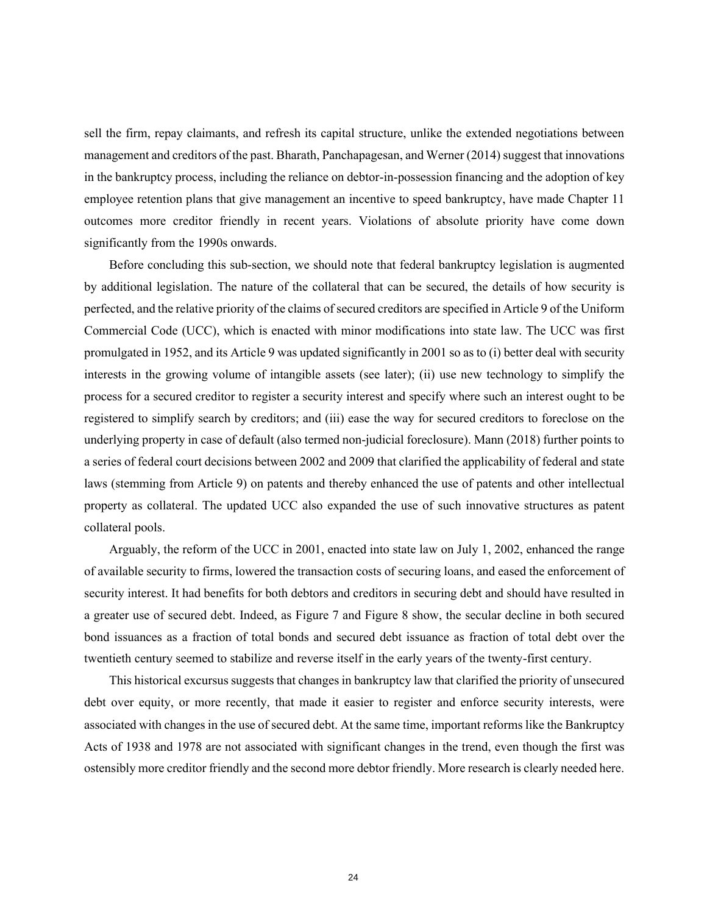sell the firm, repay claimants, and refresh its capital structure, unlike the extended negotiations between management and creditors of the past. Bharath, Panchapagesan, and Werner (2014) suggest that innovations in the bankruptcy process, including the reliance on debtor-in-possession financing and the adoption of key employee retention plans that give management an incentive to speed bankruptcy, have made Chapter 11 outcomes more creditor friendly in recent years. Violations of absolute priority have come down significantly from the 1990s onwards.

Before concluding this sub-section, we should note that federal bankruptcy legislation is augmented by additional legislation. The nature of the collateral that can be secured, the details of how security is perfected, and the relative priority of the claims of secured creditors are specified in Article 9 of the Uniform Commercial Code (UCC), which is enacted with minor modifications into state law. The UCC was first promulgated in 1952, and its Article 9 was updated significantly in 2001 so as to (i) better deal with security interests in the growing volume of intangible assets (see later); (ii) use new technology to simplify the process for a secured creditor to register a security interest and specify where such an interest ought to be registered to simplify search by creditors; and (iii) ease the way for secured creditors to foreclose on the underlying property in case of default (also termed non-judicial foreclosure). Mann (2018) further points to a series of federal court decisions between 2002 and 2009 that clarified the applicability of federal and state laws (stemming from Article 9) on patents and thereby enhanced the use of patents and other intellectual property as collateral. The updated UCC also expanded the use of such innovative structures as patent collateral pools.

Arguably, the reform of the UCC in 2001, enacted into state law on July 1, 2002, enhanced the range of available security to firms, lowered the transaction costs of securing loans, and eased the enforcement of security interest. It had benefits for both debtors and creditors in securing debt and should have resulted in a greater use of secured debt. Indeed, as Figure 7 and Figure 8 show, the secular decline in both secured bond issuances as a fraction of total bonds and secured debt issuance as fraction of total debt over the twentieth century seemed to stabilize and reverse itself in the early years of the twenty-first century.

This historical excursus suggests that changes in bankruptcy law that clarified the priority of unsecured debt over equity, or more recently, that made it easier to register and enforce security interests, were associated with changes in the use of secured debt. At the same time, important reforms like the Bankruptcy Acts of 1938 and 1978 are not associated with significant changes in the trend, even though the first was ostensibly more creditor friendly and the second more debtor friendly. More research is clearly needed here.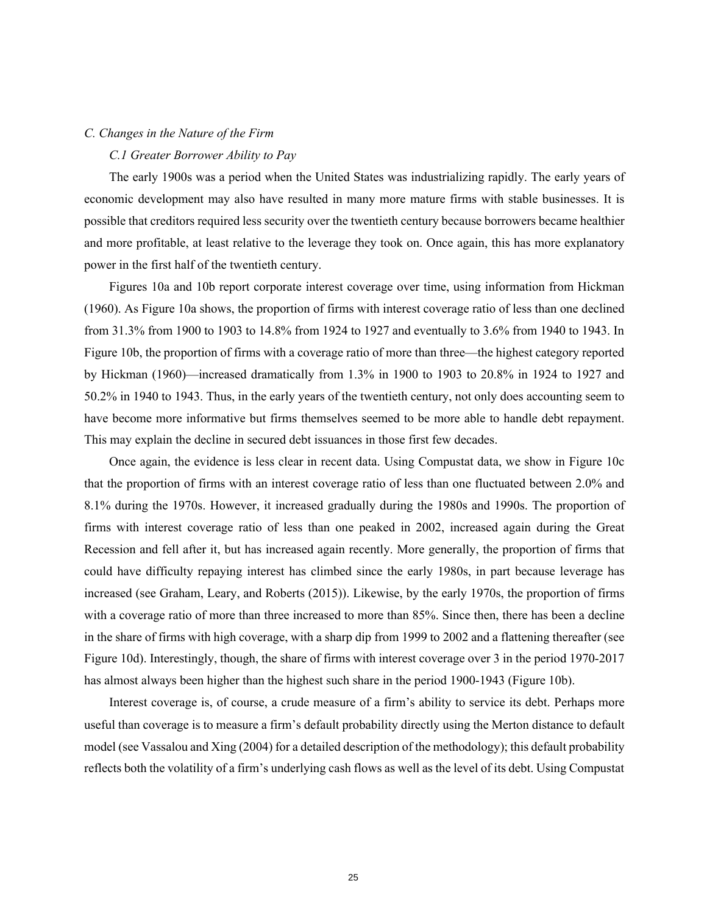### *C. Changes in the Nature of the Firm*

#### *C.1 Greater Borrower Ability to Pay*

The early 1900s was a period when the United States was industrializing rapidly. The early years of economic development may also have resulted in many more mature firms with stable businesses. It is possible that creditors required less security over the twentieth century because borrowers became healthier and more profitable, at least relative to the leverage they took on. Once again, this has more explanatory power in the first half of the twentieth century.

Figures 10a and 10b report corporate interest coverage over time, using information from Hickman (1960). As Figure 10a shows, the proportion of firms with interest coverage ratio of less than one declined from 31.3% from 1900 to 1903 to 14.8% from 1924 to 1927 and eventually to 3.6% from 1940 to 1943. In Figure 10b, the proportion of firms with a coverage ratio of more than three—the highest category reported by Hickman (1960)—increased dramatically from 1.3% in 1900 to 1903 to 20.8% in 1924 to 1927 and 50.2% in 1940 to 1943. Thus, in the early years of the twentieth century, not only does accounting seem to have become more informative but firms themselves seemed to be more able to handle debt repayment. This may explain the decline in secured debt issuances in those first few decades.

Once again, the evidence is less clear in recent data. Using Compustat data, we show in Figure 10c that the proportion of firms with an interest coverage ratio of less than one fluctuated between 2.0% and 8.1% during the 1970s. However, it increased gradually during the 1980s and 1990s. The proportion of firms with interest coverage ratio of less than one peaked in 2002, increased again during the Great Recession and fell after it, but has increased again recently. More generally, the proportion of firms that could have difficulty repaying interest has climbed since the early 1980s, in part because leverage has increased (see Graham, Leary, and Roberts (2015)). Likewise, by the early 1970s, the proportion of firms with a coverage ratio of more than three increased to more than 85%. Since then, there has been a decline in the share of firms with high coverage, with a sharp dip from 1999 to 2002 and a flattening thereafter (see Figure 10d). Interestingly, though, the share of firms with interest coverage over 3 in the period 1970-2017 has almost always been higher than the highest such share in the period 1900-1943 (Figure 10b).

Interest coverage is, of course, a crude measure of a firm's ability to service its debt. Perhaps more useful than coverage is to measure a firm's default probability directly using the Merton distance to default model (see Vassalou and Xing (2004) for a detailed description of the methodology); this default probability reflects both the volatility of a firm's underlying cash flows as well as the level of its debt. Using Compustat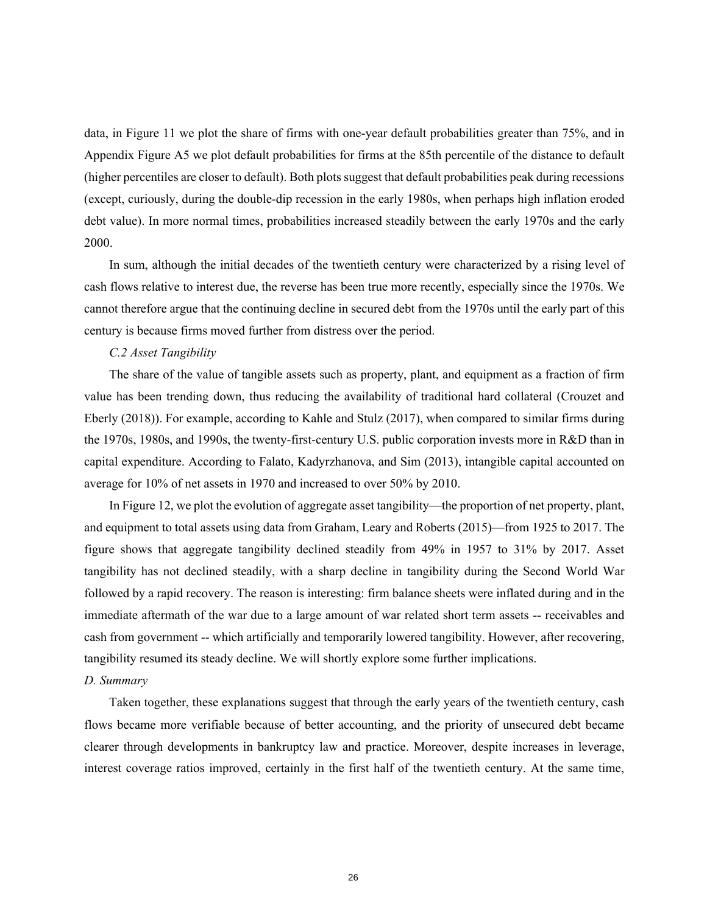data, in Figure 11 we plot the share of firms with one-year default probabilities greater than 75%, and in Appendix Figure A5 we plot default probabilities for firms at the 85th percentile of the distance to default (higher percentiles are closer to default). Both plots suggest that default probabilities peak during recessions (except, curiously, during the double-dip recession in the early 1980s, when perhaps high inflation eroded debt value). In more normal times, probabilities increased steadily between the early 1970s and the early 2000.

In sum, although the initial decades of the twentieth century were characterized by a rising level of cash flows relative to interest due, the reverse has been true more recently, especially since the 1970s. We cannot therefore argue that the continuing decline in secured debt from the 1970s until the early part of this century is because firms moved further from distress over the period.

### *C.2 Asset Tangibility*

The share of the value of tangible assets such as property, plant, and equipment as a fraction of firm value has been trending down, thus reducing the availability of traditional hard collateral (Crouzet and Eberly (2018)). For example, according to Kahle and Stulz (2017), when compared to similar firms during the 1970s, 1980s, and 1990s, the twenty-first-century U.S. public corporation invests more in R&D than in capital expenditure. According to Falato, Kadyrzhanova, and Sim (2013), intangible capital accounted on average for 10% of net assets in 1970 and increased to over 50% by 2010.

In Figure 12, we plot the evolution of aggregate asset tangibility—the proportion of net property, plant, and equipment to total assets using data from Graham, Leary and Roberts (2015)—from 1925 to 2017. The figure shows that aggregate tangibility declined steadily from 49% in 1957 to 31% by 2017. Asset tangibility has not declined steadily, with a sharp decline in tangibility during the Second World War followed by a rapid recovery. The reason is interesting: firm balance sheets were inflated during and in the immediate aftermath of the war due to a large amount of war related short term assets -- receivables and cash from government -- which artificially and temporarily lowered tangibility. However, after recovering, tangibility resumed its steady decline. We will shortly explore some further implications.

#### *D. Summary*

Taken together, these explanations suggest that through the early years of the twentieth century, cash flows became more verifiable because of better accounting, and the priority of unsecured debt became clearer through developments in bankruptcy law and practice. Moreover, despite increases in leverage, interest coverage ratios improved, certainly in the first half of the twentieth century. At the same time,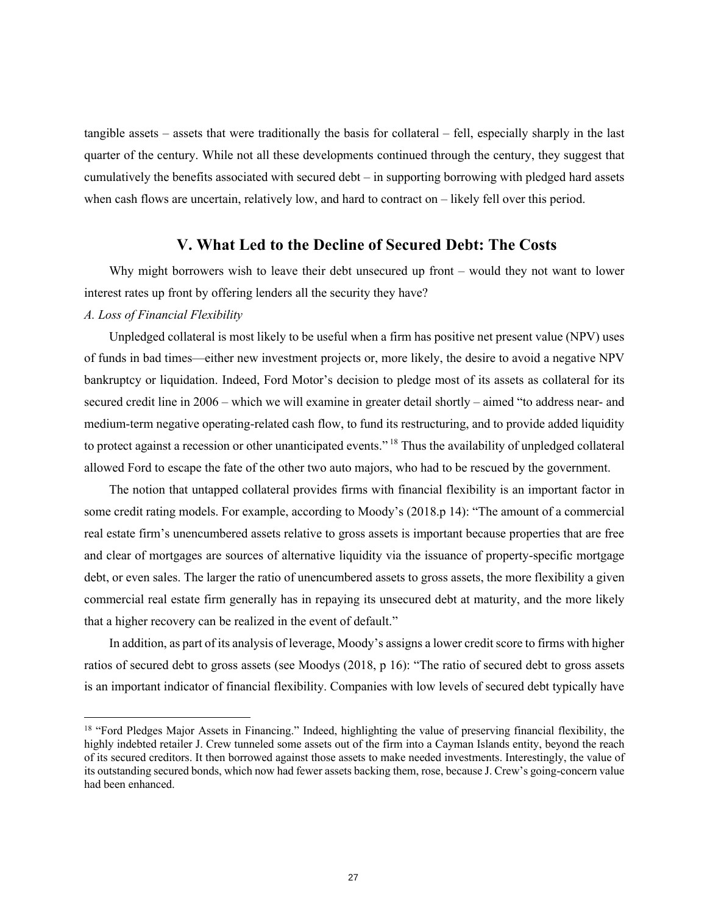tangible assets – assets that were traditionally the basis for collateral – fell, especially sharply in the last quarter of the century. While not all these developments continued through the century, they suggest that cumulatively the benefits associated with secured debt – in supporting borrowing with pledged hard assets when cash flows are uncertain, relatively low, and hard to contract on – likely fell over this period.

### **V. What Led to the Decline of Secured Debt: The Costs**

Why might borrowers wish to leave their debt unsecured up front – would they not want to lower interest rates up front by offering lenders all the security they have?

### *A. Loss of Financial Flexibility*

Unpledged collateral is most likely to be useful when a firm has positive net present value (NPV) uses of funds in bad times—either new investment projects or, more likely, the desire to avoid a negative NPV bankruptcy or liquidation. Indeed, Ford Motor's decision to pledge most of its assets as collateral for its secured credit line in 2006 – which we will examine in greater detail shortly – aimed "to address near- and medium-term negative operating-related cash flow, to fund its restructuring, and to provide added liquidity to protect against a recession or other unanticipated events." <sup>18</sup> Thus the availability of unpledged collateral allowed Ford to escape the fate of the other two auto majors, who had to be rescued by the government.

The notion that untapped collateral provides firms with financial flexibility is an important factor in some credit rating models. For example, according to Moody's (2018.p 14): "The amount of a commercial real estate firm's unencumbered assets relative to gross assets is important because properties that are free and clear of mortgages are sources of alternative liquidity via the issuance of property-specific mortgage debt, or even sales. The larger the ratio of unencumbered assets to gross assets, the more flexibility a given commercial real estate firm generally has in repaying its unsecured debt at maturity, and the more likely that a higher recovery can be realized in the event of default."

In addition, as part of its analysis of leverage, Moody's assigns a lower credit score to firms with higher ratios of secured debt to gross assets (see Moodys (2018, p 16): "The ratio of secured debt to gross assets is an important indicator of financial flexibility. Companies with low levels of secured debt typically have

<sup>&</sup>lt;sup>18</sup> "Ford Pledges Major Assets in Financing." Indeed, highlighting the value of preserving financial flexibility, the highly indebted retailer J. Crew tunneled some assets out of the firm into a Cayman Islands entity, beyond the reach of its secured creditors. It then borrowed against those assets to make needed investments. Interestingly, the value of its outstanding secured bonds, which now had fewer assets backing them, rose, because J. Crew's going-concern value had been enhanced.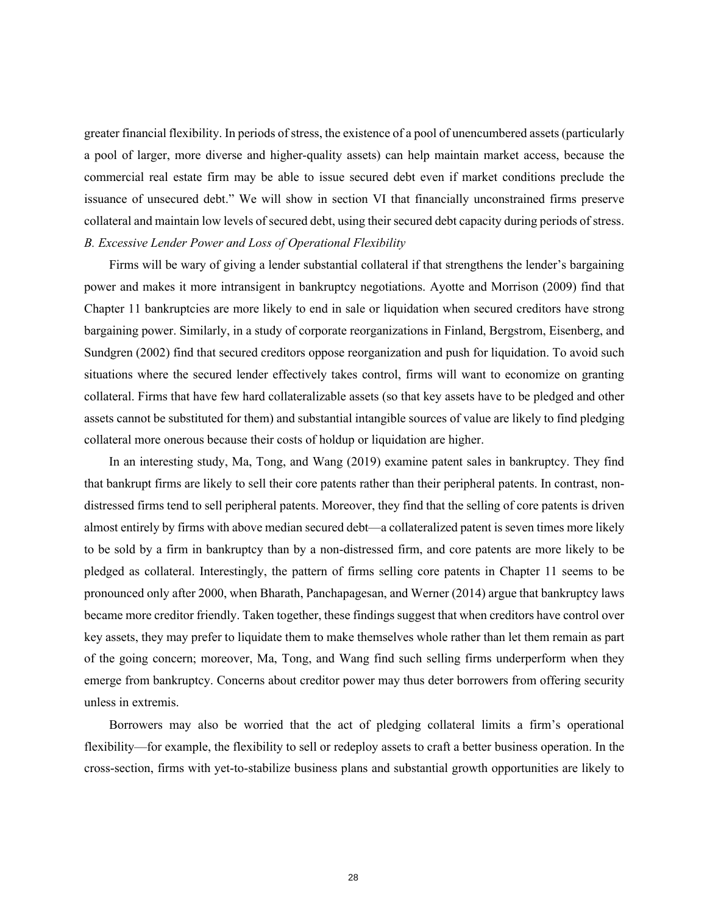greater financial flexibility. In periods of stress, the existence of a pool of unencumbered assets (particularly a pool of larger, more diverse and higher-quality assets) can help maintain market access, because the commercial real estate firm may be able to issue secured debt even if market conditions preclude the issuance of unsecured debt." We will show in section VI that financially unconstrained firms preserve collateral and maintain low levels of secured debt, using their secured debt capacity during periods of stress. *B. Excessive Lender Power and Loss of Operational Flexibility*

Firms will be wary of giving a lender substantial collateral if that strengthens the lender's bargaining power and makes it more intransigent in bankruptcy negotiations. Ayotte and Morrison (2009) find that Chapter 11 bankruptcies are more likely to end in sale or liquidation when secured creditors have strong bargaining power. Similarly, in a study of corporate reorganizations in Finland, Bergstrom, Eisenberg, and Sundgren (2002) find that secured creditors oppose reorganization and push for liquidation. To avoid such situations where the secured lender effectively takes control, firms will want to economize on granting collateral. Firms that have few hard collateralizable assets (so that key assets have to be pledged and other assets cannot be substituted for them) and substantial intangible sources of value are likely to find pledging collateral more onerous because their costs of holdup or liquidation are higher.

In an interesting study, Ma, Tong, and Wang (2019) examine patent sales in bankruptcy. They find that bankrupt firms are likely to sell their core patents rather than their peripheral patents. In contrast, nondistressed firms tend to sell peripheral patents. Moreover, they find that the selling of core patents is driven almost entirely by firms with above median secured debt—a collateralized patent is seven times more likely to be sold by a firm in bankruptcy than by a non-distressed firm, and core patents are more likely to be pledged as collateral. Interestingly, the pattern of firms selling core patents in Chapter 11 seems to be pronounced only after 2000, when Bharath, Panchapagesan, and Werner (2014) argue that bankruptcy laws became more creditor friendly. Taken together, these findings suggest that when creditors have control over key assets, they may prefer to liquidate them to make themselves whole rather than let them remain as part of the going concern; moreover, Ma, Tong, and Wang find such selling firms underperform when they emerge from bankruptcy. Concerns about creditor power may thus deter borrowers from offering security unless in extremis.

Borrowers may also be worried that the act of pledging collateral limits a firm's operational flexibility—for example, the flexibility to sell or redeploy assets to craft a better business operation. In the cross-section, firms with yet-to-stabilize business plans and substantial growth opportunities are likely to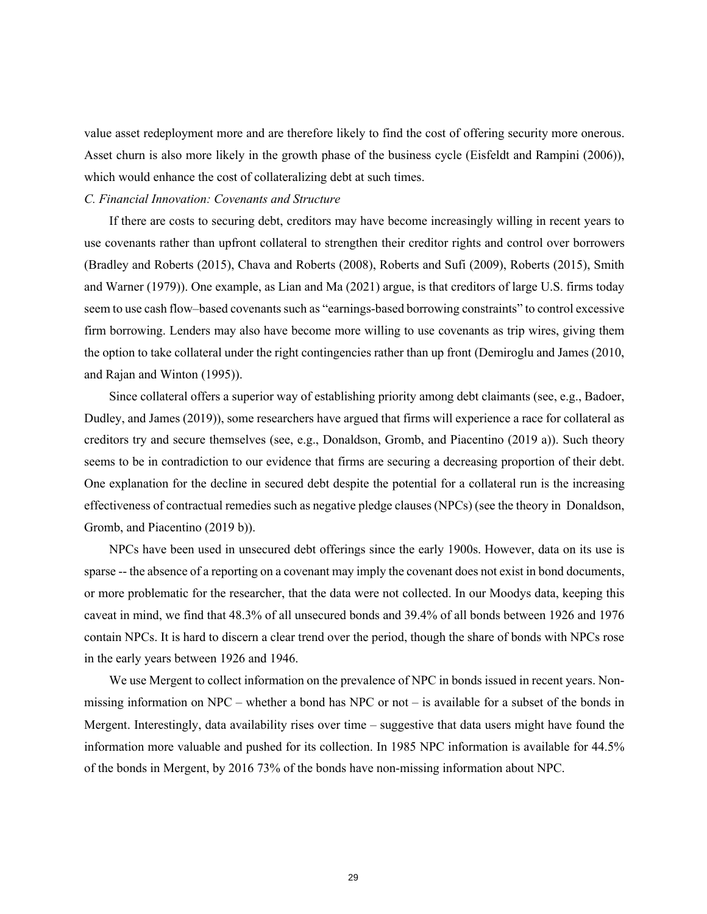value asset redeployment more and are therefore likely to find the cost of offering security more onerous. Asset churn is also more likely in the growth phase of the business cycle (Eisfeldt and Rampini (2006)), which would enhance the cost of collateralizing debt at such times.

#### *C. Financial Innovation: Covenants and Structure*

If there are costs to securing debt, creditors may have become increasingly willing in recent years to use covenants rather than upfront collateral to strengthen their creditor rights and control over borrowers (Bradley and Roberts (2015), Chava and Roberts (2008), Roberts and Sufi (2009), Roberts (2015), Smith and Warner (1979)). One example, as Lian and Ma (2021) argue, is that creditors of large U.S. firms today seem to use cash flow–based covenants such as "earnings-based borrowing constraints" to control excessive firm borrowing. Lenders may also have become more willing to use covenants as trip wires, giving them the option to take collateral under the right contingencies rather than up front (Demiroglu and James (2010, and Rajan and Winton (1995)).

Since collateral offers a superior way of establishing priority among debt claimants (see, e.g., Badoer, Dudley, and James (2019)), some researchers have argued that firms will experience a race for collateral as creditors try and secure themselves (see, e.g., Donaldson, Gromb, and Piacentino (2019 a)). Such theory seems to be in contradiction to our evidence that firms are securing a decreasing proportion of their debt. One explanation for the decline in secured debt despite the potential for a collateral run is the increasing effectiveness of contractual remedies such as negative pledge clauses (NPCs) (see the theory in Donaldson, Gromb, and Piacentino (2019 b)).

NPCs have been used in unsecured debt offerings since the early 1900s. However, data on its use is sparse -- the absence of a reporting on a covenant may imply the covenant does not exist in bond documents, or more problematic for the researcher, that the data were not collected. In our Moodys data, keeping this caveat in mind, we find that 48.3% of all unsecured bonds and 39.4% of all bonds between 1926 and 1976 contain NPCs. It is hard to discern a clear trend over the period, though the share of bonds with NPCs rose in the early years between 1926 and 1946.

We use Mergent to collect information on the prevalence of NPC in bonds issued in recent years. Nonmissing information on NPC – whether a bond has NPC or not – is available for a subset of the bonds in Mergent. Interestingly, data availability rises over time – suggestive that data users might have found the information more valuable and pushed for its collection. In 1985 NPC information is available for 44.5% of the bonds in Mergent, by 2016 73% of the bonds have non-missing information about NPC.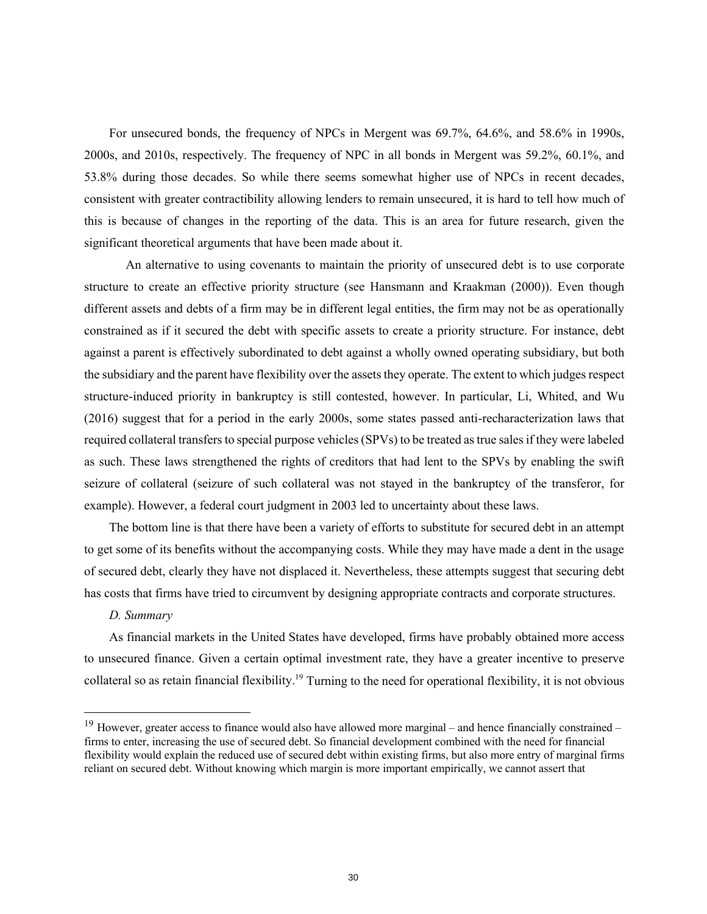For unsecured bonds, the frequency of NPCs in Mergent was 69.7%, 64.6%, and 58.6% in 1990s, 2000s, and 2010s, respectively. The frequency of NPC in all bonds in Mergent was 59.2%, 60.1%, and 53.8% during those decades. So while there seems somewhat higher use of NPCs in recent decades, consistent with greater contractibility allowing lenders to remain unsecured, it is hard to tell how much of this is because of changes in the reporting of the data. This is an area for future research, given the significant theoretical arguments that have been made about it.

An alternative to using covenants to maintain the priority of unsecured debt is to use corporate structure to create an effective priority structure (see Hansmann and Kraakman (2000)). Even though different assets and debts of a firm may be in different legal entities, the firm may not be as operationally constrained as if it secured the debt with specific assets to create a priority structure. For instance, debt against a parent is effectively subordinated to debt against a wholly owned operating subsidiary, but both the subsidiary and the parent have flexibility over the assets they operate. The extent to which judges respect structure-induced priority in bankruptcy is still contested, however. In particular, Li, Whited, and Wu (2016) suggest that for a period in the early 2000s, some states passed anti-recharacterization laws that required collateral transfers to special purpose vehicles (SPVs) to be treated as true sales if they were labeled as such. These laws strengthened the rights of creditors that had lent to the SPVs by enabling the swift seizure of collateral (seizure of such collateral was not stayed in the bankruptcy of the transferor, for example). However, a federal court judgment in 2003 led to uncertainty about these laws.

The bottom line is that there have been a variety of efforts to substitute for secured debt in an attempt to get some of its benefits without the accompanying costs. While they may have made a dent in the usage of secured debt, clearly they have not displaced it. Nevertheless, these attempts suggest that securing debt has costs that firms have tried to circumvent by designing appropriate contracts and corporate structures.

#### *D. Summary*

As financial markets in the United States have developed, firms have probably obtained more access to unsecured finance. Given a certain optimal investment rate, they have a greater incentive to preserve collateral so as retain financial flexibility.<sup>19</sup> Turning to the need for operational flexibility, it is not obvious

 $19$  However, greater access to finance would also have allowed more marginal – and hence financially constrained – firms to enter, increasing the use of secured debt. So financial development combined with the need for financial flexibility would explain the reduced use of secured debt within existing firms, but also more entry of marginal firms reliant on secured debt. Without knowing which margin is more important empirically, we cannot assert that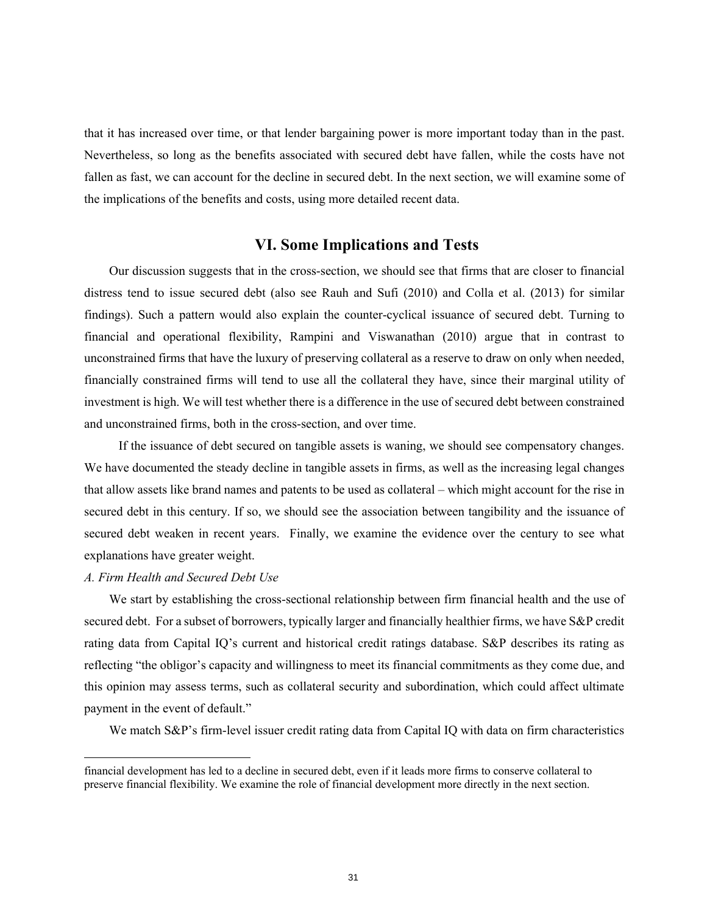that it has increased over time, or that lender bargaining power is more important today than in the past. Nevertheless, so long as the benefits associated with secured debt have fallen, while the costs have not fallen as fast, we can account for the decline in secured debt. In the next section, we will examine some of the implications of the benefits and costs, using more detailed recent data.

## **VI. Some Implications and Tests**

Our discussion suggests that in the cross-section, we should see that firms that are closer to financial distress tend to issue secured debt (also see Rauh and Sufi (2010) and Colla et al. (2013) for similar findings). Such a pattern would also explain the counter-cyclical issuance of secured debt. Turning to financial and operational flexibility, Rampini and Viswanathan (2010) argue that in contrast to unconstrained firms that have the luxury of preserving collateral as a reserve to draw on only when needed, financially constrained firms will tend to use all the collateral they have, since their marginal utility of investment is high. We will test whether there is a difference in the use of secured debt between constrained and unconstrained firms, both in the cross-section, and over time.

 If the issuance of debt secured on tangible assets is waning, we should see compensatory changes. We have documented the steady decline in tangible assets in firms, as well as the increasing legal changes that allow assets like brand names and patents to be used as collateral – which might account for the rise in secured debt in this century. If so, we should see the association between tangibility and the issuance of secured debt weaken in recent years. Finally, we examine the evidence over the century to see what explanations have greater weight.

### *A. Firm Health and Secured Debt Use*

We start by establishing the cross-sectional relationship between firm financial health and the use of secured debt. For a subset of borrowers, typically larger and financially healthier firms, we have S&P credit rating data from Capital IQ's current and historical credit ratings database. S&P describes its rating as reflecting "the obligor's capacity and willingness to meet its financial commitments as they come due, and this opinion may assess terms, such as collateral security and subordination, which could affect ultimate payment in the event of default."

We match S&P's firm-level issuer credit rating data from Capital IQ with data on firm characteristics

financial development has led to a decline in secured debt, even if it leads more firms to conserve collateral to preserve financial flexibility. We examine the role of financial development more directly in the next section.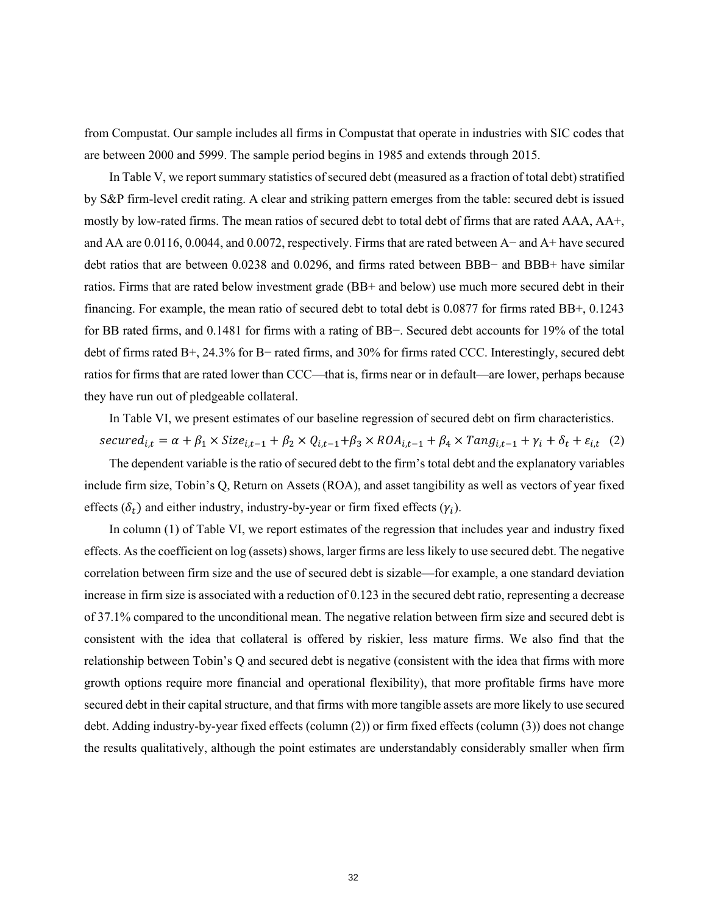from Compustat. Our sample includes all firms in Compustat that operate in industries with SIC codes that are between 2000 and 5999. The sample period begins in 1985 and extends through 2015.

In Table V, we report summary statistics of secured debt (measured as a fraction of total debt) stratified by S&P firm-level credit rating. A clear and striking pattern emerges from the table: secured debt is issued mostly by low-rated firms. The mean ratios of secured debt to total debt of firms that are rated AAA, AA+, and AA are 0.0116, 0.0044, and 0.0072, respectively. Firms that are rated between A− and A+ have secured debt ratios that are between 0.0238 and 0.0296, and firms rated between BBB− and BBB+ have similar ratios. Firms that are rated below investment grade (BB+ and below) use much more secured debt in their financing. For example, the mean ratio of secured debt to total debt is 0.0877 for firms rated BB+, 0.1243 for BB rated firms, and 0.1481 for firms with a rating of BB−. Secured debt accounts for 19% of the total debt of firms rated B+, 24.3% for B− rated firms, and 30% for firms rated CCC. Interestingly, secured debt ratios for firms that are rated lower than CCC—that is, firms near or in default—are lower, perhaps because they have run out of pledgeable collateral.

In Table VI, we present estimates of our baseline regression of secured debt on firm characteristics.

 $second_{i,t} = \alpha + \beta_1 \times Size_{i,t-1} + \beta_2 \times Q_{i,t-1} + \beta_3 \times ROA_{i,t-1} + \beta_4 \times Tang_{i,t-1} + \gamma_i + \delta_t + \varepsilon_{i,t}$  (2) The dependent variable is the ratio of secured debt to the firm's total debt and the explanatory variables

include firm size, Tobin's Q, Return on Assets (ROA), and asset tangibility as well as vectors of year fixed effects ( $\delta_t$ ) and either industry, industry-by-year or firm fixed effects ( $\gamma_i$ ).

In column (1) of Table VI, we report estimates of the regression that includes year and industry fixed effects. As the coefficient on log (assets) shows, larger firms are less likely to use secured debt. The negative correlation between firm size and the use of secured debt is sizable—for example, a one standard deviation increase in firm size is associated with a reduction of 0.123 in the secured debt ratio, representing a decrease of 37.1% compared to the unconditional mean. The negative relation between firm size and secured debt is consistent with the idea that collateral is offered by riskier, less mature firms. We also find that the relationship between Tobin's Q and secured debt is negative (consistent with the idea that firms with more growth options require more financial and operational flexibility), that more profitable firms have more secured debt in their capital structure, and that firms with more tangible assets are more likely to use secured debt. Adding industry-by-year fixed effects (column (2)) or firm fixed effects (column (3)) does not change the results qualitatively, although the point estimates are understandably considerably smaller when firm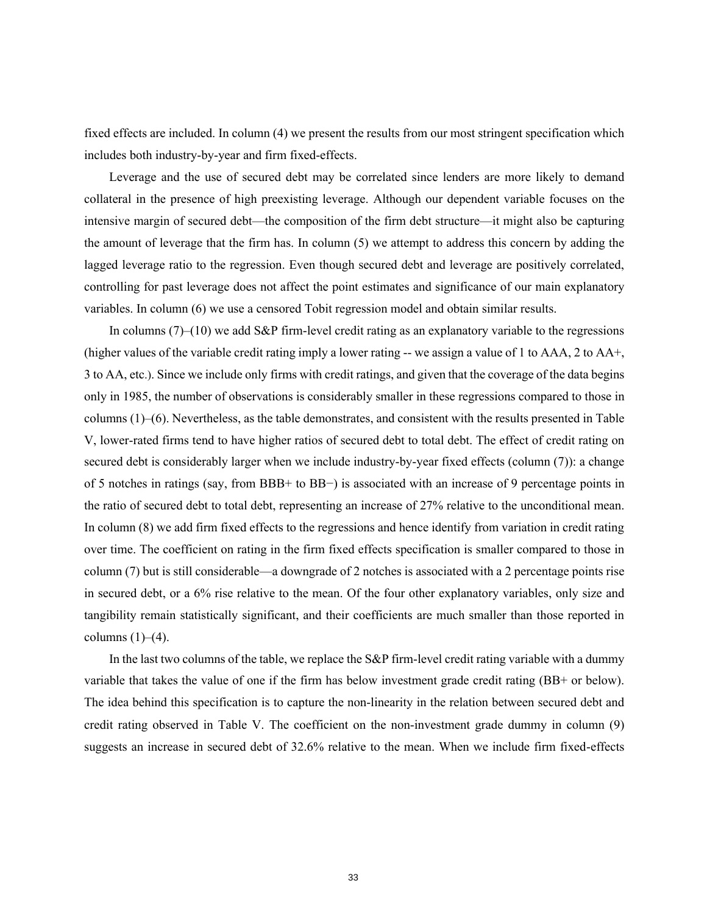fixed effects are included. In column (4) we present the results from our most stringent specification which includes both industry-by-year and firm fixed-effects.

Leverage and the use of secured debt may be correlated since lenders are more likely to demand collateral in the presence of high preexisting leverage. Although our dependent variable focuses on the intensive margin of secured debt—the composition of the firm debt structure—it might also be capturing the amount of leverage that the firm has. In column (5) we attempt to address this concern by adding the lagged leverage ratio to the regression. Even though secured debt and leverage are positively correlated, controlling for past leverage does not affect the point estimates and significance of our main explanatory variables. In column (6) we use a censored Tobit regression model and obtain similar results.

In columns (7)–(10) we add S&P firm-level credit rating as an explanatory variable to the regressions (higher values of the variable credit rating imply a lower rating -- we assign a value of 1 to AAA, 2 to AA+, 3 to AA, etc.). Since we include only firms with credit ratings, and given that the coverage of the data begins only in 1985, the number of observations is considerably smaller in these regressions compared to those in columns (1)–(6). Nevertheless, as the table demonstrates, and consistent with the results presented in Table V, lower-rated firms tend to have higher ratios of secured debt to total debt. The effect of credit rating on secured debt is considerably larger when we include industry-by-year fixed effects (column (7)): a change of 5 notches in ratings (say, from BBB+ to BB−) is associated with an increase of 9 percentage points in the ratio of secured debt to total debt, representing an increase of 27% relative to the unconditional mean. In column (8) we add firm fixed effects to the regressions and hence identify from variation in credit rating over time. The coefficient on rating in the firm fixed effects specification is smaller compared to those in column (7) but is still considerable—a downgrade of 2 notches is associated with a 2 percentage points rise in secured debt, or a 6% rise relative to the mean. Of the four other explanatory variables, only size and tangibility remain statistically significant, and their coefficients are much smaller than those reported in columns  $(1)$ – $(4)$ .

In the last two columns of the table, we replace the S&P firm-level credit rating variable with a dummy variable that takes the value of one if the firm has below investment grade credit rating (BB+ or below). The idea behind this specification is to capture the non-linearity in the relation between secured debt and credit rating observed in Table V. The coefficient on the non-investment grade dummy in column (9) suggests an increase in secured debt of 32.6% relative to the mean. When we include firm fixed-effects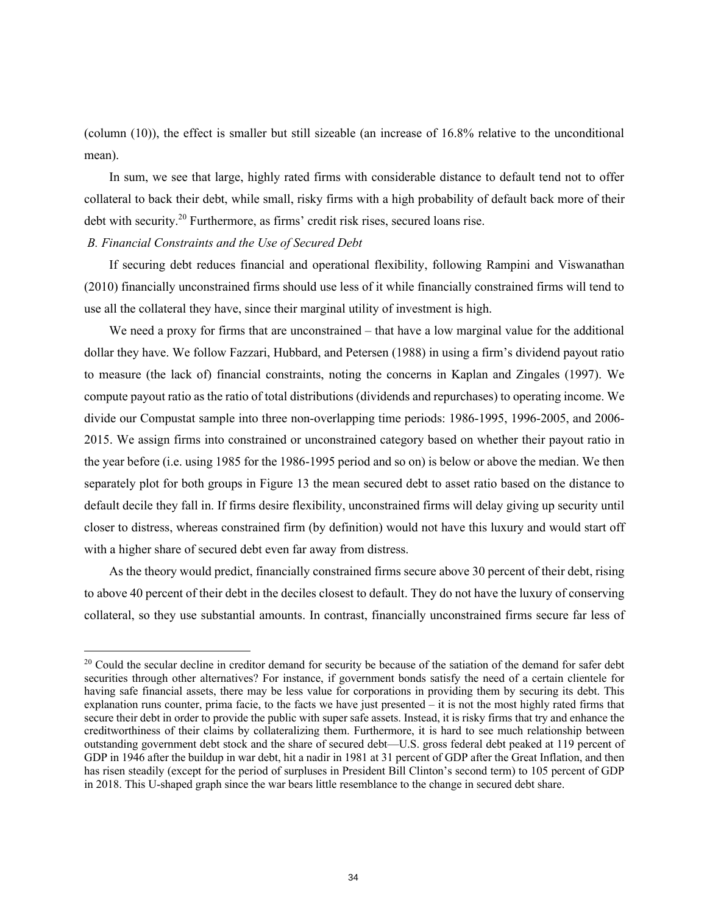(column (10)), the effect is smaller but still sizeable (an increase of 16.8% relative to the unconditional mean).

In sum, we see that large, highly rated firms with considerable distance to default tend not to offer collateral to back their debt, while small, risky firms with a high probability of default back more of their debt with security.20 Furthermore, as firms' credit risk rises, secured loans rise.

### *B. Financial Constraints and the Use of Secured Debt*

If securing debt reduces financial and operational flexibility, following Rampini and Viswanathan (2010) financially unconstrained firms should use less of it while financially constrained firms will tend to use all the collateral they have, since their marginal utility of investment is high.

We need a proxy for firms that are unconstrained – that have a low marginal value for the additional dollar they have. We follow Fazzari, Hubbard, and Petersen (1988) in using a firm's dividend payout ratio to measure (the lack of) financial constraints, noting the concerns in Kaplan and Zingales (1997). We compute payout ratio as the ratio of total distributions (dividends and repurchases) to operating income. We divide our Compustat sample into three non-overlapping time periods: 1986-1995, 1996-2005, and 2006- 2015. We assign firms into constrained or unconstrained category based on whether their payout ratio in the year before (i.e. using 1985 for the 1986-1995 period and so on) is below or above the median. We then separately plot for both groups in Figure 13 the mean secured debt to asset ratio based on the distance to default decile they fall in. If firms desire flexibility, unconstrained firms will delay giving up security until closer to distress, whereas constrained firm (by definition) would not have this luxury and would start off with a higher share of secured debt even far away from distress.

As the theory would predict, financially constrained firms secure above 30 percent of their debt, rising to above 40 percent of their debt in the deciles closest to default. They do not have the luxury of conserving collateral, so they use substantial amounts. In contrast, financially unconstrained firms secure far less of

 $20$  Could the secular decline in creditor demand for security be because of the satiation of the demand for safer debt securities through other alternatives? For instance, if government bonds satisfy the need of a certain clientele for having safe financial assets, there may be less value for corporations in providing them by securing its debt. This explanation runs counter, prima facie, to the facts we have just presented – it is not the most highly rated firms that secure their debt in order to provide the public with super safe assets. Instead, it is risky firms that try and enhance the creditworthiness of their claims by collateralizing them. Furthermore, it is hard to see much relationship between outstanding government debt stock and the share of secured debt—U.S. gross federal debt peaked at 119 percent of GDP in 1946 after the buildup in war debt, hit a nadir in 1981 at 31 percent of GDP after the Great Inflation, and then has risen steadily (except for the period of surpluses in President Bill Clinton's second term) to 105 percent of GDP in 2018. This U-shaped graph since the war bears little resemblance to the change in secured debt share.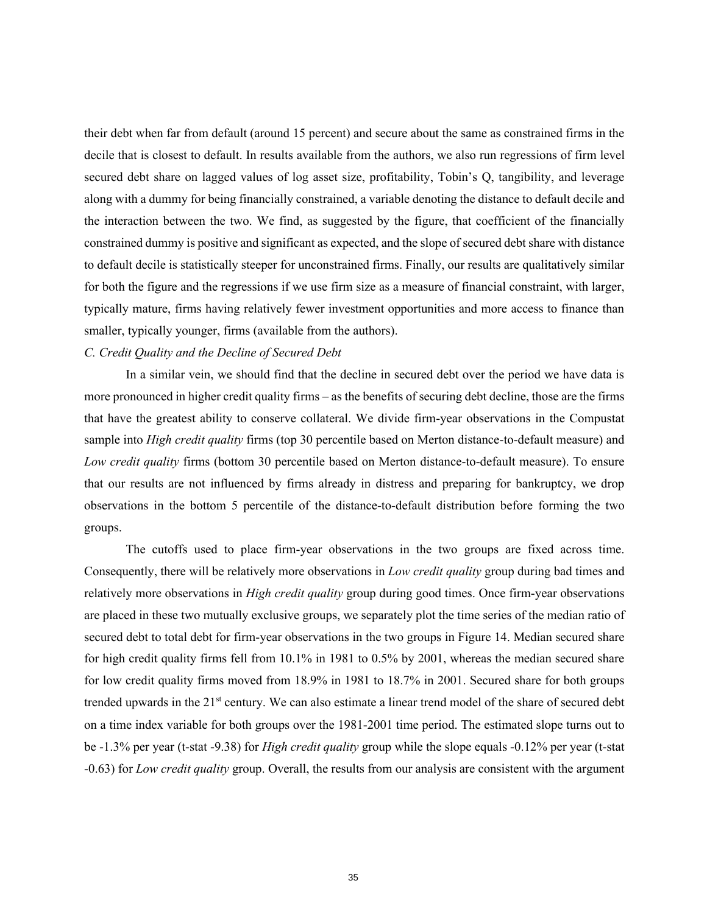their debt when far from default (around 15 percent) and secure about the same as constrained firms in the decile that is closest to default. In results available from the authors, we also run regressions of firm level secured debt share on lagged values of log asset size, profitability, Tobin's Q, tangibility, and leverage along with a dummy for being financially constrained, a variable denoting the distance to default decile and the interaction between the two. We find, as suggested by the figure, that coefficient of the financially constrained dummy is positive and significant as expected, and the slope of secured debt share with distance to default decile is statistically steeper for unconstrained firms. Finally, our results are qualitatively similar for both the figure and the regressions if we use firm size as a measure of financial constraint, with larger, typically mature, firms having relatively fewer investment opportunities and more access to finance than smaller, typically younger, firms (available from the authors).

#### *C. Credit Quality and the Decline of Secured Debt*

In a similar vein, we should find that the decline in secured debt over the period we have data is more pronounced in higher credit quality firms – as the benefits of securing debt decline, those are the firms that have the greatest ability to conserve collateral. We divide firm-year observations in the Compustat sample into *High credit quality* firms (top 30 percentile based on Merton distance-to-default measure) and *Low credit quality* firms (bottom 30 percentile based on Merton distance-to-default measure). To ensure that our results are not influenced by firms already in distress and preparing for bankruptcy, we drop observations in the bottom 5 percentile of the distance-to-default distribution before forming the two groups.

The cutoffs used to place firm-year observations in the two groups are fixed across time. Consequently, there will be relatively more observations in *Low credit quality* group during bad times and relatively more observations in *High credit quality* group during good times. Once firm-year observations are placed in these two mutually exclusive groups, we separately plot the time series of the median ratio of secured debt to total debt for firm-year observations in the two groups in Figure 14. Median secured share for high credit quality firms fell from 10.1% in 1981 to 0.5% by 2001, whereas the median secured share for low credit quality firms moved from 18.9% in 1981 to 18.7% in 2001. Secured share for both groups trended upwards in the  $21<sup>st</sup>$  century. We can also estimate a linear trend model of the share of secured debt on a time index variable for both groups over the 1981-2001 time period. The estimated slope turns out to be -1.3% per year (t-stat -9.38) for *High credit quality* group while the slope equals -0.12% per year (t-stat -0.63) for *Low credit quality* group. Overall, the results from our analysis are consistent with the argument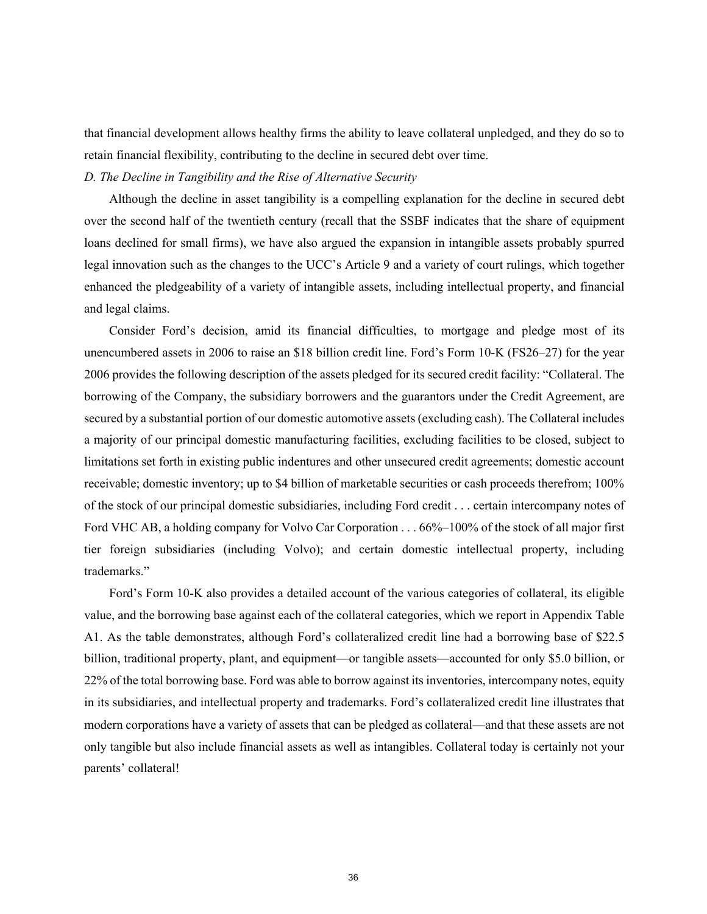that financial development allows healthy firms the ability to leave collateral unpledged, and they do so to retain financial flexibility, contributing to the decline in secured debt over time.

### *D. The Decline in Tangibility and the Rise of Alternative Security*

Although the decline in asset tangibility is a compelling explanation for the decline in secured debt over the second half of the twentieth century (recall that the SSBF indicates that the share of equipment loans declined for small firms), we have also argued the expansion in intangible assets probably spurred legal innovation such as the changes to the UCC's Article 9 and a variety of court rulings, which together enhanced the pledgeability of a variety of intangible assets, including intellectual property, and financial and legal claims.

Consider Ford's decision, amid its financial difficulties, to mortgage and pledge most of its unencumbered assets in 2006 to raise an \$18 billion credit line. Ford's Form 10-K (FS26–27) for the year 2006 provides the following description of the assets pledged for its secured credit facility: "Collateral. The borrowing of the Company, the subsidiary borrowers and the guarantors under the Credit Agreement, are secured by a substantial portion of our domestic automotive assets (excluding cash). The Collateral includes a majority of our principal domestic manufacturing facilities, excluding facilities to be closed, subject to limitations set forth in existing public indentures and other unsecured credit agreements; domestic account receivable; domestic inventory; up to \$4 billion of marketable securities or cash proceeds therefrom; 100% of the stock of our principal domestic subsidiaries, including Ford credit . . . certain intercompany notes of Ford VHC AB, a holding company for Volvo Car Corporation . . . 66%–100% of the stock of all major first tier foreign subsidiaries (including Volvo); and certain domestic intellectual property, including trademarks."

Ford's Form 10-K also provides a detailed account of the various categories of collateral, its eligible value, and the borrowing base against each of the collateral categories, which we report in Appendix Table A1. As the table demonstrates, although Ford's collateralized credit line had a borrowing base of \$22.5 billion, traditional property, plant, and equipment—or tangible assets—accounted for only \$5.0 billion, or 22% of the total borrowing base. Ford was able to borrow against its inventories, intercompany notes, equity in its subsidiaries, and intellectual property and trademarks. Ford's collateralized credit line illustrates that modern corporations have a variety of assets that can be pledged as collateral—and that these assets are not only tangible but also include financial assets as well as intangibles. Collateral today is certainly not your parents' collateral!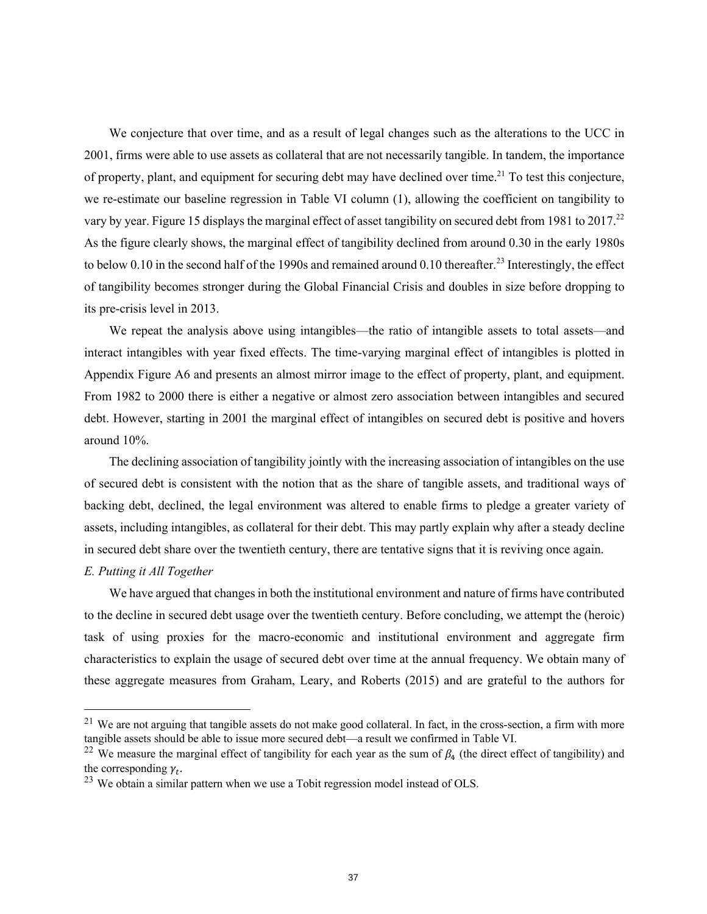We conjecture that over time, and as a result of legal changes such as the alterations to the UCC in 2001, firms were able to use assets as collateral that are not necessarily tangible. In tandem, the importance of property, plant, and equipment for securing debt may have declined over time.<sup>21</sup> To test this conjecture, we re-estimate our baseline regression in Table VI column (1), allowing the coefficient on tangibility to vary by year. Figure 15 displays the marginal effect of asset tangibility on secured debt from 1981 to 2017.<sup>22</sup> As the figure clearly shows, the marginal effect of tangibility declined from around 0.30 in the early 1980s to below 0.10 in the second half of the 1990s and remained around 0.10 thereafter.<sup>23</sup> Interestingly, the effect of tangibility becomes stronger during the Global Financial Crisis and doubles in size before dropping to its pre-crisis level in 2013.

We repeat the analysis above using intangibles—the ratio of intangible assets to total assets—and interact intangibles with year fixed effects. The time-varying marginal effect of intangibles is plotted in Appendix Figure A6 and presents an almost mirror image to the effect of property, plant, and equipment. From 1982 to 2000 there is either a negative or almost zero association between intangibles and secured debt. However, starting in 2001 the marginal effect of intangibles on secured debt is positive and hovers around 10%.

The declining association of tangibility jointly with the increasing association of intangibles on the use of secured debt is consistent with the notion that as the share of tangible assets, and traditional ways of backing debt, declined, the legal environment was altered to enable firms to pledge a greater variety of assets, including intangibles, as collateral for their debt. This may partly explain why after a steady decline in secured debt share over the twentieth century, there are tentative signs that it is reviving once again.

### *E. Putting it All Together*

We have argued that changes in both the institutional environment and nature of firms have contributed to the decline in secured debt usage over the twentieth century. Before concluding, we attempt the (heroic) task of using proxies for the macro-economic and institutional environment and aggregate firm characteristics to explain the usage of secured debt over time at the annual frequency. We obtain many of these aggregate measures from Graham, Leary, and Roberts (2015) and are grateful to the authors for

 $21$  We are not arguing that tangible assets do not make good collateral. In fact, in the cross-section, a firm with more tangible assets should be able to issue more secured debt—a result we confirmed in Table VI.

<sup>&</sup>lt;sup>22</sup> We measure the marginal effect of tangibility for each year as the sum of  $\beta_4$  (the direct effect of tangibility) and the corresponding  $\gamma_t$ .

 $23$  We obtain a similar pattern when we use a Tobit regression model instead of OLS.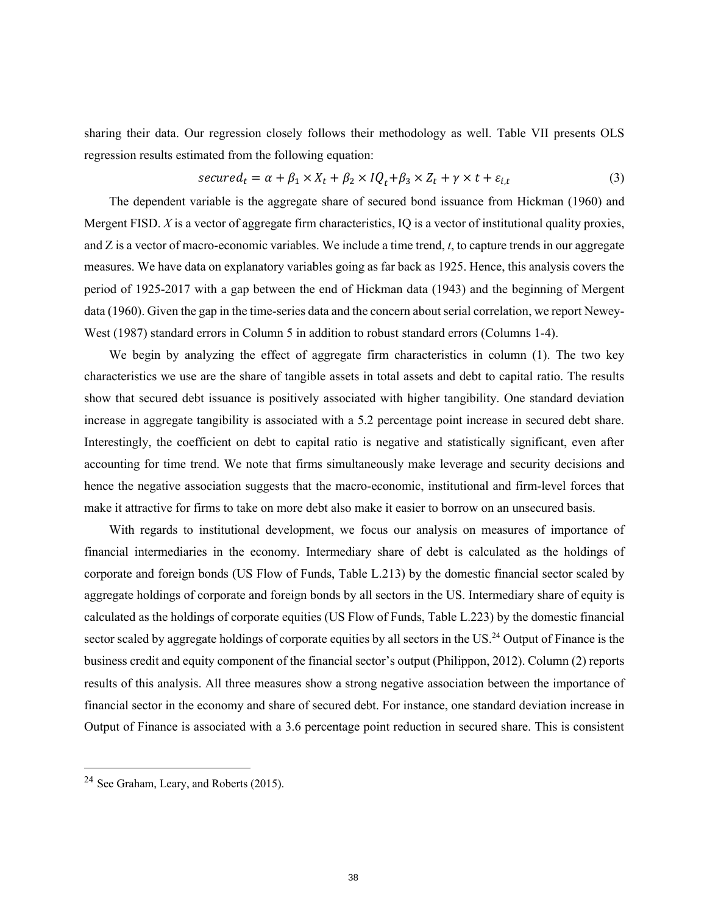sharing their data. Our regression closely follows their methodology as well. Table VII presents OLS regression results estimated from the following equation:

$$
secured_t = \alpha + \beta_1 \times X_t + \beta_2 \times IQ_t + \beta_3 \times Z_t + \gamma \times t + \varepsilon_{i,t}
$$
\n<sup>(3)</sup>

The dependent variable is the aggregate share of secured bond issuance from Hickman (1960) and Mergent FISD. *X* is a vector of aggregate firm characteristics, IQ is a vector of institutional quality proxies, and Z is a vector of macro-economic variables. We include a time trend, *t*, to capture trends in our aggregate measures. We have data on explanatory variables going as far back as 1925. Hence, this analysis covers the period of 1925-2017 with a gap between the end of Hickman data (1943) and the beginning of Mergent data (1960). Given the gap in the time-series data and the concern about serial correlation, we report Newey-West (1987) standard errors in Column 5 in addition to robust standard errors (Columns 1-4).

We begin by analyzing the effect of aggregate firm characteristics in column (1). The two key characteristics we use are the share of tangible assets in total assets and debt to capital ratio. The results show that secured debt issuance is positively associated with higher tangibility. One standard deviation increase in aggregate tangibility is associated with a 5.2 percentage point increase in secured debt share. Interestingly, the coefficient on debt to capital ratio is negative and statistically significant, even after accounting for time trend. We note that firms simultaneously make leverage and security decisions and hence the negative association suggests that the macro-economic, institutional and firm-level forces that make it attractive for firms to take on more debt also make it easier to borrow on an unsecured basis.

With regards to institutional development, we focus our analysis on measures of importance of financial intermediaries in the economy. Intermediary share of debt is calculated as the holdings of corporate and foreign bonds (US Flow of Funds, Table L.213) by the domestic financial sector scaled by aggregate holdings of corporate and foreign bonds by all sectors in the US. Intermediary share of equity is calculated as the holdings of corporate equities (US Flow of Funds, Table L.223) by the domestic financial sector scaled by aggregate holdings of corporate equities by all sectors in the US.<sup>24</sup> Output of Finance is the business credit and equity component of the financial sector's output (Philippon, 2012). Column (2) reports results of this analysis. All three measures show a strong negative association between the importance of financial sector in the economy and share of secured debt. For instance, one standard deviation increase in Output of Finance is associated with a 3.6 percentage point reduction in secured share. This is consistent

<sup>24</sup> See Graham, Leary, and Roberts (2015).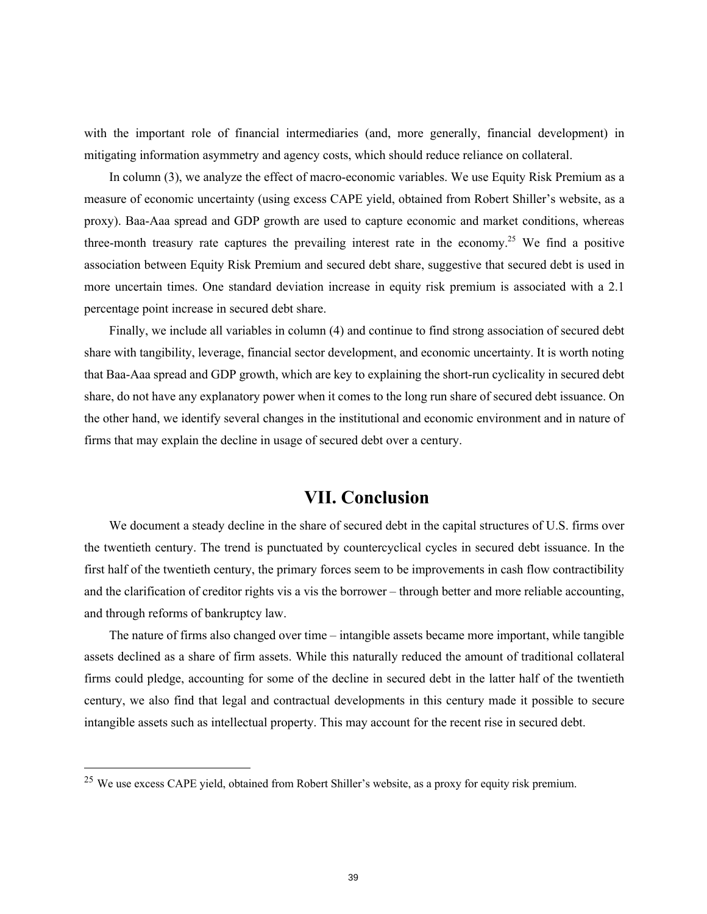with the important role of financial intermediaries (and, more generally, financial development) in mitigating information asymmetry and agency costs, which should reduce reliance on collateral.

In column (3), we analyze the effect of macro-economic variables. We use Equity Risk Premium as a measure of economic uncertainty (using excess CAPE yield, obtained from Robert Shiller's website, as a proxy). Baa-Aaa spread and GDP growth are used to capture economic and market conditions, whereas three-month treasury rate captures the prevailing interest rate in the economy.<sup>25</sup> We find a positive association between Equity Risk Premium and secured debt share, suggestive that secured debt is used in more uncertain times. One standard deviation increase in equity risk premium is associated with a 2.1 percentage point increase in secured debt share.

Finally, we include all variables in column (4) and continue to find strong association of secured debt share with tangibility, leverage, financial sector development, and economic uncertainty. It is worth noting that Baa-Aaa spread and GDP growth, which are key to explaining the short-run cyclicality in secured debt share, do not have any explanatory power when it comes to the long run share of secured debt issuance. On the other hand, we identify several changes in the institutional and economic environment and in nature of firms that may explain the decline in usage of secured debt over a century.

# **VII. Conclusion**

We document a steady decline in the share of secured debt in the capital structures of U.S. firms over the twentieth century. The trend is punctuated by countercyclical cycles in secured debt issuance. In the first half of the twentieth century, the primary forces seem to be improvements in cash flow contractibility and the clarification of creditor rights vis a vis the borrower – through better and more reliable accounting, and through reforms of bankruptcy law.

The nature of firms also changed over time – intangible assets became more important, while tangible assets declined as a share of firm assets. While this naturally reduced the amount of traditional collateral firms could pledge, accounting for some of the decline in secured debt in the latter half of the twentieth century, we also find that legal and contractual developments in this century made it possible to secure intangible assets such as intellectual property. This may account for the recent rise in secured debt.

<sup>&</sup>lt;sup>25</sup> We use excess CAPE yield, obtained from Robert Shiller's website, as a proxy for equity risk premium.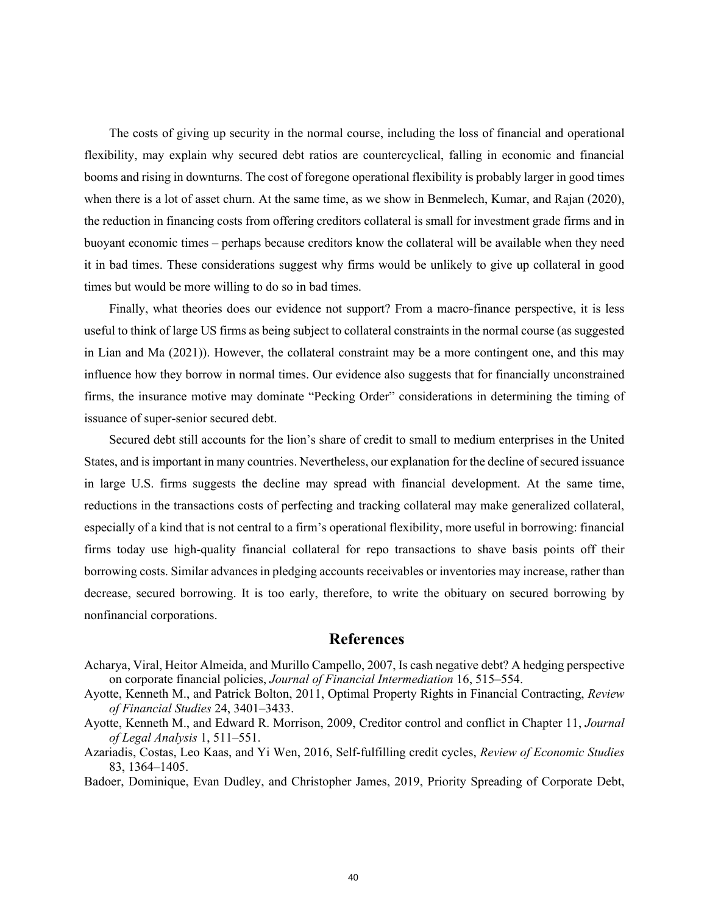The costs of giving up security in the normal course, including the loss of financial and operational flexibility, may explain why secured debt ratios are countercyclical, falling in economic and financial booms and rising in downturns. The cost of foregone operational flexibility is probably larger in good times when there is a lot of asset churn. At the same time, as we show in Benmelech, Kumar, and Rajan (2020), the reduction in financing costs from offering creditors collateral is small for investment grade firms and in buoyant economic times – perhaps because creditors know the collateral will be available when they need it in bad times. These considerations suggest why firms would be unlikely to give up collateral in good times but would be more willing to do so in bad times.

Finally, what theories does our evidence not support? From a macro-finance perspective, it is less useful to think of large US firms as being subject to collateral constraints in the normal course (as suggested in Lian and Ma (2021)). However, the collateral constraint may be a more contingent one, and this may influence how they borrow in normal times. Our evidence also suggests that for financially unconstrained firms, the insurance motive may dominate "Pecking Order" considerations in determining the timing of issuance of super-senior secured debt.

Secured debt still accounts for the lion's share of credit to small to medium enterprises in the United States, and is important in many countries. Nevertheless, our explanation for the decline of secured issuance in large U.S. firms suggests the decline may spread with financial development. At the same time, reductions in the transactions costs of perfecting and tracking collateral may make generalized collateral, especially of a kind that is not central to a firm's operational flexibility, more useful in borrowing: financial firms today use high-quality financial collateral for repo transactions to shave basis points off their borrowing costs. Similar advances in pledging accounts receivables or inventories may increase, rather than decrease, secured borrowing. It is too early, therefore, to write the obituary on secured borrowing by nonfinancial corporations.

### **References**

- Acharya, Viral, Heitor Almeida, and Murillo Campello, 2007, Is cash negative debt? A hedging perspective on corporate financial policies, *Journal of Financial Intermediation* 16, 515–554.
- Ayotte, Kenneth M., and Patrick Bolton, 2011, Optimal Property Rights in Financial Contracting, *Review of Financial Studies* 24, 3401–3433.
- Ayotte, Kenneth M., and Edward R. Morrison, 2009, Creditor control and conflict in Chapter 11, *Journal of Legal Analysis* 1, 511–551.
- Azariadis, Costas, Leo Kaas, and Yi Wen, 2016, Self-fulfilling credit cycles, *Review of Economic Studies* 83, 1364–1405.
- Badoer, Dominique, Evan Dudley, and Christopher James, 2019, Priority Spreading of Corporate Debt,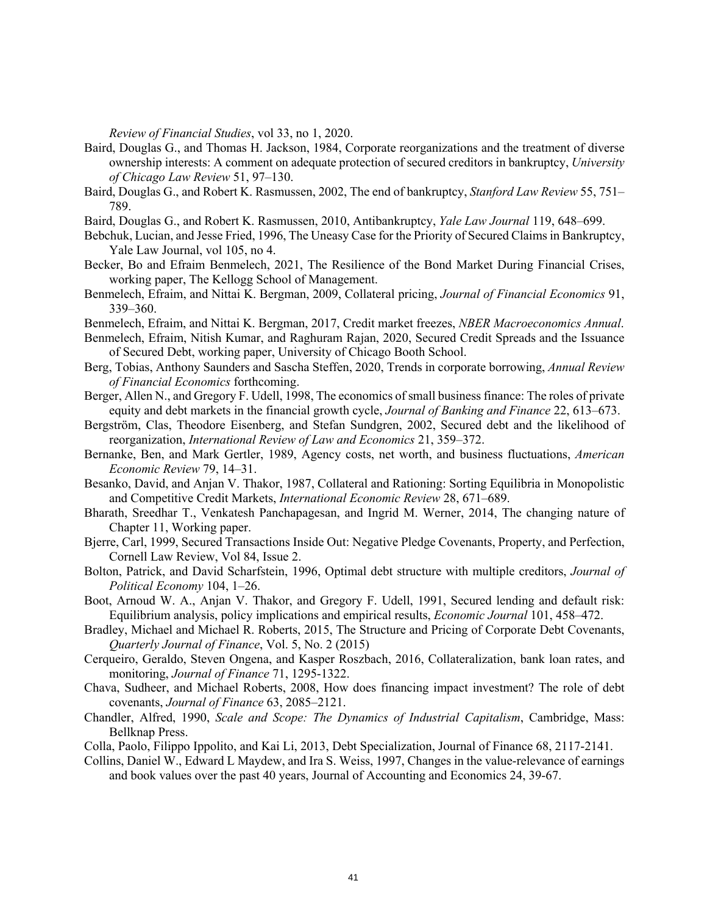*Review of Financial Studies*, vol 33, no 1, 2020.

- Baird, Douglas G., and Thomas H. Jackson, 1984, Corporate reorganizations and the treatment of diverse ownership interests: A comment on adequate protection of secured creditors in bankruptcy, *University of Chicago Law Review* 51, 97–130.
- Baird, Douglas G., and Robert K. Rasmussen, 2002, The end of bankruptcy, *Stanford Law Review* 55, 751– 789.
- Baird, Douglas G., and Robert K. Rasmussen, 2010, Antibankruptcy, *Yale Law Journal* 119, 648–699.
- Bebchuk, Lucian, and Jesse Fried, 1996, The Uneasy Case for the Priority of Secured Claims in Bankruptcy, Yale Law Journal, vol 105, no 4.
- Becker, Bo and Efraim Benmelech, 2021, The Resilience of the Bond Market During Financial Crises, working paper, The Kellogg School of Management.
- Benmelech, Efraim, and Nittai K. Bergman, 2009, Collateral pricing, *Journal of Financial Economics* 91, 339–360.
- Benmelech, Efraim, and Nittai K. Bergman, 2017, Credit market freezes, *NBER Macroeconomics Annual*.
- Benmelech, Efraim, Nitish Kumar, and Raghuram Rajan, 2020, Secured Credit Spreads and the Issuance of Secured Debt, working paper, University of Chicago Booth School.
- Berg, Tobias, Anthony Saunders and Sascha Steffen, 2020, Trends in corporate borrowing, *Annual Review of Financial Economics* forthcoming.
- Berger, Allen N., and Gregory F. Udell, 1998, The economics of small business finance: The roles of private equity and debt markets in the financial growth cycle, *Journal of Banking and Finance* 22, 613–673.
- Bergström, Clas, Theodore Eisenberg, and Stefan Sundgren, 2002, Secured debt and the likelihood of reorganization, *International Review of Law and Economics* 21, 359–372.
- Bernanke, Ben, and Mark Gertler, 1989, Agency costs, net worth, and business fluctuations, *American Economic Review* 79, 14–31.
- Besanko, David, and Anjan V. Thakor, 1987, Collateral and Rationing: Sorting Equilibria in Monopolistic and Competitive Credit Markets, *International Economic Review* 28, 671–689.
- Bharath, Sreedhar T., Venkatesh Panchapagesan, and Ingrid M. Werner, 2014, The changing nature of Chapter 11, Working paper.
- Bjerre, Carl, 1999, Secured Transactions Inside Out: Negative Pledge Covenants, Property, and Perfection, Cornell Law Review, Vol 84, Issue 2.
- Bolton, Patrick, and David Scharfstein, 1996, Optimal debt structure with multiple creditors, *Journal of Political Economy* 104, 1–26.
- Boot, Arnoud W. A., Anjan V. Thakor, and Gregory F. Udell, 1991, Secured lending and default risk: Equilibrium analysis, policy implications and empirical results, *Economic Journal* 101, 458–472.
- Bradley, Michael and Michael R. Roberts, 2015, The Structure and Pricing of Corporate Debt Covenants, *Quarterly Journal of Finance*, Vol. 5, No. 2 (2015)
- Cerqueiro, Geraldo, Steven Ongena, and Kasper Roszbach, 2016, Collateralization, bank loan rates, and monitoring, *Journal of Finance* 71, 1295-1322.
- Chava, Sudheer, and Michael Roberts, 2008, How does financing impact investment? The role of debt covenants, *Journal of Finance* 63, 2085–2121.
- Chandler, Alfred, 1990, *Scale and Scope: The Dynamics of Industrial Capitalism*, Cambridge, Mass: Bellknap Press.
- Colla, Paolo, Filippo Ippolito, and Kai Li, 2013, Debt Specialization, Journal of Finance 68, 2117-2141.
- Collins, Daniel W., Edward L Maydew, and Ira S. Weiss, 1997, Changes in the value-relevance of earnings and book values over the past 40 years, Journal of Accounting and Economics 24, 39-67.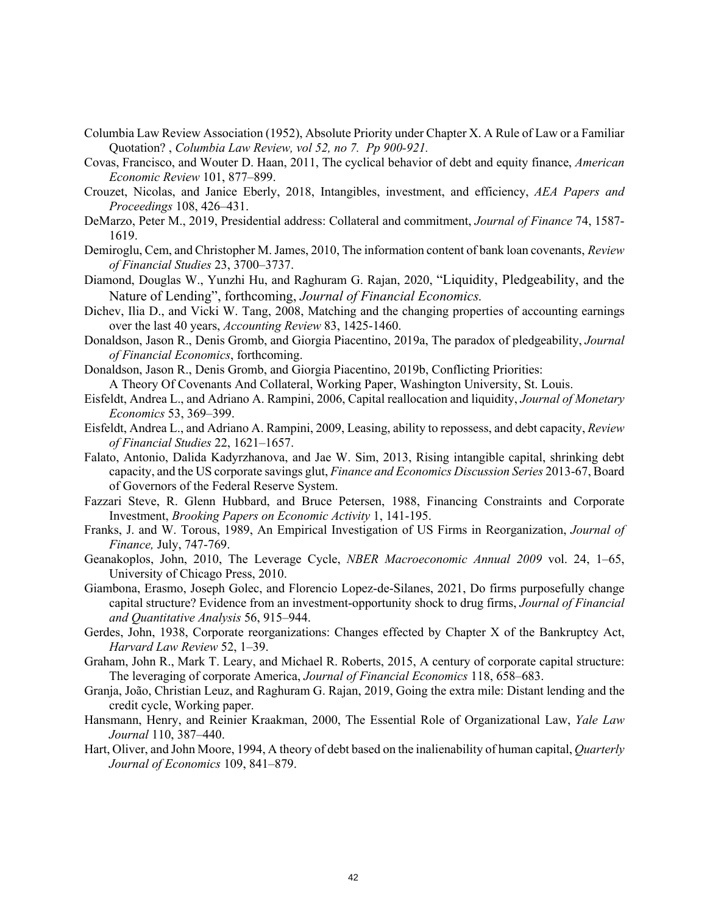- Columbia Law Review Association (1952), Absolute Priority under Chapter X. A Rule of Law or a Familiar Quotation? , *Columbia Law Review, vol 52, no 7. Pp 900-921.*
- Covas, Francisco, and Wouter D. Haan, 2011, The cyclical behavior of debt and equity finance, *American Economic Review* 101, 877–899.
- Crouzet, Nicolas, and Janice Eberly, 2018, Intangibles, investment, and efficiency, *AEA Papers and Proceedings* 108, 426–431.
- DeMarzo, Peter M., 2019, Presidential address: Collateral and commitment, *Journal of Finance* 74, 1587- 1619.
- Demiroglu, Cem, and Christopher M. James, 2010, The information content of bank loan covenants, *Review of Financial Studies* 23, 3700–3737.
- Diamond, Douglas W., Yunzhi Hu, and Raghuram G. Rajan, 2020, "Liquidity, Pledgeability, and the Nature of Lending", forthcoming, *Journal of Financial Economics.*
- Dichev, Ilia D., and Vicki W. Tang, 2008, Matching and the changing properties of accounting earnings over the last 40 years, *Accounting Review* 83, 1425-1460.
- Donaldson, Jason R., Denis Gromb, and Giorgia Piacentino, 2019a, The paradox of pledgeability, *Journal of Financial Economics*, forthcoming.
- Donaldson, Jason R., Denis Gromb, and Giorgia Piacentino, 2019b, Conflicting Priorities: A Theory Of Covenants And Collateral, Working Paper, Washington University, St. Louis.
- Eisfeldt, Andrea L., and Adriano A. Rampini, 2006, Capital reallocation and liquidity, *Journal of Monetary Economics* 53, 369–399.
- Eisfeldt, Andrea L., and Adriano A. Rampini, 2009, Leasing, ability to repossess, and debt capacity, *Review of Financial Studies* 22, 1621–1657.
- Falato, Antonio, Dalida Kadyrzhanova, and Jae W. Sim, 2013, Rising intangible capital, shrinking debt capacity, and the US corporate savings glut, *Finance and Economics Discussion Series* 2013-67, Board of Governors of the Federal Reserve System.
- Fazzari Steve, R. Glenn Hubbard, and Bruce Petersen, 1988, Financing Constraints and Corporate Investment, *Brooking Papers on Economic Activity* 1, 141-195.
- Franks, J. and W. Torous, 1989, An Empirical Investigation of US Firms in Reorganization, *Journal of Finance,* July, 747-769.
- Geanakoplos, John, 2010, The Leverage Cycle, *NBER Macroeconomic Annual 2009* vol. 24, 1–65, University of Chicago Press, 2010.
- Giambona, Erasmo, Joseph Golec, and Florencio Lopez-de-Silanes, 2021, Do firms purposefully change capital structure? Evidence from an investment-opportunity shock to drug firms, *Journal of Financial and Quantitative Analysis* 56, 915–944.
- Gerdes, John, 1938, Corporate reorganizations: Changes effected by Chapter X of the Bankruptcy Act, *Harvard Law Review* 52, 1–39.
- Graham, John R., Mark T. Leary, and Michael R. Roberts, 2015, A century of corporate capital structure: The leveraging of corporate America, *Journal of Financial Economics* 118, 658–683.
- Granja, João, Christian Leuz, and Raghuram G. Rajan, 2019, Going the extra mile: Distant lending and the credit cycle, Working paper.
- Hansmann, Henry, and Reinier Kraakman, 2000, The Essential Role of Organizational Law, *Yale Law Journal* 110, 387–440.
- Hart, Oliver, and John Moore, 1994, A theory of debt based on the inalienability of human capital, *Quarterly Journal of Economics* 109, 841–879.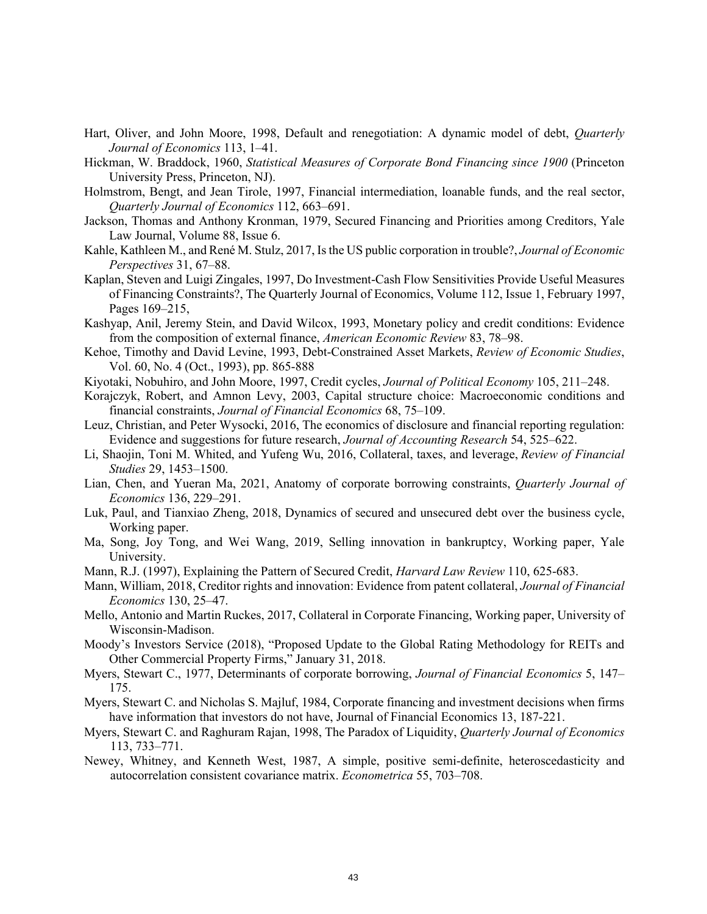- Hart, Oliver, and John Moore, 1998, Default and renegotiation: A dynamic model of debt, *Quarterly Journal of Economics* 113, 1–41.
- Hickman, W. Braddock, 1960, *Statistical Measures of Corporate Bond Financing since 1900* (Princeton University Press, Princeton, NJ).
- Holmstrom, Bengt, and Jean Tirole, 1997, Financial intermediation, loanable funds, and the real sector, *Quarterly Journal of Economics* 112, 663–691.
- Jackson, Thomas and Anthony Kronman, 1979, Secured Financing and Priorities among Creditors, Yale Law Journal, Volume 88, Issue 6.
- Kahle, Kathleen M., and René M. Stulz, 2017, Is the US public corporation in trouble?, *Journal of Economic Perspectives* 31, 67–88.
- Kaplan, Steven and Luigi Zingales, 1997, Do Investment-Cash Flow Sensitivities Provide Useful Measures of Financing Constraints?, The Quarterly Journal of Economics, Volume 112, Issue 1, February 1997, Pages 169–215,
- Kashyap, Anil, Jeremy Stein, and David Wilcox, 1993, Monetary policy and credit conditions: Evidence from the composition of external finance, *American Economic Review* 83, 78–98.
- Kehoe, Timothy and David Levine, 1993, Debt-Constrained Asset Markets, *Review of Economic Studies*, Vol. 60, No. 4 (Oct., 1993), pp. 865-888
- Kiyotaki, Nobuhiro, and John Moore, 1997, Credit cycles, *Journal of Political Economy* 105, 211–248.
- Korajczyk, Robert, and Amnon Levy, 2003, Capital structure choice: Macroeconomic conditions and financial constraints, *Journal of Financial Economics* 68, 75–109.
- Leuz, Christian, and Peter Wysocki, 2016, The economics of disclosure and financial reporting regulation: Evidence and suggestions for future research, *Journal of Accounting Research* 54, 525–622.
- Li, Shaojin, Toni M. Whited, and Yufeng Wu, 2016, Collateral, taxes, and leverage, *Review of Financial Studies* 29, 1453–1500.
- Lian, Chen, and Yueran Ma, 2021, Anatomy of corporate borrowing constraints, *Quarterly Journal of Economics* 136, 229–291.
- Luk, Paul, and Tianxiao Zheng, 2018, Dynamics of secured and unsecured debt over the business cycle, Working paper.
- Ma, Song, Joy Tong, and Wei Wang, 2019, Selling innovation in bankruptcy, Working paper, Yale University.
- Mann, R.J. (1997), Explaining the Pattern of Secured Credit, *Harvard Law Review* 110, 625-683.
- Mann, William, 2018, Creditor rights and innovation: Evidence from patent collateral, *Journal of Financial Economics* 130, 25–47.
- Mello, Antonio and Martin Ruckes, 2017, Collateral in Corporate Financing, Working paper, University of Wisconsin-Madison.
- Moody's Investors Service (2018), "Proposed Update to the Global Rating Methodology for REITs and Other Commercial Property Firms," January 31, 2018.
- Myers, Stewart C., 1977, Determinants of corporate borrowing, *Journal of Financial Economics* 5, 147– 175.
- Myers, Stewart C. and Nicholas S. Majluf, 1984, Corporate financing and investment decisions when firms have information that investors do not have, Journal of Financial Economics 13, 187-221.
- Myers, Stewart C. and Raghuram Rajan, 1998, The Paradox of Liquidity, *Quarterly Journal of Economics* 113, 733–771.
- Newey, Whitney, and Kenneth West, 1987, A simple, positive semi-definite, heteroscedasticity and autocorrelation consistent covariance matrix. *Econometrica* 55, 703–708.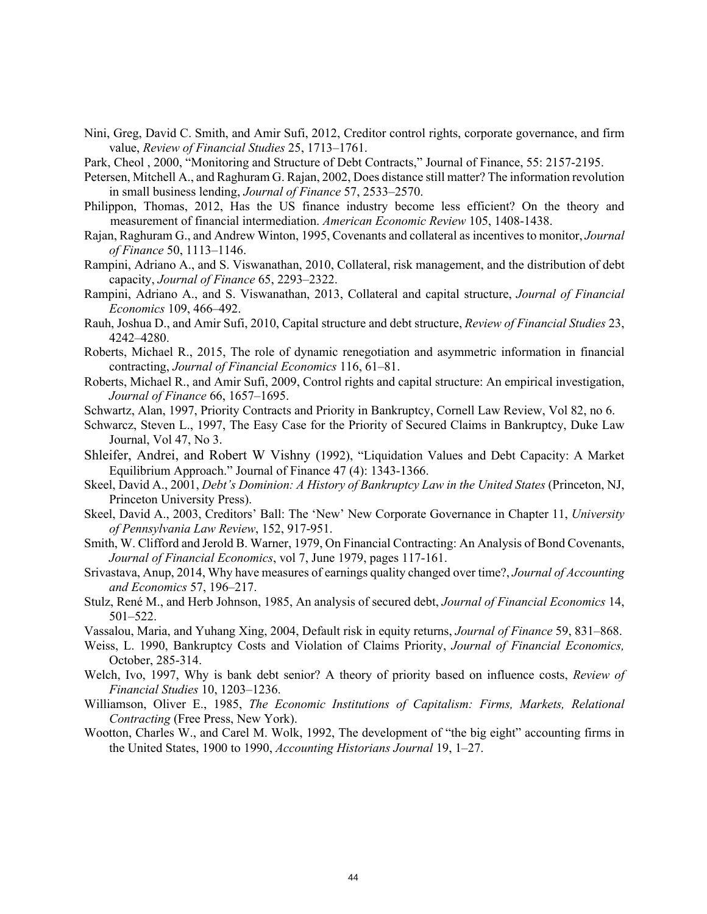- Nini, Greg, David C. Smith, and Amir Sufi, 2012, Creditor control rights, corporate governance, and firm value, *Review of Financial Studies* 25, 1713–1761.
- Park, Cheol , 2000, "Monitoring and Structure of Debt Contracts," Journal of Finance, 55: 2157-2195.
- Petersen, Mitchell A., and Raghuram G. Rajan, 2002, Does distance still matter? The information revolution in small business lending, *Journal of Finance* 57, 2533–2570.
- Philippon, Thomas, 2012, Has the US finance industry become less efficient? On the theory and measurement of financial intermediation. *American Economic Review* 105, 1408-1438.
- Rajan, Raghuram G., and Andrew Winton, 1995, Covenants and collateral as incentives to monitor, *Journal of Finance* 50, 1113–1146.
- Rampini, Adriano A., and S. Viswanathan, 2010, Collateral, risk management, and the distribution of debt capacity, *Journal of Finance* 65, 2293–2322.
- Rampini, Adriano A., and S. Viswanathan, 2013, Collateral and capital structure, *Journal of Financial Economics* 109, 466–492.
- Rauh, Joshua D., and Amir Sufi, 2010, Capital structure and debt structure, *Review of Financial Studies* 23, 4242–4280.
- Roberts, Michael R., 2015, The role of dynamic renegotiation and asymmetric information in financial contracting, *Journal of Financial Economics* 116, 61–81.
- Roberts, Michael R., and Amir Sufi, 2009, Control rights and capital structure: An empirical investigation, *Journal of Finance* 66, 1657–1695.
- Schwartz, Alan, 1997, Priority Contracts and Priority in Bankruptcy, Cornell Law Review, Vol 82, no 6.
- Schwarcz, Steven L., 1997, The Easy Case for the Priority of Secured Claims in Bankruptcy, Duke Law Journal, Vol 47, No 3.
- Shleifer, Andrei, and Robert W Vishny (1992), "Liquidation Values and Debt Capacity: A Market Equilibrium Approach." Journal of Finance 47 (4): 1343-1366.
- Skeel, David A., 2001, *Debt's Dominion: A History of Bankruptcy Law in the United States* (Princeton, NJ, Princeton University Press).
- Skeel, David A., 2003, Creditors' Ball: The 'New' New Corporate Governance in Chapter 11, *University of Pennsylvania Law Review*, 152, 917-951.
- Smith, W. Clifford and Jerold B. Warner, 1979, On Financial Contracting: An Analysis of Bond Covenants, *Journal of Financial Economics*, vol 7, June 1979, pages 117-161.
- Srivastava, Anup, 2014, Why have measures of earnings quality changed over time?, *Journal of Accounting and Economics* 57, 196–217.
- Stulz, René M., and Herb Johnson, 1985, An analysis of secured debt, *Journal of Financial Economics* 14, 501–522.
- Vassalou, Maria, and Yuhang Xing, 2004, Default risk in equity returns, *Journal of Finance* 59, 831–868.
- Weiss, L. 1990, Bankruptcy Costs and Violation of Claims Priority, *Journal of Financial Economics,*  October, 285-314.
- Welch, Ivo, 1997, Why is bank debt senior? A theory of priority based on influence costs, *Review of Financial Studies* 10, 1203–1236.
- Williamson, Oliver E., 1985, *The Economic Institutions of Capitalism: Firms, Markets, Relational Contracting* (Free Press, New York).
- Wootton, Charles W., and Carel M. Wolk, 1992, The development of "the big eight" accounting firms in the United States, 1900 to 1990, *Accounting Historians Journal* 19, 1–27.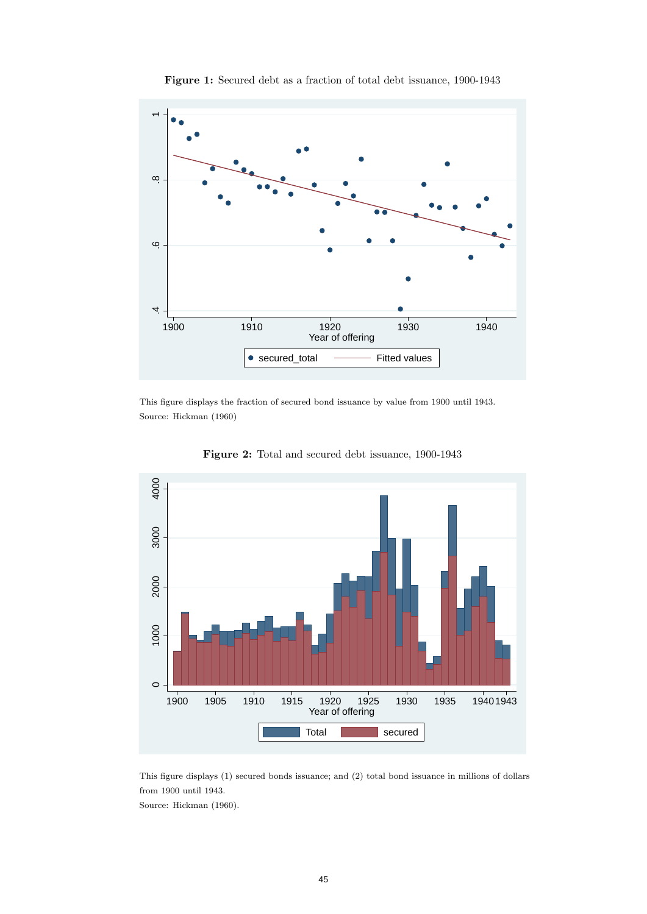

Figure 1: Secured debt as a fraction of total debt issuance, 1900-1943

This figure displays the fraction of secured bond issuance by value from 1900 until 1943. Source: Hickman (1960)



Figure 2: Total and secured debt issuance, 1900-1943

This figure displays (1) secured bonds issuance; and (2) total bond issuance in millions of dollars from 1900 until 1943.

Source: Hickman (1960).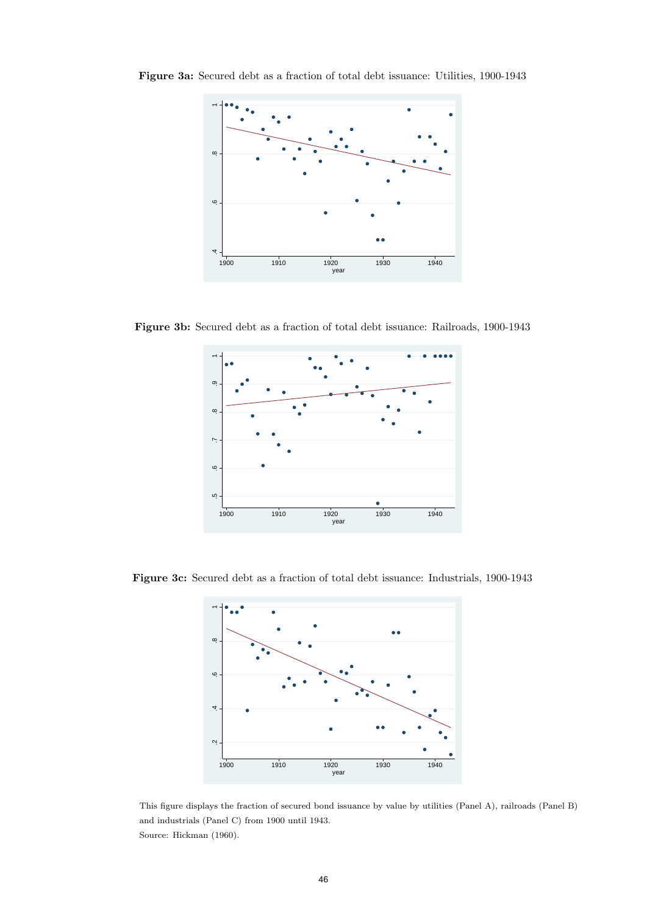

Figure 3a: Secured debt as a fraction of total debt issuance: Utilities, 1900-1943

Figure 3b: Secured debt as a fraction of total debt issuance: Railroads, 1900-1943



Figure 3c: Secured debt as a fraction of total debt issuance: Industrials, 1900-1943



This figure displays the fraction of secured bond issuance by value by utilities (Panel A), railroads (Panel B) and industrials (Panel C) from 1900 until 1943. Source: Hickman (1960).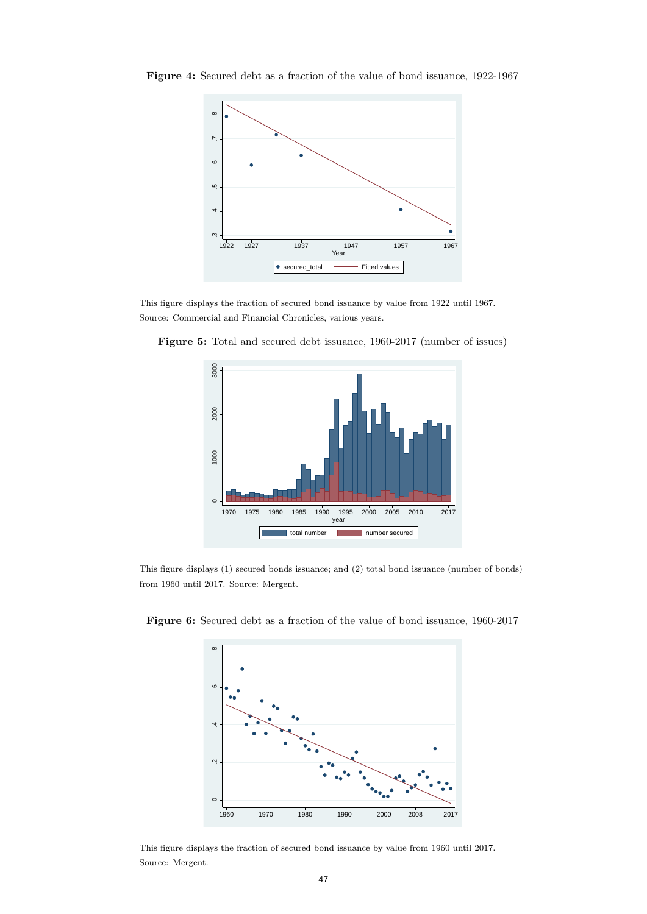

Figure 4: Secured debt as a fraction of the value of bond issuance, 1922-1967

This figure displays the fraction of secured bond issuance by value from 1922 until 1967. Source: Commercial and Financial Chronicles, various years.



Figure 5: Total and secured debt issuance, 1960-2017 (number of issues)

This figure displays (1) secured bonds issuance; and (2) total bond issuance (number of bonds) from 1960 until 2017. Source: Mergent.



Figure 6: Secured debt as a fraction of the value of bond issuance, 1960-2017

This figure displays the fraction of secured bond issuance by value from 1960 until 2017. Source: Mergent.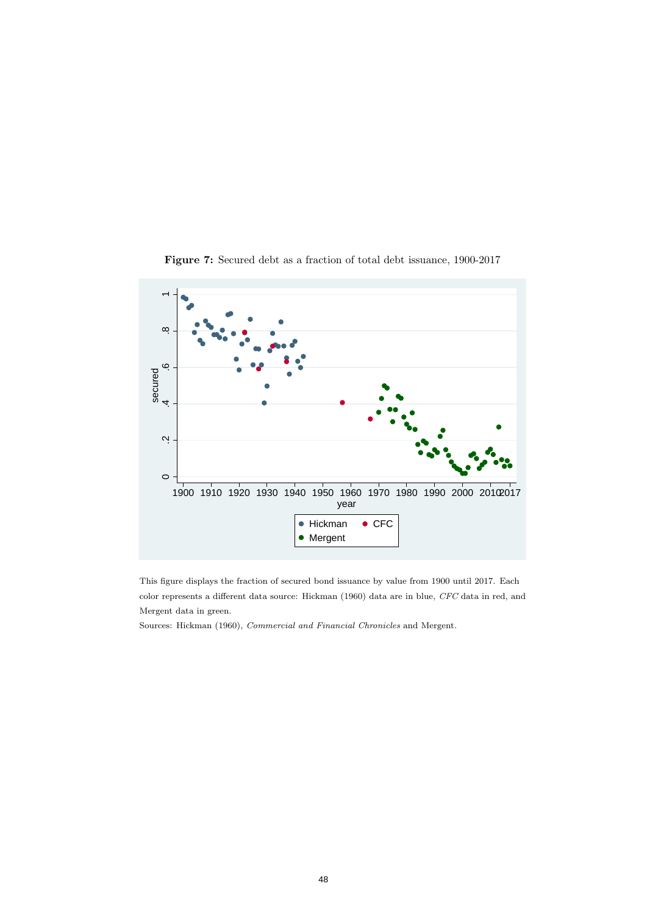

Figure 7: Secured debt as a fraction of total debt issuance, 1900-2017

This figure displays the fraction of secured bond issuance by value from 1900 until 2017. Each color represents a different data source: Hickman (1960) data are in blue, CFC data in red, and Mergent data in green.

Sources: Hickman (1960), Commercial and Financial Chronicles and Mergent.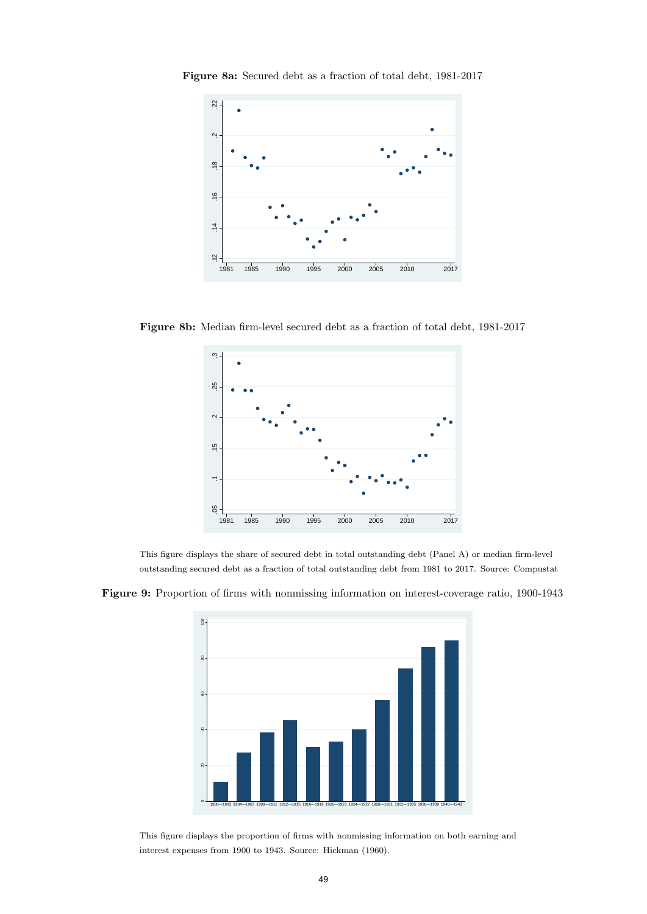

Figure 8a: Secured debt as a fraction of total debt, 1981-2017

Figure 8b: Median firm-level secured debt as a fraction of total debt, 1981-2017



This figure displays the share of secured debt in total outstanding debt (Panel A) or median firm-level outstanding secured debt as a fraction of total outstanding debt from 1981 to 2017. Source: Compustat

Figure 9: Proportion of firms with nonmissing information on interest-coverage ratio, 1900-1943



This figure displays the proportion of firms with nonmissing information on both earning and interest expenses from 1900 to 1943. Source: Hickman (1960).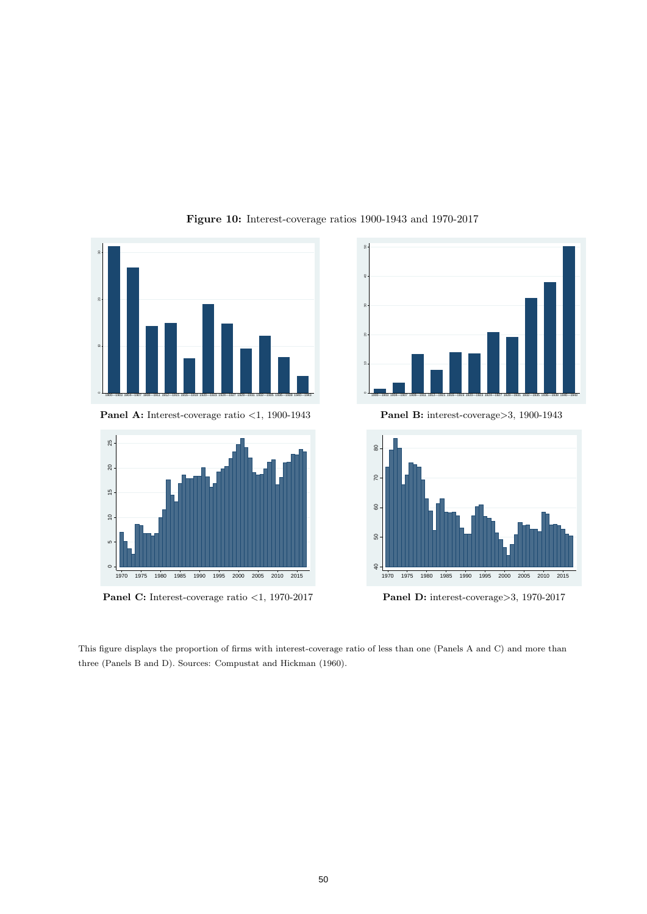

### Figure 10: Interest-coverage ratios 1900-1943 and 1970-2017



Panel A: Interest-coverage ratio <1, 1900-1943



Panel C: Interest-coverage ratio <1, 1970-2017

Panel B: interest-coverage>3, 1900-1943



Panel D: interest-coverage>3, 1970-2017

This figure displays the proportion of firms with interest-coverage ratio of less than one (Panels A and C) and more than three (Panels B and D). Sources: Compustat and Hickman (1960).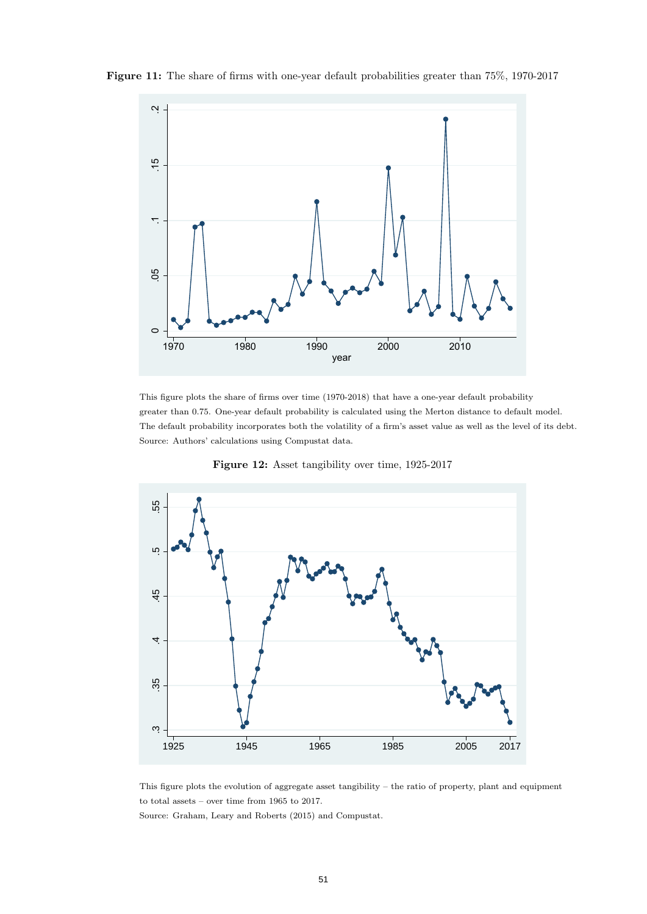

Figure 11: The share of firms with one-year default probabilities greater than 75%, 1970-2017

This figure plots the share of firms over time (1970-2018) that have a one-year default probability greater than 0.75. One-year default probability is calculated using the Merton distance to default model. The default probability incorporates both the volatility of a firm's asset value as well as the level of its debt. Source: Authors' calculations using Compustat data.



Figure 12: Asset tangibility over time, 1925-2017

This figure plots the evolution of aggregate asset tangibility – the ratio of property, plant and equipment to total assets – over time from 1965 to 2017.

Source: Graham, Leary and Roberts (2015) and Compustat.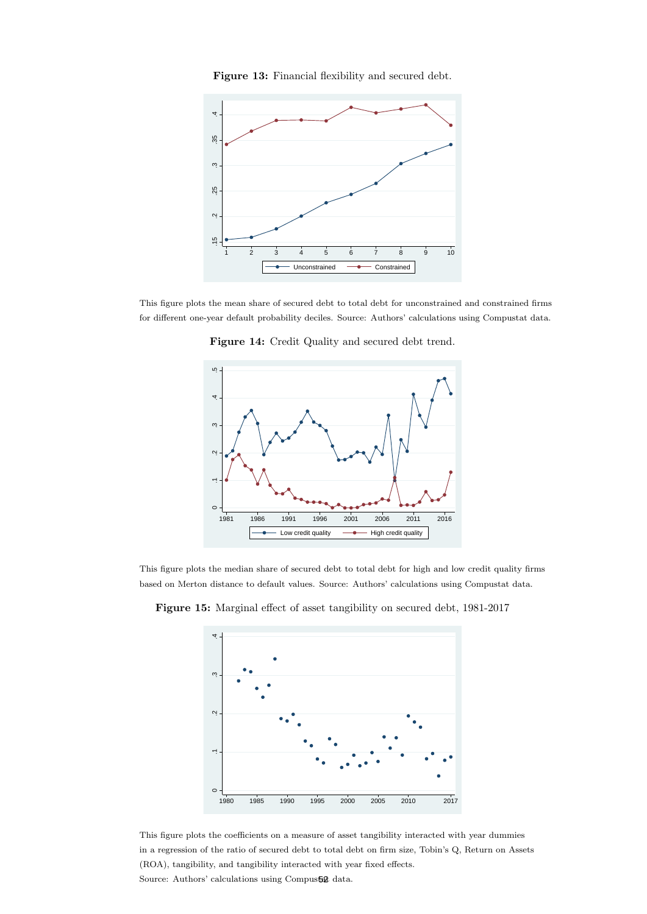Figure 13: Financial flexibility and secured debt.



This figure plots the mean share of secured debt to total debt for unconstrained and constrained firms for different one-year default probability deciles. Source: Authors' calculations using Compustat data.

Figure 14: Credit Quality and secured debt trend.



This figure plots the median share of secured debt to total debt for high and low credit quality firms based on Merton distance to default values. Source: Authors' calculations using Compustat data.



Figure 15: Marginal effect of asset tangibility on secured debt, 1981-2017

This figure plots the coefficients on a measure of asset tangibility interacted with year dummies in a regression of the ratio of secured debt to total debt on firm size, Tobin's Q, Return on Assets (ROA), tangibility, and tangibility interacted with year fixed effects. Source: Authors' calculations using Compustat data.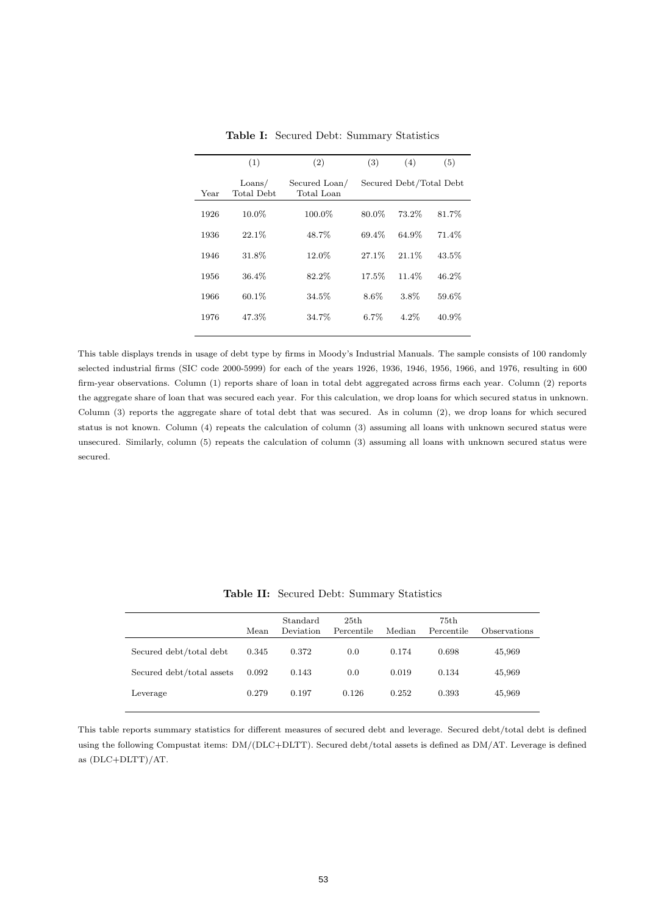|      | (1)                           | (2)                         | (3)     | (4)                     | (5)   |
|------|-------------------------------|-----------------------------|---------|-------------------------|-------|
| Year | $\text{Loans}/$<br>Total Debt | Secured Loan/<br>Total Loan |         | Secured Debt/Total Debt |       |
| 1926 | 10.0%                         | 100.0%                      | 80.0%   | 73.2%                   | 81.7% |
| 1936 | 22.1%                         | 48.7%                       | 69.4%   | 64.9%                   | 71.4% |
| 1946 | 31.8%                         | 12.0%                       | 27.1%   | $21.1\%$                | 43.5% |
| 1956 | 36.4%                         | 82.2%                       | 17.5%   | 11.4%                   | 46.2% |
| 1966 | 60.1%                         | $34.5\%$                    | 8.6%    | 3.8%                    | 59.6% |
| 1976 | 47.3%                         | 34.7%                       | $6.7\%$ | $4.2\%$                 | 40.9% |
|      |                               |                             |         |                         |       |

Table I: Secured Debt: Summary Statistics

This table displays trends in usage of debt type by firms in Moody's Industrial Manuals. The sample consists of 100 randomly selected industrial firms (SIC code 2000-5999) for each of the years 1926, 1936, 1946, 1956, 1966, and 1976, resulting in 600 firm-year observations. Column (1) reports share of loan in total debt aggregated across firms each year. Column (2) reports the aggregate share of loan that was secured each year. For this calculation, we drop loans for which secured status in unknown. Column (3) reports the aggregate share of total debt that was secured. As in column (2), we drop loans for which secured status is not known. Column (4) repeats the calculation of column (3) assuming all loans with unknown secured status were unsecured. Similarly, column (5) repeats the calculation of column (3) assuming all loans with unknown secured status were secured.

|                           | Mean  | Standard<br>Deviation | 25th<br>Percentile | Median | 75th<br>Percentile | Observations |
|---------------------------|-------|-----------------------|--------------------|--------|--------------------|--------------|
| Secured debt/total debt   | 0.345 | 0.372                 | 0.0                | 0.174  | 0.698              | 45,969       |
| Secured debt/total assets | 0.092 | 0.143                 | 0.0                | 0.019  | 0.134              | 45,969       |
| Leverage                  | 0.279 | 0.197                 | 0.126              | 0.252  | 0.393              | 45,969       |

Table II: Secured Debt: Summary Statistics

This table reports summary statistics for different measures of secured debt and leverage. Secured debt/total debt is defined using the following Compustat items: DM/(DLC+DLTT). Secured debt/total assets is defined as DM/AT. Leverage is defined as (DLC+DLTT)/AT.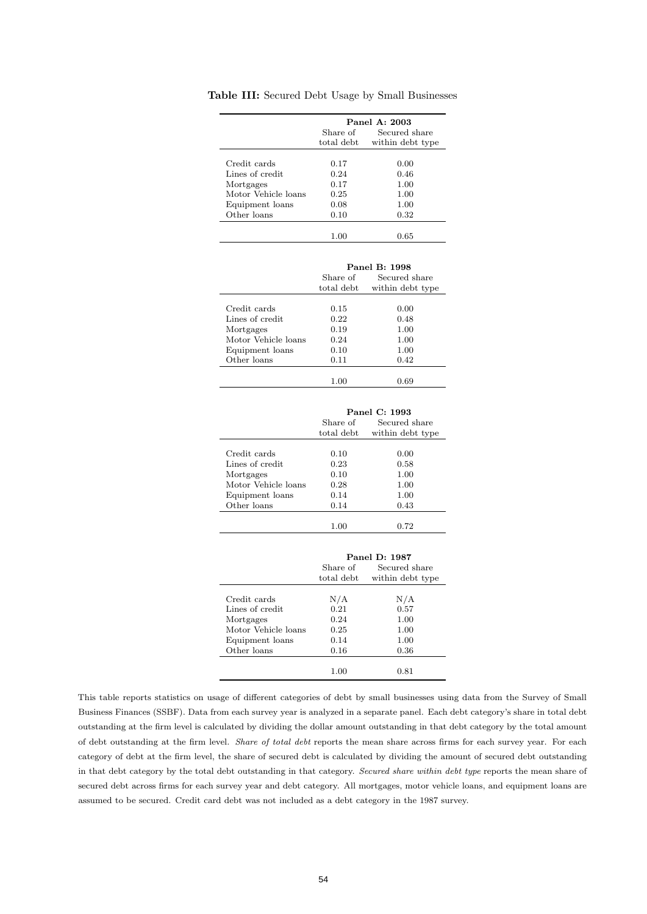|                     |            | Panel A: 2003    |
|---------------------|------------|------------------|
|                     | Share of   | Secured share    |
|                     | total debt | within debt type |
|                     |            |                  |
| Credit cards        | 0.17       | 0.00             |
| Lines of credit     | 0.24       | 0.46             |
| Mortgages           | 0.17       | 1.00             |
| Motor Vehicle loans | 0.25       | 1.00             |
| Equipment loans     | 0.08       | $1.00\,$         |
| Other loans         | 0.10       | 0.32             |
|                     | 1.00       | $_{0.65}$        |
|                     |            |                  |
|                     |            | Panel B: 1998    |
|                     | Share of   | Secured share    |
|                     | total debt | within debt type |
| Credit cards        | 0.15       | 0.00             |
| Lines of credit     | 0.22       | 0.48             |
| Mortgages           | 0.19       | 1.00             |
| Motor Vehicle loans | 0.24       | 1.00             |
| Equipment loans     | 0.10       | 1.00             |
| Other loans         | 0.11       | 0.42             |
|                     |            |                  |
|                     | 1.00       | 0.69             |
|                     |            |                  |
|                     |            | Panel C: 1993    |
|                     | Share of   | Secured share    |
|                     | total debt | within debt type |
| Credit cards        | 0.10       | 0.00             |
| Lines of credit     | 0.23       | 0.58             |
| Mortgages           | 0.10       | 1.00             |
| Motor Vehicle loans | 0.28       | 1.00             |
| Equipment loans     | 0.14       | 1.00             |
| Other loans         | 0.14       | 0.43             |
|                     |            |                  |
|                     | 1.00       | 0.72             |
|                     |            |                  |
|                     |            | Panel D: 1987    |
|                     | Share of   | Secured share    |
|                     | total debt | within debt type |
| Credit cards        | N/A        | N/A              |
|                     |            |                  |
| Lines of credit     | $\rm 0.21$ | 0.57             |
| Mortgages           | $\rm 0.24$ | 1.00             |
| Motor Vehicle loans | 0.25       | 1.00             |
| Equipment loans     | 0.14       | 1.00             |
| Other loans         | 0.16       | 0.36             |
|                     | 1.00       | 0.81             |
|                     |            |                  |

Table III: Secured Debt Usage by Small Businesses

This table reports statistics on usage of different categories of debt by small businesses using data from the Survey of Small Business Finances (SSBF). Data from each survey year is analyzed in a separate panel. Each debt category's share in total debt outstanding at the firm level is calculated by dividing the dollar amount outstanding in that debt category by the total amount of debt outstanding at the firm level. Share of total debt reports the mean share across firms for each survey year. For each category of debt at the firm level, the share of secured debt is calculated by dividing the amount of secured debt outstanding in that debt category by the total debt outstanding in that category. Secured share within debt type reports the mean share of secured debt across firms for each survey year and debt category. All mortgages, motor vehicle loans, and equipment loans are assumed to be secured. Credit card debt was not included as a debt category in the 1987 survey.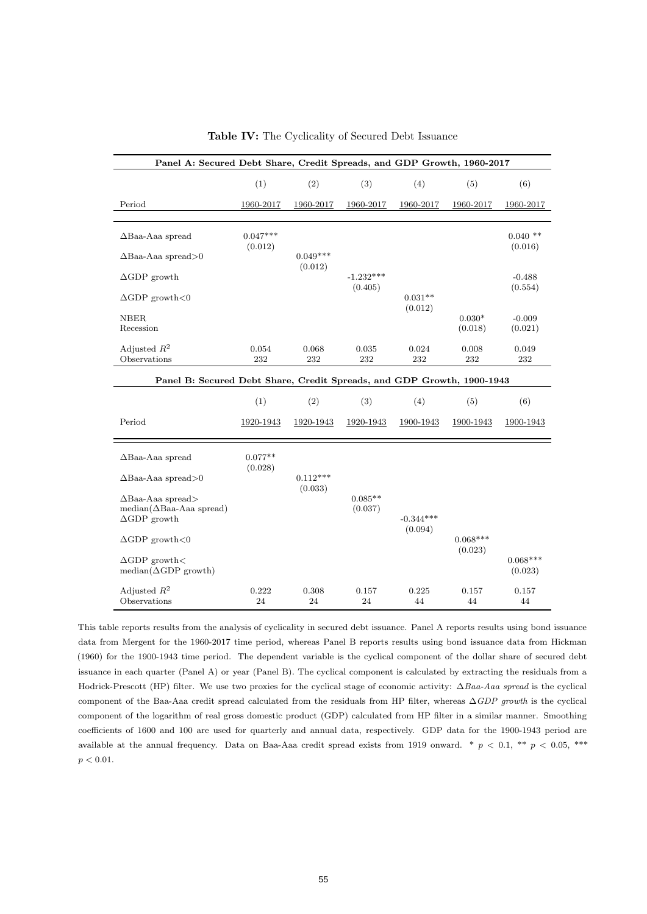| Panel A: Secured Debt Share, Credit Spreads, and GDP Growth, 1960-2017 |                       |                       |                        |                        |                       |                       |
|------------------------------------------------------------------------|-----------------------|-----------------------|------------------------|------------------------|-----------------------|-----------------------|
|                                                                        | (1)                   | (2)                   | (3)                    | (4)                    | (5)                   | (6)                   |
| Period                                                                 | 1960-2017             | 1960-2017             | 1960-2017              | 1960-2017              | 1960-2017             | 1960-2017             |
|                                                                        |                       |                       |                        |                        |                       |                       |
| $\Delta$ Baa-Aaa spread                                                | $0.047***$<br>(0.012) |                       |                        |                        |                       | $0.040$ **<br>(0.016) |
| $\Delta$ Baa-Aaa spread>0                                              |                       | $0.049***$<br>(0.012) |                        |                        |                       |                       |
| $\Delta$ GDP growth                                                    |                       |                       | $-1.232***$<br>(0.405) |                        |                       | $-0.488$<br>(0.554)   |
| $\Delta$ GDP growth<0                                                  |                       |                       |                        | $0.031**$<br>(0.012)   |                       |                       |
| <b>NBER</b>                                                            |                       |                       |                        |                        | $0.030*$              | $-0.009$              |
| Recession                                                              |                       |                       |                        |                        | (0.018)               | (0.021)               |
| Adjusted $R^2$<br>Observations                                         | 0.054<br>232          | 0.068<br>232          | 0.035<br>232           | 0.024<br>232           | 0.008<br>232          | 0.049<br>232          |
|                                                                        |                       |                       |                        |                        |                       |                       |
| Panel B: Secured Debt Share, Credit Spreads, and GDP Growth, 1900-1943 |                       |                       |                        |                        |                       |                       |
|                                                                        | (1)                   | (2)                   | (3)                    | (4)                    | (5)                   | (6)                   |
| Period                                                                 | 1920-1943             | 1920-1943             | 1920-1943              | 1900-1943              | 1900-1943             | 1900-1943             |
|                                                                        |                       |                       |                        |                        |                       |                       |
| $\Delta$ Baa-Aaa spread                                                | $0.077**$<br>(0.028)  |                       |                        |                        |                       |                       |
| $\Delta$ Baa-Aaa spread>0                                              |                       | $0.112***$<br>(0.033) |                        |                        |                       |                       |
| $\Delta$ Baa-Aaa spread><br>$median(\Delta Baa-Aaa$ spread)            |                       |                       | $0.085**$<br>(0.037)   |                        |                       |                       |
| $\Delta$ GDP growth                                                    |                       |                       |                        | $-0.344***$<br>(0.094) |                       |                       |
| $\Delta$ GDP growth<0                                                  |                       |                       |                        |                        | $0.068***$<br>(0.023) |                       |
| $\Delta$ GDP growth $<$<br>$median(\Delta GDP\ growth)$                |                       |                       |                        |                        |                       | $0.068***$<br>(0.023) |
| Adjusted $R^2$<br>Observations                                         | 0.222<br>24           | 0.308<br>24           | 0.157<br>24            | 0.225<br>44            | 0.157<br>44           | 0.157<br>44           |

Table IV: The Cyclicality of Secured Debt Issuance

This table reports results from the analysis of cyclicality in secured debt issuance. Panel A reports results using bond issuance data from Mergent for the 1960-2017 time period, whereas Panel B reports results using bond issuance data from Hickman (1960) for the 1900-1943 time period. The dependent variable is the cyclical component of the dollar share of secured debt issuance in each quarter (Panel A) or year (Panel B). The cyclical component is calculated by extracting the residuals from a Hodrick-Prescott (HP) filter. We use two proxies for the cyclical stage of economic activity: ∆Baa-Aaa spread is the cyclical component of the Baa-Aaa credit spread calculated from the residuals from HP filter, whereas  $\Delta GDP$  growth is the cyclical component of the logarithm of real gross domestic product (GDP) calculated from HP filter in a similar manner. Smoothing coefficients of 1600 and 100 are used for quarterly and annual data, respectively. GDP data for the 1900-1943 period are available at the annual frequency. Data on Baa-Aaa credit spread exists from 1919 onward. \*  $p < 0.1$ , \*\*  $p < 0.05$ , \*\*\*  $p < 0.01$ .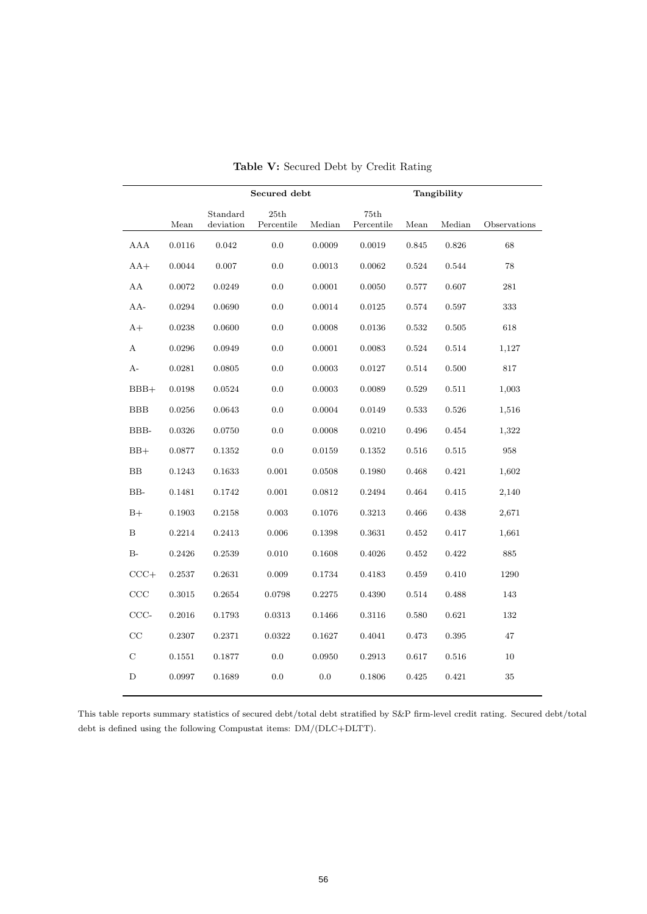|             |        |                       | Secured debt       |        |                    |       | Tangibility |              |
|-------------|--------|-----------------------|--------------------|--------|--------------------|-------|-------------|--------------|
|             | Mean   | Standard<br>deviation | 25th<br>Percentile | Median | 75th<br>Percentile | Mean  | Median      | Observations |
| AAA         | 0.0116 | 0.042                 | 0.0                | 0.0009 | 0.0019             | 0.845 | 0.826       | 68           |
| $AA+$       | 0.0044 | 0.007                 | 0.0                | 0.0013 | 0.0062             | 0.524 | 0.544       | 78           |
| ${\rm AA}$  | 0.0072 | 0.0249                | 0.0                | 0.0001 | 0.0050             | 0.577 | 0.607       | 281          |
| $AA-$       | 0.0294 | 0.0690                | 0.0                | 0.0014 | 0.0125             | 0.574 | 0.597       | 333          |
| $A+$        | 0.0238 | 0.0600                | 0.0                | 0.0008 | 0.0136             | 0.532 | 0.505       | 618          |
| A           | 0.0296 | 0.0949                | 0.0                | 0.0001 | 0.0083             | 0.524 | 0.514       | 1,127        |
| A-          | 0.0281 | 0.0805                | 0.0                | 0.0003 | 0.0127             | 0.514 | 0.500       | 817          |
| $BBB+$      | 0.0198 | 0.0524                | 0.0                | 0.0003 | 0.0089             | 0.529 | 0.511       | 1,003        |
| <b>BBB</b>  | 0.0256 | 0.0643                | 0.0                | 0.0004 | 0.0149             | 0.533 | 0.526       | 1,516        |
| BBB-        | 0.0326 | 0.0750                | 0.0                | 0.0008 | 0.0210             | 0.496 | 0.454       | 1,322        |
| $BB+$       | 0.0877 | 0.1352                | 0.0                | 0.0159 | 0.1352             | 0.516 | 0.515       | 958          |
| BB          | 0.1243 | 0.1633                | 0.001              | 0.0508 | 0.1980             | 0.468 | 0.421       | 1,602        |
| $BB-$       | 0.1481 | 0.1742                | 0.001              | 0.0812 | 0.2494             | 0.464 | 0.415       | 2,140        |
| $B+$        | 0.1903 | 0.2158                | 0.003              | 0.1076 | 0.3213             | 0.466 | 0.438       | 2,671        |
| В           | 0.2214 | 0.2413                | 0.006              | 0.1398 | 0.3631             | 0.452 | 0.417       | 1,661        |
| $B-$        | 0.2426 | 0.2539                | 0.010              | 0.1608 | 0.4026             | 0.452 | 0.422       | 885          |
| $CCC+$      | 0.2537 | 0.2631                | 0.009              | 0.1734 | 0.4183             | 0.459 | 0.410       | 1290         |
| CCC         | 0.3015 | 0.2654                | 0.0798             | 0.2275 | 0.4390             | 0.514 | 0.488       | 143          |
| $CCC-$      | 0.2016 | 0.1793                | 0.0313             | 0.1466 | 0.3116             | 0.580 | 0.621       | 132          |
| CC          | 0.2307 | 0.2371                | 0.0322             | 0.1627 | 0.4041             | 0.473 | 0.395       | 47           |
| $\mathbf C$ | 0.1551 | 0.1877                | 0.0                | 0.0950 | 0.2913             | 0.617 | 0.516       | 10           |
| D           | 0.0997 | 0.1689                | 0.0                | 0.0    | 0.1806             | 0.425 | 0.421       | 35           |

Table V: Secured Debt by Credit Rating

This table reports summary statistics of secured debt/total debt stratified by S&P firm-level credit rating. Secured debt/total debt is defined using the following Compustat items: DM/(DLC+DLTT).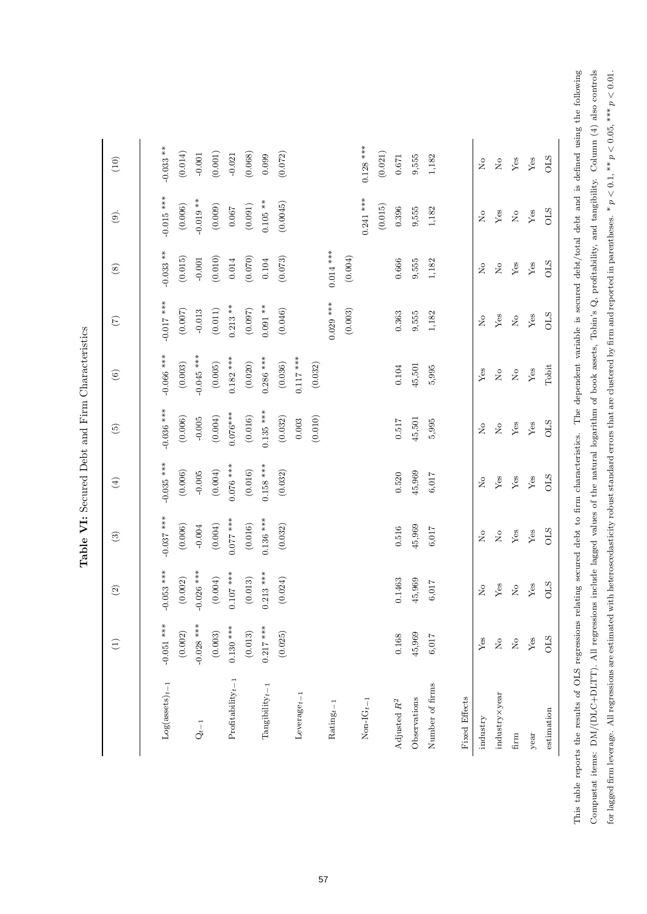|                         | $\bigoplus$                    | $\widehat{c}$                  | $\odot$                        | $\bigoplus$                    | $\widetilde{5}$            | $\odot$                        | $\widetilde{C}$                   | $\circledast$              | $\odot$                    | (10)                                  |
|-------------------------|--------------------------------|--------------------------------|--------------------------------|--------------------------------|----------------------------|--------------------------------|-----------------------------------|----------------------------|----------------------------|---------------------------------------|
| $Log($ assets $)_{t-1}$ | $-0.051$ ***                   | $-0.053$ ***                   | $-0.037$ ***                   | $-0.035$ ***                   | $-0.036$ ***               | $-0.066$ ***                   | $-0.017$ ***                      | $-0.033$ **                | $-0.015$ ***               | $-0.033$ **                           |
|                         | (0.002)                        | (0.002)                        | (0.006)                        | (0.006)                        | (0.006)                    | (0.003)                        | (0.007)                           | (0.015)                    | (0.006)                    | (0.014)                               |
| $\mathbf{Q}_{t-1}$      | $-0.028$ ***                   | $-0.026$ ***                   | $-0.004$                       | $-0.005$                       | $-0.005$                   | $-0.045$ ***                   | $-0.013$                          | $-0.001$                   | $-0.019$ **                | $-0.001$                              |
|                         | (0.003)                        | (0.004)                        | (0.004)                        | (0.004)                        | (0.004)                    | (0.005)                        | $\left( 0.011\right)$             | (0.010)                    | (0.009)                    | (0.001)                               |
| $Profitability_{t-1}$   | $0.130***$                     | $0.107$ ***                    | $0.077$ ***                    | $0.076$ ***                    | $0.076***$                 | $0.182$ ***                    | $0.213***$                        | 0.014                      | 0.067                      | $-0.021$                              |
|                         | (0.013)                        | (0.013)                        | (0.016)                        | (0.016)                        | (0.016)                    | (0.020)                        | $(0.097)$                         | (0.070)                    | $\left( 0.091\right)$      | (0.068)                               |
| $Tangibility_{t-1}$     | $0.217***$                     | $0.213***$                     | $0.136$ ***                    | $0.158$ ***                    | $0.135$ ***                | $0.286$ ***                    | $0.091***$                        | 0.104                      | $0.105$ **                 | 0.099                                 |
|                         | (0.025)                        | (0.024)                        | (0.032)                        | (0.032)                        | (0.032)                    | (0.036)                        | (0.046)                           | (0.073)                    | (0.0045)                   | (0.072)                               |
| $Leverage_{t-1}$        |                                |                                |                                |                                | $0.003$                    | $0.117***$                     |                                   |                            |                            |                                       |
|                         |                                |                                |                                |                                | (0.010)                    | (0.032)                        |                                   |                            |                            |                                       |
| $\mathrm{Rating}_{t-1}$ |                                |                                |                                |                                |                            |                                | $0.029$ ***                       | $0.014***$                 |                            |                                       |
|                         |                                |                                |                                |                                |                            |                                | (0.003)                           | (0.004)                    |                            |                                       |
| $Non-IG_{t-1}$          |                                |                                |                                |                                |                            |                                |                                   |                            | $0.241***$                 | $0.128$ ***                           |
|                         |                                |                                |                                |                                |                            |                                |                                   |                            | (0.015)                    | $\left(0.021\right)$                  |
| Adjusted $\mathbb{R}^2$ | 0.168                          | 0.1463                         | 0.516                          | 0.520                          | $0.517\,$                  | 0.104                          | 0.363                             | 0.666                      | 0.396                      | $0.671\,$                             |
| Observations            | 45,969                         | 45,969                         | 45,969                         | 45,969                         | 45,501                     | 45,501                         | 9,555                             | 9,555                      | 9,555                      | 9,555                                 |
| Number of firms         | 6,017                          | 6,017                          | 6,017                          | 6,017                          | 5,995                      | 5,995                          | 1,182                             | 1,182                      | 1,182                      | 1,182                                 |
| Fixed Effects           |                                |                                |                                |                                |                            |                                |                                   |                            |                            |                                       |
| industry                | ${\rm Yes}$                    | $\stackrel{\circ}{\mathbf{Z}}$ | $\stackrel{\circ}{\mathbf{Z}}$ | $\stackrel{\circ}{\mathbf{Z}}$ | $\stackrel{\circ}{\simeq}$ | ${\rm Yes}$                    | $\stackrel{\circ}{\mathbf{Z}}$    | $\stackrel{\circ}{\simeq}$ | $\stackrel{\circ}{\simeq}$ | $\stackrel{\circ}{\phantom{}_{\sim}}$ |
| industry×year           | $\stackrel{\circ}{\mathbf{Z}}$ | ${\rm Yes}$                    | $\stackrel{\circ}{\simeq}$     | ${\rm Yes}$                    | $\stackrel{\circ}{\simeq}$ | $\rm _{X}^{\circ}$             | ${\rm Yes}$                       | $\mathring{\vphantom{a}}$  | ${\rm Yes}$                | $\stackrel{\circ}{\simeq}$            |
| firm                    | $\stackrel{\circ}{\mathbf{z}}$ | $\stackrel{\circ}{\mathbf{Z}}$ | ${\rm Yes}$                    | ${\rm Yes}$                    | Yes                        | $\stackrel{\circ}{\mathbf{Z}}$ | $\rm \stackrel{\circ}{\rm \bf Z}$ | ${\rm Yes}$                | $\rm _{N}^{\circ}$         | ${\rm Yes}$                           |
| year                    | ${\rm Yes}$                    | ${\rm Yes}$                    | ${\rm Yes}$                    | ${\rm Yes}$                    | ${\rm Yes}$                | ${\rm Yes}$                    | ${\rm Yes}$                       | ${\rm Yes}$                | ${\rm Yes}$                | ${\rm Yes}$                           |
| estimation              | STO                            | <b>CLS</b>                     | STO                            | STO                            | STO                        | Tobit                          | STO                               | STO                        | STO                        | STO                                   |

Table VI: Secured Debt and Firm Characteristics Table VI: Secured Debt and Firm Characteristics

Compustat items: DM/(DLC+DLTT). All regressions include lagged values of the natural logarithm of book assets, Tobin's Q, profitability, and tangibility. Column (4) also controls This table reports the results of OLS regressions relating secured debt to firm characteristics. The dependent variable is secured debt/total debt and is defined using the following Compustat items: DM/(DLC+DLTT). All regressions include lagged values of the natural logarithm of book assets, Tobin's Q, profitability, and tangibility. Column (4) also controls for lagged firm leverage. All regressions are estimated with heteroscedasticity robust standard errors that are clustered by firm and reported in parentheses. \*  $p < 0.1$ , \*\*  $p < 0.05$ , \*\*\*  $p < 0.01$ . for lagged firm leverage. All regressions are estimated with heteroscedasticity robust standard errors that are clustered by firm and reported in parentheses. \*  $p < 0.1$ , \*\*  $p < 0.05$ , \*\*\*  $p < 0.01$ . This table repor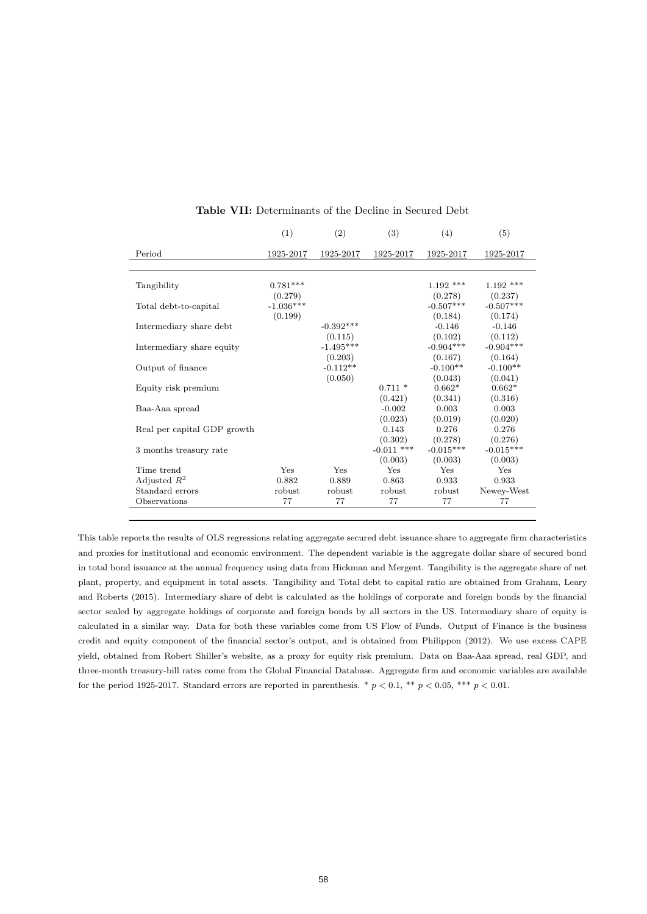|                             | (1)                    | (2)                    | (3)                     | (4)                    | (5)                    |
|-----------------------------|------------------------|------------------------|-------------------------|------------------------|------------------------|
| Period                      | 1925-2017              | 1925-2017              | 1925-2017               | 1925-2017              | 1925-2017              |
|                             |                        |                        |                         |                        |                        |
| Tangibility                 | $0.781***$             |                        |                         | $1.192$ ***            | $1.192$ ***            |
| Total debt-to-capital       | (0.279)<br>$-1.036***$ |                        |                         | (0.278)<br>$-0.507***$ | (0.237)<br>$-0.507***$ |
| Intermediary share debt     | (0.199)                | $-0.392***$            |                         | (0.184)<br>$-0.146$    | (0.174)<br>$-0.146$    |
| Intermediary share equity   |                        | (0.115)<br>$-1.495***$ |                         | (0.102)<br>$-0.904***$ | (0.112)<br>$-0.904***$ |
| Output of finance           |                        | (0.203)<br>$-0.112**$  |                         | (0.167)<br>$-0.100**$  | (0.164)<br>$-0.100**$  |
| Equity risk premium         |                        | (0.050)                | $0.711*$                | (0.043)<br>$0.662*$    | (0.041)<br>$0.662*$    |
| Baa-Aaa spread              |                        |                        | (0.421)<br>$-0.002$     | (0.341)<br>0.003       | (0.316)<br>0.003       |
| Real per capital GDP growth |                        |                        | (0.023)<br>0.143        | (0.019)<br>0.276       | (0.020)<br>0.276       |
| 3 months treasury rate      |                        |                        | (0.302)<br>$-0.011$ *** | (0.278)<br>$-0.015***$ | (0.276)<br>$-0.015***$ |
| Time trend                  | Yes                    | Yes                    | (0.003)<br>Yes          | (0.003)<br>Yes         | (0.003)<br>Yes         |
| Adjusted $R^2$              | 0.882                  | 0.889                  | 0.863                   | 0.933                  | 0.933                  |
| Standard errors             | robust                 | robust                 | robust                  | robust                 | Newey-West             |
| Observations                | 77                     | 77                     | 77                      | 77                     | 77                     |
|                             |                        |                        |                         |                        |                        |

#### Table VII: Determinants of the Decline in Secured Debt

This table reports the results of OLS regressions relating aggregate secured debt issuance share to aggregate firm characteristics and proxies for institutional and economic environment. The dependent variable is the aggregate dollar share of secured bond in total bond issuance at the annual frequency using data from Hickman and Mergent. Tangibility is the aggregate share of net plant, property, and equipment in total assets. Tangibility and Total debt to capital ratio are obtained from Graham, Leary and Roberts (2015). Intermediary share of debt is calculated as the holdings of corporate and foreign bonds by the financial sector scaled by aggregate holdings of corporate and foreign bonds by all sectors in the US. Intermediary share of equity is calculated in a similar way. Data for both these variables come from US Flow of Funds. Output of Finance is the business credit and equity component of the financial sector's output, and is obtained from Philippon (2012). We use excess CAPE yield, obtained from Robert Shiller's website, as a proxy for equity risk premium. Data on Baa-Aaa spread, real GDP, and three-month treasury-bill rates come from the Global Financial Database. Aggregate firm and economic variables are available for the period 1925-2017. Standard errors are reported in parenthesis. \*  $p < 0.1$ , \*\*  $p < 0.05$ , \*\*\*  $p < 0.01$ .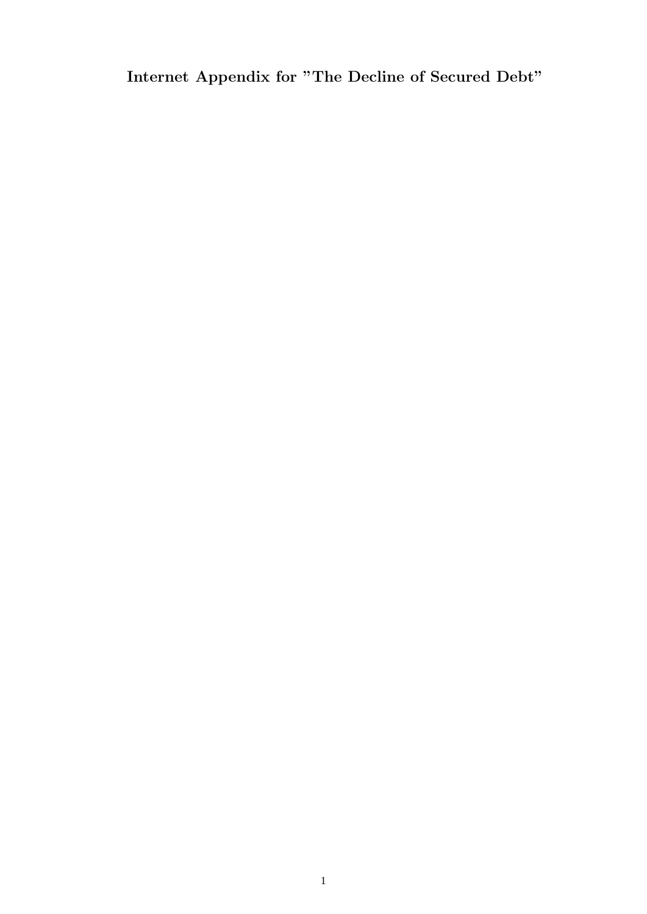Internet Appendix for "The Decline of Secured Debt"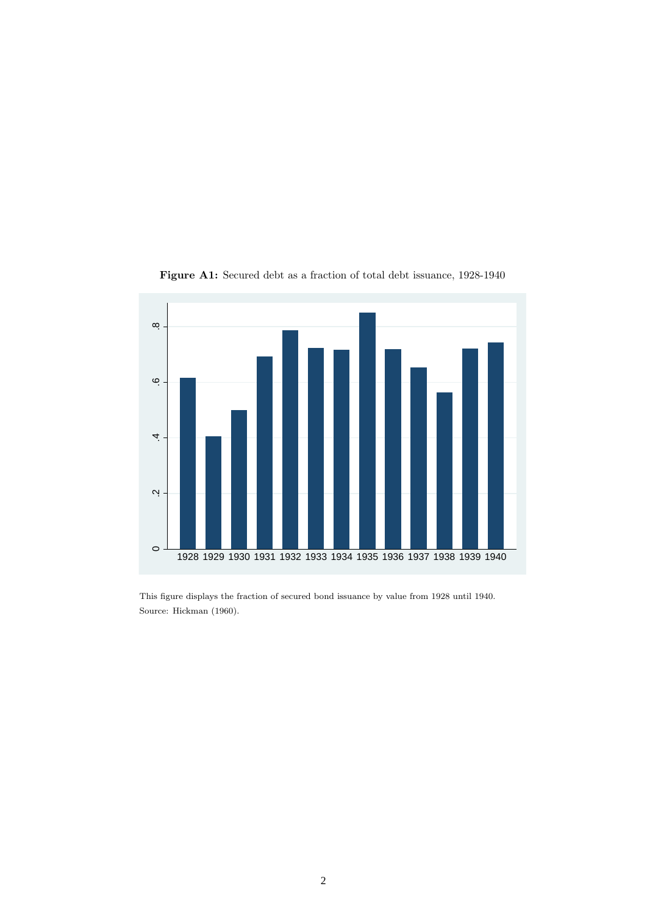

Figure A1: Secured debt as a fraction of total debt issuance, 1928-1940

This figure displays the fraction of secured bond issuance by value from 1928 until 1940. Source: Hickman (1960).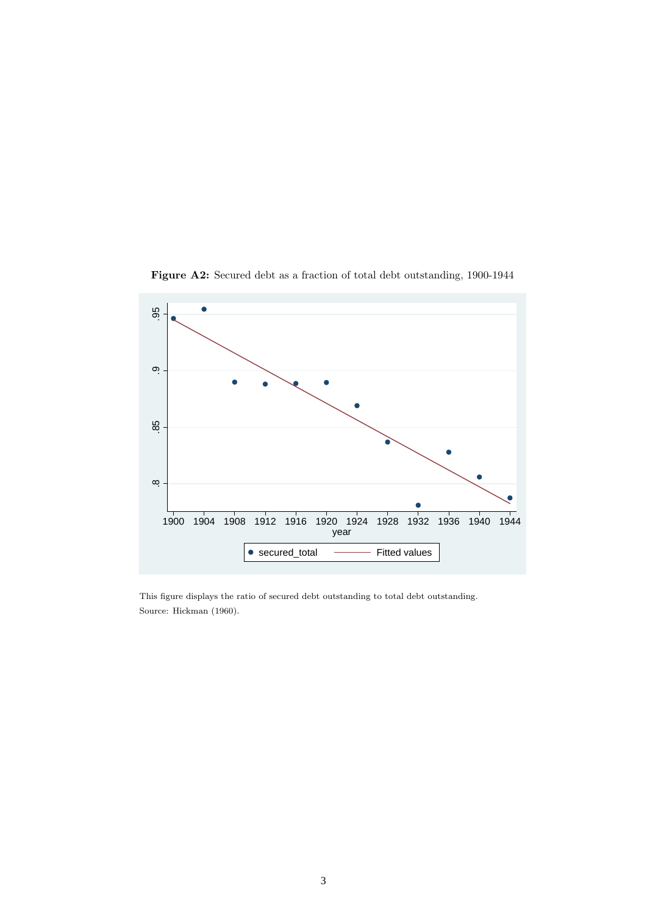

Figure A2: Secured debt as a fraction of total debt outstanding, 1900-1944

This figure displays the ratio of secured debt outstanding to total debt outstanding. Source: Hickman (1960).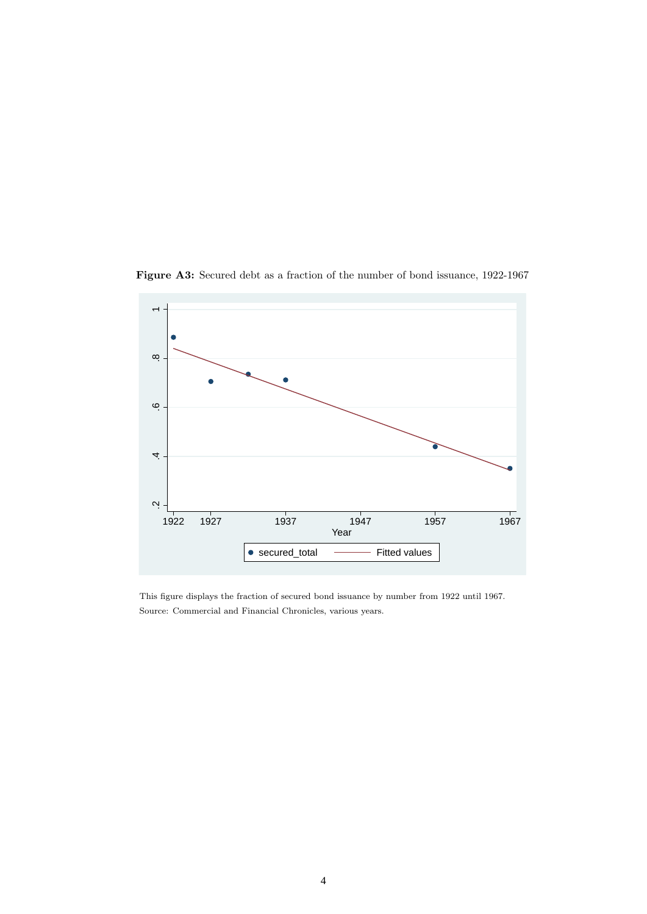

Figure A3: Secured debt as a fraction of the number of bond issuance, 1922-1967

This figure displays the fraction of secured bond issuance by number from 1922 until 1967. Source: Commercial and Financial Chronicles, various years.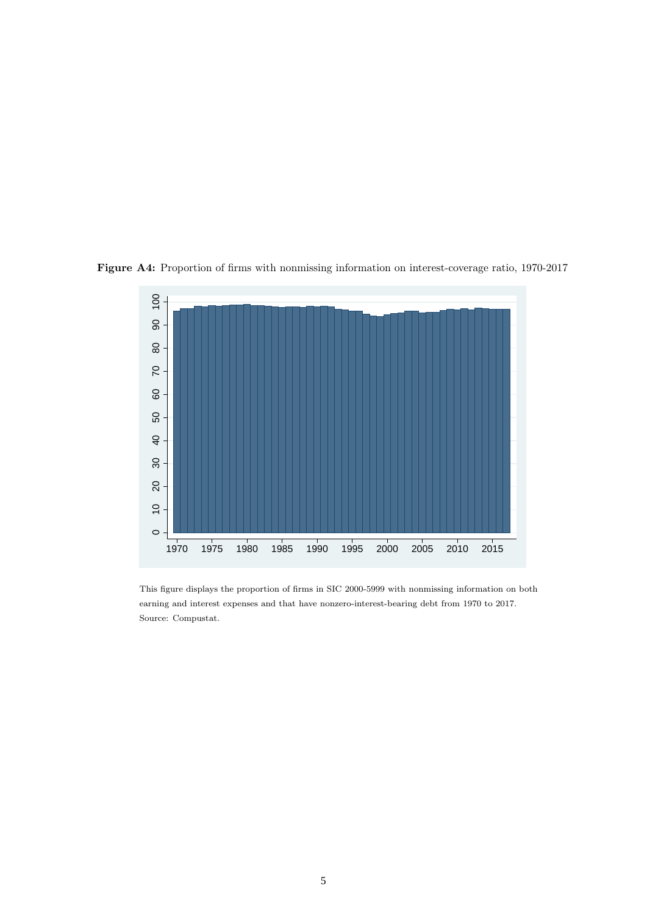

Figure A4: Proportion of firms with nonmissing information on interest-coverage ratio, 1970-2017

This figure displays the proportion of firms in SIC 2000-5999 with nonmissing information on both earning and interest expenses and that have nonzero-interest-bearing debt from 1970 to 2017. Source: Compustat.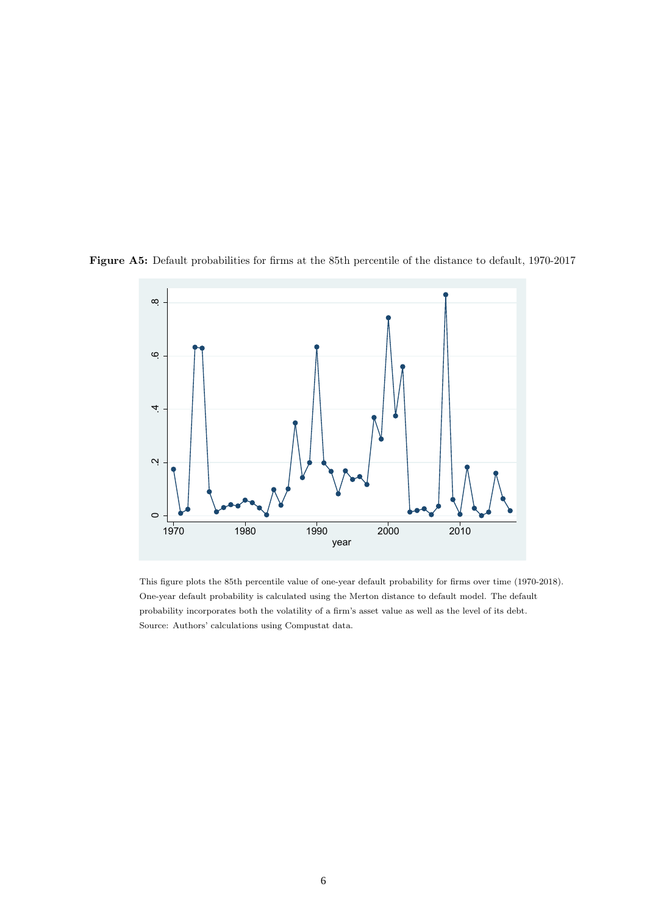

Figure A5: Default probabilities for firms at the 85th percentile of the distance to default, 1970-2017

This figure plots the 85th percentile value of one-year default probability for firms over time (1970-2018). One-year default probability is calculated using the Merton distance to default model. The default probability incorporates both the volatility of a firm's asset value as well as the level of its debt. Source: Authors' calculations using Compustat data.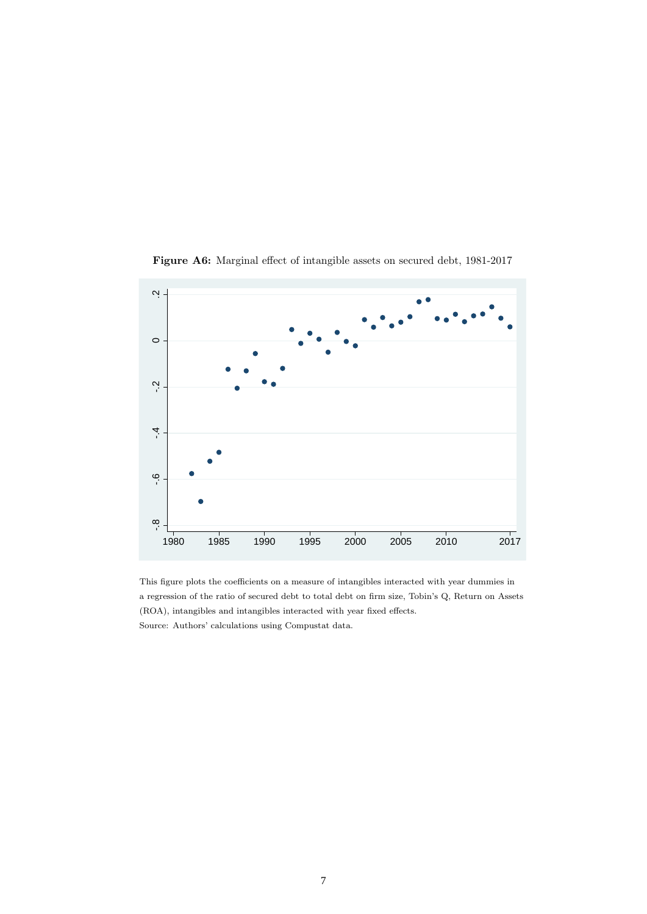

Figure A6: Marginal effect of intangible assets on secured debt, 1981-2017

This figure plots the coefficients on a measure of intangibles interacted with year dummies in a regression of the ratio of secured debt to total debt on firm size, Tobin's Q, Return on Assets (ROA), intangibles and intangibles interacted with year fixed effects. Source: Authors' calculations using Compustat data.